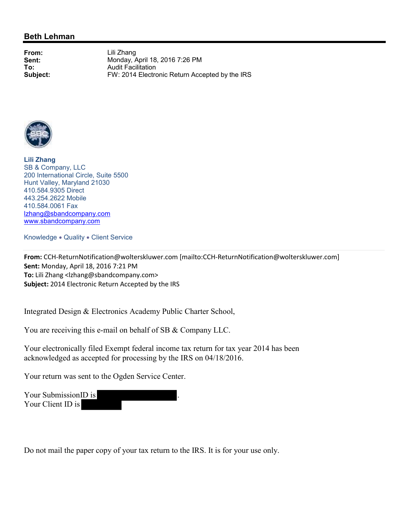## **Beth Lehman**

**From:** Lili Zhang **Sent:** Monday, April 18, 2016 7:26 PM<br> **To:** Audit Facilitation **To:** Audit Facilitation<br> **Subject:** FW: 2014 Electro FW: 2014 Electronic Return Accepted by the IRS



**Lili Zhang** SB & Company, LLC 200 International Circle, Suite 5500 Hunt Valley, Maryland 21030 410.584.9305 Direct 443.254.2622 Mobile 410.584.0061 Fax lzhang@sbandcompany.com www.sbandcompany.com

Knowledge . Quality . Client Service

**From:** CCH-ReturnNotification@wolterskluwer.com [mailto:CCH-ReturnNotification@wolterskluwer.com] **Sent:** Monday, April 18, 2016 7:21 PM **To:** Lili Zhang <lzhang@sbandcompany.com> **Subject:** 2014 Electronic Return Accepted by the IRS

Integrated Design & Electronics Academy Public Charter School,

You are receiving this e-mail on behalf of SB & Company LLC.

Your electronically filed Exempt federal income tax return for tax year 2014 has been acknowledged as accepted for processing by the IRS on 04/18/2016.

Your return was sent to the Ogden Service Center.

Your Submission<sub>ID</sub> is Your Client ID is

Do not mail the paper copy of your tax return to the IRS. It is for your use only.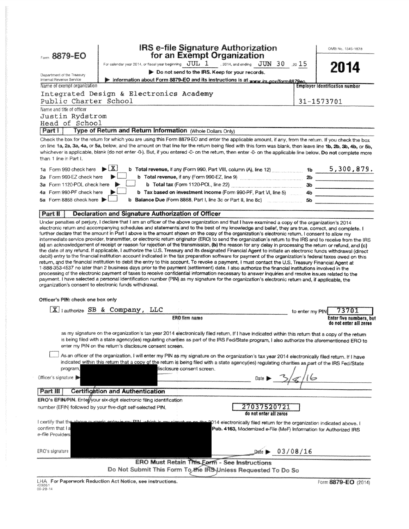| Form 8879-EO                                                                                |                                                                                                                                                                                                                                                                                                                                                                                                                                                                                                                                                                                                                                                                                                                                                                                                                                                                                                                                                                                                                                                                                                      | <b>IRS e-file Signature Authorization</b><br>for an Exempt Organization                                                                                                                                                        |                 | OMB No. 1545-1878                                 |
|---------------------------------------------------------------------------------------------|------------------------------------------------------------------------------------------------------------------------------------------------------------------------------------------------------------------------------------------------------------------------------------------------------------------------------------------------------------------------------------------------------------------------------------------------------------------------------------------------------------------------------------------------------------------------------------------------------------------------------------------------------------------------------------------------------------------------------------------------------------------------------------------------------------------------------------------------------------------------------------------------------------------------------------------------------------------------------------------------------------------------------------------------------------------------------------------------------|--------------------------------------------------------------------------------------------------------------------------------------------------------------------------------------------------------------------------------|-----------------|---------------------------------------------------|
|                                                                                             |                                                                                                                                                                                                                                                                                                                                                                                                                                                                                                                                                                                                                                                                                                                                                                                                                                                                                                                                                                                                                                                                                                      | For calendar year 2014, or fiscal year beginning $JUL$ 1  2014, and ending $JUN$ 30  20 15                                                                                                                                     |                 | 2014                                              |
| Department of the Treasury                                                                  |                                                                                                                                                                                                                                                                                                                                                                                                                                                                                                                                                                                                                                                                                                                                                                                                                                                                                                                                                                                                                                                                                                      | Do not send to the IRS. Keep for your records.                                                                                                                                                                                 |                 |                                                   |
| Internal Revenue Service<br>Name of exempt organization                                     |                                                                                                                                                                                                                                                                                                                                                                                                                                                                                                                                                                                                                                                                                                                                                                                                                                                                                                                                                                                                                                                                                                      | Information about Form 8879-EO and its instructions is at www.irs.gov/form8879eo.                                                                                                                                              |                 | <b>Employer identification number</b>             |
|                                                                                             | Integrated Design & Electronics Academy                                                                                                                                                                                                                                                                                                                                                                                                                                                                                                                                                                                                                                                                                                                                                                                                                                                                                                                                                                                                                                                              |                                                                                                                                                                                                                                |                 |                                                   |
| Public Charter School                                                                       |                                                                                                                                                                                                                                                                                                                                                                                                                                                                                                                                                                                                                                                                                                                                                                                                                                                                                                                                                                                                                                                                                                      |                                                                                                                                                                                                                                |                 | 31-1573701                                        |
| Name and title of officer                                                                   |                                                                                                                                                                                                                                                                                                                                                                                                                                                                                                                                                                                                                                                                                                                                                                                                                                                                                                                                                                                                                                                                                                      |                                                                                                                                                                                                                                |                 |                                                   |
| Justin Rydstrom                                                                             |                                                                                                                                                                                                                                                                                                                                                                                                                                                                                                                                                                                                                                                                                                                                                                                                                                                                                                                                                                                                                                                                                                      |                                                                                                                                                                                                                                |                 |                                                   |
| Head of School                                                                              |                                                                                                                                                                                                                                                                                                                                                                                                                                                                                                                                                                                                                                                                                                                                                                                                                                                                                                                                                                                                                                                                                                      |                                                                                                                                                                                                                                |                 |                                                   |
| Part                                                                                        | Type of Return and Return Information (Whole Dollars Only)                                                                                                                                                                                                                                                                                                                                                                                                                                                                                                                                                                                                                                                                                                                                                                                                                                                                                                                                                                                                                                           |                                                                                                                                                                                                                                |                 |                                                   |
| than 1 line in Part I.                                                                      | Check the box for the return for which you are using this Form 8879-EO and enter the applicable amount, if any, from the return. If you check the box<br>on line 1a, 2a, 3a, 4a, or 5a, below, and the amount on that line for the return being filed with this form was blank, then leave line 1b, 2b, 3b, 4b, or 5b,<br>whichever is applicable, blank (do not enter -0-). But, if you entered -0- on the return, then enter -0- on the applicable line below. Do not complete more                                                                                                                                                                                                                                                                                                                                                                                                                                                                                                                                                                                                                |                                                                                                                                                                                                                                |                 |                                                   |
| 1a Form 990 check here                                                                      | X.<br>$\bullet$                                                                                                                                                                                                                                                                                                                                                                                                                                                                                                                                                                                                                                                                                                                                                                                                                                                                                                                                                                                                                                                                                      | b Total revenue, if any (Form 990, Part VIII, column (A), line 12) $\ldots$ 1b $\ldots$ 5, 300, 879.                                                                                                                           |                 |                                                   |
| 2a Form 990-EZ check here                                                                   |                                                                                                                                                                                                                                                                                                                                                                                                                                                                                                                                                                                                                                                                                                                                                                                                                                                                                                                                                                                                                                                                                                      |                                                                                                                                                                                                                                |                 |                                                   |
| 3a Form 1120-POL check here                                                                 |                                                                                                                                                                                                                                                                                                                                                                                                                                                                                                                                                                                                                                                                                                                                                                                                                                                                                                                                                                                                                                                                                                      | b Total tax (Form 1120-POL, line 22) Manufacture and Contact and Contact and Contact and Contact and Contact and Contact and Contact and Contact and Contact and Contact and Contact and Contact and Contact and Contact and C |                 |                                                   |
| 4a Form 990-PF check here                                                                   |                                                                                                                                                                                                                                                                                                                                                                                                                                                                                                                                                                                                                                                                                                                                                                                                                                                                                                                                                                                                                                                                                                      | b Tax based on investment income (Form 990-PF, Part VI, line 5)  4b                                                                                                                                                            |                 |                                                   |
| 5a Form 8868 check here ▶                                                                   |                                                                                                                                                                                                                                                                                                                                                                                                                                                                                                                                                                                                                                                                                                                                                                                                                                                                                                                                                                                                                                                                                                      | b Balance Due (Form 8868, Part I, line 3c or Part II, line 8c)                                                                                                                                                                 | 5b              |                                                   |
| Part II                                                                                     | Declaration and Signature Authorization of Officer                                                                                                                                                                                                                                                                                                                                                                                                                                                                                                                                                                                                                                                                                                                                                                                                                                                                                                                                                                                                                                                   |                                                                                                                                                                                                                                |                 |                                                   |
| organization's consent to electronic funds withdrawal.<br>Officer's PIN: check one box only | (a) an acknowledgement of receipt or reason for rejection of the transmission, (b) the reason for any delay in processing the return or refund, and (c)<br>the date of any refund. If applicable, I authorize the U.S. Treasury and its designated Financial Agent to initiate an electronic funds withdrawal (direct<br>debit) entry to the financial institution account indicated in the tax preparation software for payment of the organization's federal taxes owed on this<br>return, and the financial institution to debit the entry to this account. To revoke a payment, I must contact the U.S. Treasury Financial Agent at<br>1-888-353-4537 no later than 2 business days prior to the payment (settlement) date. I also authorize the financial institutions involved in the<br>processing of the electronic payment of taxes to receive confidential information necessary to answer inquiries and resolve issues related to the<br>payment. I have selected a personal identification number (PIN) as my signature for the organization's electronic return and, if applicable, the |                                                                                                                                                                                                                                |                 |                                                   |
|                                                                                             | $[X]$ lauthorize SB & Company, LLC                                                                                                                                                                                                                                                                                                                                                                                                                                                                                                                                                                                                                                                                                                                                                                                                                                                                                                                                                                                                                                                                   |                                                                                                                                                                                                                                | to enter my PIN | 73701                                             |
|                                                                                             | <b>ERO firm name</b>                                                                                                                                                                                                                                                                                                                                                                                                                                                                                                                                                                                                                                                                                                                                                                                                                                                                                                                                                                                                                                                                                 |                                                                                                                                                                                                                                |                 | Enter five numbers, but<br>do not enter all zeros |
| program,                                                                                    | as my signature on the organization's tax year 2014 electronically filed return. If I have indicated within this return that a copy of the return<br>is being filed with a state agency(ies) regulating charities as part of the IRS Fed/State program, I also authorize the aforementioned ERO to<br>enter my PIN on the return's disclosure consent screen.<br>As an officer of the organization, I will enter my PIN as my signature on the organization's tax year 2014 electronically filed return. If I have<br>indicated within this return that a copy of the return is being filed with a state agency(ies) regulating charities as part of the IRS Fed/State<br>llisclosure consent screen.                                                                                                                                                                                                                                                                                                                                                                                                |                                                                                                                                                                                                                                |                 |                                                   |
| Officer's signature                                                                         |                                                                                                                                                                                                                                                                                                                                                                                                                                                                                                                                                                                                                                                                                                                                                                                                                                                                                                                                                                                                                                                                                                      |                                                                                                                                                                                                                                |                 |                                                   |
| <b>Part III</b>                                                                             | <b>Certification and Authentication</b>                                                                                                                                                                                                                                                                                                                                                                                                                                                                                                                                                                                                                                                                                                                                                                                                                                                                                                                                                                                                                                                              |                                                                                                                                                                                                                                |                 |                                                   |
|                                                                                             | ERO's EFIN/PIN. Entef/your six-digit electronic filing identification                                                                                                                                                                                                                                                                                                                                                                                                                                                                                                                                                                                                                                                                                                                                                                                                                                                                                                                                                                                                                                |                                                                                                                                                                                                                                |                 |                                                   |
|                                                                                             | number (EFIN) followed by your five-digit self-selected PIN.                                                                                                                                                                                                                                                                                                                                                                                                                                                                                                                                                                                                                                                                                                                                                                                                                                                                                                                                                                                                                                         | 27037520721<br>do not enter all zeros                                                                                                                                                                                          |                 |                                                   |
| I certify that the<br>confirm that I a<br>e- <i>fil</i> e Providers                         |                                                                                                                                                                                                                                                                                                                                                                                                                                                                                                                                                                                                                                                                                                                                                                                                                                                                                                                                                                                                                                                                                                      | 014 electronically filed return for the organization indicated above. I<br>Pub. 4163, Modernized e-File (MeF) Information for Authorized IRS                                                                                   |                 |                                                   |
| ERO's signature                                                                             |                                                                                                                                                                                                                                                                                                                                                                                                                                                                                                                                                                                                                                                                                                                                                                                                                                                                                                                                                                                                                                                                                                      |                                                                                                                                                                                                                                | Date > 03/08/16 |                                                   |
|                                                                                             |                                                                                                                                                                                                                                                                                                                                                                                                                                                                                                                                                                                                                                                                                                                                                                                                                                                                                                                                                                                                                                                                                                      | <b>ERO Must Retain This Eerm - See Instructions</b><br>Do Not Submit This Form To the IRS Unless Requested To Do So                                                                                                            |                 |                                                   |
|                                                                                             | LHA For Paperwork Reduction Act Notice, see instructions.                                                                                                                                                                                                                                                                                                                                                                                                                                                                                                                                                                                                                                                                                                                                                                                                                                                                                                                                                                                                                                            |                                                                                                                                                                                                                                |                 | Form 8879-EO (2014)                               |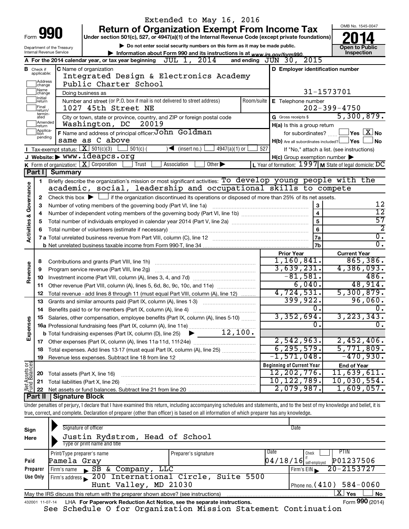|                         |                               |                                    | Extended to May 16, 2016                                                                                                                                                   |                                                         |                                                                    |
|-------------------------|-------------------------------|------------------------------------|----------------------------------------------------------------------------------------------------------------------------------------------------------------------------|---------------------------------------------------------|--------------------------------------------------------------------|
|                         |                               |                                    | <b>Return of Organization Exempt From Income Tax</b>                                                                                                                       |                                                         | OMB No. 1545-0047                                                  |
|                         | Form <b>991</b>               |                                    | Under section 501(c), 527, or 4947(a)(1) of the Internal Revenue Code (except private foundations)                                                                         |                                                         |                                                                    |
|                         |                               | Department of the Treasury         | Do not enter social security numbers on this form as it may be made public.                                                                                                |                                                         | <b>Open to Public</b>                                              |
|                         |                               | Internal Revenue Service           | Information about Form 990 and its instructions is at www.irs.gov/form990.                                                                                                 |                                                         | Inspection                                                         |
|                         |                               |                                    | JUL 1, 2014<br>A For the 2014 calendar year, or tax year beginning                                                                                                         | and ending $J\bar{U}N$ 30, $2015$                       |                                                                    |
|                         | <b>B</b> Check if applicable: |                                    | C Name of organization<br>Integrated Design & Electronics Academy                                                                                                          | D Employer identification number                        |                                                                    |
|                         | ]Address<br>]change           |                                    | Public Charter School                                                                                                                                                      |                                                         |                                                                    |
|                         | Name                          |                                    |                                                                                                                                                                            |                                                         | 31-1573701                                                         |
|                         | change<br>Initial             |                                    | Doing business as<br>Number and street (or P.O. box if mail is not delivered to street address)<br>Room/suite                                                              | E Telephone number                                      |                                                                    |
|                         | ∣return<br>Final              |                                    | 1027 45th Street NE                                                                                                                                                        |                                                         | $202 - 399 - 4750$                                                 |
|                         | return/<br>termin-<br>ated    |                                    | City or town, state or province, country, and ZIP or foreign postal code                                                                                                   | G Gross receipts \$                                     | 5,300,879.                                                         |
|                         | Amended<br>return             |                                    | Washington, DC<br>20019                                                                                                                                                    | H(a) Is this a group return                             |                                                                    |
|                         | Applica-<br>Ition             |                                    | F Name and address of principal officer: John Goldman                                                                                                                      | for subordinates?                                       | $\sqrt{\mathsf{Yes}\mathord{\;\mathbb{X}}\mathord{\;\mathsf{No}}}$ |
|                         | pending                       |                                    | same as C above                                                                                                                                                            | $H(b)$ Are all subordinates included? $\Box$ Yes        | l No                                                               |
|                         |                               | Tax-exempt status: $X \ 501(c)(3)$ | $501(c)$ (<br>$\sqrt{\frac{1}{1}}$ (insert no.)<br>$4947(a)(1)$ or                                                                                                         | 527                                                     | If "No," attach a list. (see instructions)                         |
|                         |                               |                                    | J Website:▶ WWW.ideapcs.org                                                                                                                                                | $H(c)$ Group exemption number $\blacktriangleright$     |                                                                    |
|                         |                               |                                    | K Form of organization: $X$ Corporation<br>Association<br>Other $\blacktriangleright$<br>Trust                                                                             | L Year of formation: 1997 M State of legal domicile: DC |                                                                    |
|                         |                               | Part I Summary                     |                                                                                                                                                                            |                                                         |                                                                    |
|                         | 1                             |                                    | Briefly describe the organization's mission or most significant activities: To develop young people with the                                                               |                                                         |                                                                    |
|                         |                               |                                    | academic, social, leadership and occupational skills to compete                                                                                                            |                                                         |                                                                    |
|                         | 2                             |                                    | Check this box $\blacktriangleright$ $\Box$ if the organization discontinued its operations or disposed of more than 25% of its net assets.                                |                                                         |                                                                    |
|                         | 3                             |                                    | Number of voting members of the governing body (Part VI, line 1a)                                                                                                          | 3                                                       | 12                                                                 |
|                         | 4                             |                                    |                                                                                                                                                                            | $\overline{\mathbf{4}}$                                 | $\overline{12}$                                                    |
| Activities & Governance | 5                             |                                    |                                                                                                                                                                            | 5                                                       | $\overline{57}$<br>$\overline{2}$                                  |
|                         | 6                             |                                    |                                                                                                                                                                            | 6                                                       | $\overline{\mathfrak{o}}$ .                                        |
|                         |                               |                                    |                                                                                                                                                                            | 7a<br>7b                                                | σ.                                                                 |
|                         |                               |                                    |                                                                                                                                                                            | <b>Prior Year</b>                                       | <b>Current Year</b>                                                |
|                         | 8                             |                                    |                                                                                                                                                                            | 1,160,841.                                              | 865, 386.                                                          |
| Revenue                 | 9                             |                                    | Program service revenue (Part VIII, line 2g)                                                                                                                               | 3,639,231.                                              | 4,386,093.                                                         |
|                         | 10                            |                                    |                                                                                                                                                                            | $-81,581.$                                              | 486.                                                               |
|                         | 11                            |                                    | Other revenue (Part VIII, column (A), lines 5, 6d, 8c, 9c, 10c, and 11e)                                                                                                   | 6,040.                                                  | 48,914.                                                            |
|                         | 12                            |                                    | Total revenue - add lines 8 through 11 (must equal Part VIII, column (A), line 12)                                                                                         | 4,724,531.                                              | 5,300,879.                                                         |
|                         | 13                            |                                    | Grants and similar amounts paid (Part IX, column (A), lines 1-3)                                                                                                           | 399,922.                                                | 96,060.                                                            |
|                         | 14                            |                                    | Benefits paid to or for members (Part IX, column (A), line 4)                                                                                                              | 0.                                                      | 0.                                                                 |
|                         |                               |                                    | 15 Salaries, other compensation, employee benefits (Part IX, column (A), lines 5-10)                                                                                       | 3,352,694.                                              | 3, 223, 343.                                                       |
| Expenses                |                               |                                    |                                                                                                                                                                            | 0                                                       | О.                                                                 |
|                         |                               |                                    |                                                                                                                                                                            |                                                         |                                                                    |
|                         |                               |                                    |                                                                                                                                                                            | 2,542,963.                                              | 2,452,406.                                                         |
|                         | 18                            |                                    | Total expenses. Add lines 13-17 (must equal Part IX, column (A), line 25)                                                                                                  | 6, 295, 579.                                            | 5,771,809.                                                         |
|                         | 19                            |                                    |                                                                                                                                                                            | $-1,571,048.$                                           | $-470,930.$                                                        |
| Net Assets or           |                               |                                    |                                                                                                                                                                            | <b>Beginning of Current Year</b>                        | <b>End of Year</b>                                                 |
|                         | 20                            | Total assets (Part X, line 16)     |                                                                                                                                                                            | 12,202,776.                                             | 11,639,611.                                                        |
|                         | 21                            |                                    | Total liabilities (Part X, line 26)                                                                                                                                        | 10,122,789.<br>$2,079,987$ .                            | 10,030,554.<br>1,609,057.                                          |
|                         | 22<br>∣ Part II               | <b>Signature Block</b>             |                                                                                                                                                                            |                                                         |                                                                    |
|                         |                               |                                    | Under penalties of perjury, I declare that I have examined this return, including accompanying schedules and statements, and to the best of my knowledge and belief, it is |                                                         |                                                                    |
|                         |                               |                                    | true, correct, and complete. Declaration of preparer (other than officer) is based on all information of which preparer has any knowledge.                                 |                                                         |                                                                    |
|                         |                               |                                    |                                                                                                                                                                            |                                                         |                                                                    |
|                         |                               |                                    | Cianaturo of officer                                                                                                                                                       | natr                                                    |                                                                    |

| Sign<br>Here                                                                                           | Signature of officer<br>Justin Rydstrom, Head of School<br>Type or print name and title                      |                      | Date                     |                            |  |  |  |  |  |  |
|--------------------------------------------------------------------------------------------------------|--------------------------------------------------------------------------------------------------------------|----------------------|--------------------------|----------------------------|--|--|--|--|--|--|
|                                                                                                        | Print/Type preparer's name                                                                                   | Preparer's signature | Date<br>Check            | PTIN                       |  |  |  |  |  |  |
| Paid                                                                                                   | Pamela Gray                                                                                                  |                      | $04/18/16$ self-employed | P01237506                  |  |  |  |  |  |  |
| Preparer                                                                                               | & Company,<br>SB<br>LLC<br>Firm's name                                                                       |                      | Firm's EIN               | 20-2153727                 |  |  |  |  |  |  |
| Use Only                                                                                               | Firm's address 200 International Circle, Suite 5500                                                          |                      |                          |                            |  |  |  |  |  |  |
|                                                                                                        | Hunt Valley, MD 21030                                                                                        |                      |                          | Phone no. $(410)$ 584-0060 |  |  |  |  |  |  |
| ΧI<br>Yes<br>∣ No<br>May the IRS discuss this return with the preparer shown above? (see instructions) |                                                                                                              |                      |                          |                            |  |  |  |  |  |  |
|                                                                                                        | Form 990 (2014)<br>LHA For Paperwork Reduction Act Notice, see the separate instructions.<br>432001 11-07-14 |                      |                          |                            |  |  |  |  |  |  |

See Schedule O for Organization Mission Statement Continuation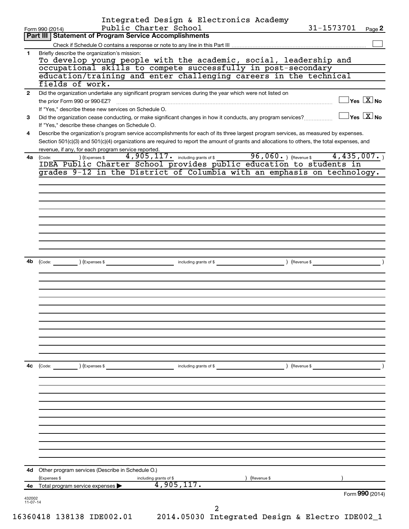|              | Integrated Design & Electronics Academy<br>Public Charter School<br>Form 990 (2014)                                                                                                                                                                                                  | 31-1573701 | Page 2                                           |
|--------------|--------------------------------------------------------------------------------------------------------------------------------------------------------------------------------------------------------------------------------------------------------------------------------------|------------|--------------------------------------------------|
|              | <b>Part III   Statement of Program Service Accomplishments</b>                                                                                                                                                                                                                       |            |                                                  |
|              |                                                                                                                                                                                                                                                                                      |            |                                                  |
| 1            | Briefly describe the organization's mission:<br>To develop young people with the academic, social, leadership and                                                                                                                                                                    |            |                                                  |
|              | occupational skills to compete successfully in post-secondary                                                                                                                                                                                                                        |            |                                                  |
|              | education/training and enter challenging careers in the technical<br>fields of work.                                                                                                                                                                                                 |            |                                                  |
| $\mathbf{2}$ | Did the organization undertake any significant program services during the year which were not listed on                                                                                                                                                                             |            |                                                  |
|              | the prior Form 990 or 990-EZ?                                                                                                                                                                                                                                                        |            | $\exists$ Yes $\boxed{\text{X}}$ No              |
| 3            | If "Yes," describe these new services on Schedule O.<br>Did the organization cease conducting, or make significant changes in how it conducts, any program services?                                                                                                                 |            | $\overline{\ }$ Yes $\overline{\phantom{a}X}$ No |
|              | If "Yes," describe these changes on Schedule O.                                                                                                                                                                                                                                      |            |                                                  |
| 4            | Describe the organization's program service accomplishments for each of its three largest program services, as measured by expenses.<br>Section 501(c)(3) and 501(c)(4) organizations are required to report the amount of grants and allocations to others, the total expenses, and |            |                                                  |
| 4a           | revenue, if any, for each program service reported.<br>4,905,117. including grants of \$96,060. (Revenue \$4,435,007.)<br>) (Expenses \$<br>(Code:                                                                                                                                   |            |                                                  |
|              | IDEA Public Charter School provides public education to students in                                                                                                                                                                                                                  |            |                                                  |
|              | grades 9-12 in the District of Columbia with an emphasis on technology.                                                                                                                                                                                                              |            |                                                  |
|              |                                                                                                                                                                                                                                                                                      |            |                                                  |
|              |                                                                                                                                                                                                                                                                                      |            |                                                  |
|              |                                                                                                                                                                                                                                                                                      |            |                                                  |
|              |                                                                                                                                                                                                                                                                                      |            |                                                  |
|              |                                                                                                                                                                                                                                                                                      |            |                                                  |
|              |                                                                                                                                                                                                                                                                                      |            |                                                  |
|              |                                                                                                                                                                                                                                                                                      |            |                                                  |
| 4b           | (Code: (Compared to the contract of the code: The contract of the code: The code: The code: The code: The code of the code: (Revenue \$                                                                                                                                              |            |                                                  |
|              |                                                                                                                                                                                                                                                                                      |            |                                                  |
|              |                                                                                                                                                                                                                                                                                      |            |                                                  |
|              |                                                                                                                                                                                                                                                                                      |            |                                                  |
|              |                                                                                                                                                                                                                                                                                      |            |                                                  |
|              |                                                                                                                                                                                                                                                                                      |            |                                                  |
|              |                                                                                                                                                                                                                                                                                      |            |                                                  |
|              |                                                                                                                                                                                                                                                                                      |            |                                                  |
|              |                                                                                                                                                                                                                                                                                      |            |                                                  |
|              |                                                                                                                                                                                                                                                                                      |            |                                                  |
|              |                                                                                                                                                                                                                                                                                      |            |                                                  |
| 4c           | (Code:<br>(Expenses \$<br>) (Revenue \$<br>including grants of \$                                                                                                                                                                                                                    |            |                                                  |
|              |                                                                                                                                                                                                                                                                                      |            |                                                  |
|              |                                                                                                                                                                                                                                                                                      |            |                                                  |
|              |                                                                                                                                                                                                                                                                                      |            |                                                  |
|              |                                                                                                                                                                                                                                                                                      |            |                                                  |
|              |                                                                                                                                                                                                                                                                                      |            |                                                  |
|              |                                                                                                                                                                                                                                                                                      |            |                                                  |
|              |                                                                                                                                                                                                                                                                                      |            |                                                  |
|              |                                                                                                                                                                                                                                                                                      |            |                                                  |
| 4d           | Other program services (Describe in Schedule O.)<br>Revenue \$<br>(Expenses \$                                                                                                                                                                                                       |            |                                                  |
| 4е           | including grants of \$<br>4,905,117.<br>Total program service expenses                                                                                                                                                                                                               |            |                                                  |
|              |                                                                                                                                                                                                                                                                                      |            | Form 990 (2014)                                  |
| 432002       |                                                                                                                                                                                                                                                                                      |            |                                                  |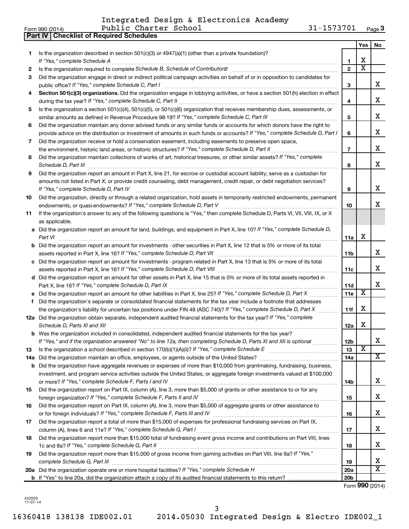Integrated Design & Electronics Academy

|     | <b>Part IV   Checklist of Required Schedules</b>                                                                                                                                                                                                                                                                                                                    |                 |                         |                                     |
|-----|---------------------------------------------------------------------------------------------------------------------------------------------------------------------------------------------------------------------------------------------------------------------------------------------------------------------------------------------------------------------|-----------------|-------------------------|-------------------------------------|
|     |                                                                                                                                                                                                                                                                                                                                                                     |                 | <b>Yes</b>              | No                                  |
| 1   | Is the organization described in section 501(c)(3) or 4947(a)(1) (other than a private foundation)?                                                                                                                                                                                                                                                                 |                 |                         |                                     |
|     |                                                                                                                                                                                                                                                                                                                                                                     | 1               | X                       |                                     |
| 2   | Is the organization required to complete Schedule B, Schedule of Contributors? [11] the organization required to complete Schedule B, Schedule of Contributors?                                                                                                                                                                                                     | $\overline{2}$  | $\overline{\mathbf{X}}$ |                                     |
| З   | Did the organization engage in direct or indirect political campaign activities on behalf of or in opposition to candidates for                                                                                                                                                                                                                                     |                 |                         |                                     |
|     |                                                                                                                                                                                                                                                                                                                                                                     | 3               |                         | x                                   |
| 4   | Section 501(c)(3) organizations. Did the organization engage in lobbying activities, or have a section 501(h) election in effect                                                                                                                                                                                                                                    |                 |                         |                                     |
|     |                                                                                                                                                                                                                                                                                                                                                                     | 4               |                         | x                                   |
| 5   | Is the organization a section 501(c)(4), 501(c)(5), or 501(c)(6) organization that receives membership dues, assessments, or                                                                                                                                                                                                                                        |                 |                         |                                     |
|     |                                                                                                                                                                                                                                                                                                                                                                     | 5               |                         | x                                   |
| 6   | Did the organization maintain any donor advised funds or any similar funds or accounts for which donors have the right to                                                                                                                                                                                                                                           |                 |                         |                                     |
|     |                                                                                                                                                                                                                                                                                                                                                                     |                 |                         | x                                   |
|     | provide advice on the distribution or investment of amounts in such funds or accounts? If "Yes," complete Schedule D, Part I                                                                                                                                                                                                                                        | 6               |                         |                                     |
| 7   | Did the organization receive or hold a conservation easement, including easements to preserve open space,                                                                                                                                                                                                                                                           |                 |                         | x                                   |
|     |                                                                                                                                                                                                                                                                                                                                                                     | $\overline{7}$  |                         |                                     |
| 8   | Did the organization maintain collections of works of art, historical treasures, or other similar assets? If "Yes," complete<br>Schedule D, Part III <b>Marting Community</b> Construction of the Construction of the Construction of the Construction of the Construction of the Construction of the Construction of the Construction of the Construction of the C | 8               |                         | x                                   |
| 9   | Did the organization report an amount in Part X, line 21, for escrow or custodial account liability; serve as a custodian for                                                                                                                                                                                                                                       |                 |                         |                                     |
|     | amounts not listed in Part X; or provide credit counseling, debt management, credit repair, or debt negotiation services?                                                                                                                                                                                                                                           |                 |                         |                                     |
|     | If "Yes," complete Schedule D, Part IV                                                                                                                                                                                                                                                                                                                              | 9               |                         | x                                   |
| 10  | Did the organization, directly or through a related organization, hold assets in temporarily restricted endowments, permanent                                                                                                                                                                                                                                       |                 |                         |                                     |
|     |                                                                                                                                                                                                                                                                                                                                                                     | 10              |                         | x                                   |
| 11  | If the organization's answer to any of the following questions is "Yes," then complete Schedule D, Parts VI, VII, VIII, IX, or X                                                                                                                                                                                                                                    |                 |                         |                                     |
|     | as applicable.                                                                                                                                                                                                                                                                                                                                                      |                 |                         |                                     |
|     | a Did the organization report an amount for land, buildings, and equipment in Part X, line 10? If "Yes," complete Schedule D,                                                                                                                                                                                                                                       |                 |                         |                                     |
|     |                                                                                                                                                                                                                                                                                                                                                                     | 11a             | X                       |                                     |
|     | <b>b</b> Did the organization report an amount for investments - other securities in Part X, line 12 that is 5% or more of its total                                                                                                                                                                                                                                |                 |                         |                                     |
|     | assets reported in Part X, line 16? If "Yes," complete Schedule D, Part VII [11] [11] [12] [12] [12] [12] [12] [                                                                                                                                                                                                                                                    | 11b             |                         | x                                   |
|     | c Did the organization report an amount for investments - program related in Part X, line 13 that is 5% or more of its total                                                                                                                                                                                                                                        |                 |                         |                                     |
|     |                                                                                                                                                                                                                                                                                                                                                                     | 11с             |                         | x                                   |
|     | d Did the organization report an amount for other assets in Part X, line 15 that is 5% or more of its total assets reported in                                                                                                                                                                                                                                      |                 |                         |                                     |
|     |                                                                                                                                                                                                                                                                                                                                                                     | 11d             |                         | x                                   |
|     | e Did the organization report an amount for other liabilities in Part X, line 25? If "Yes," complete Schedule D, Part X                                                                                                                                                                                                                                             | 11e             | X                       |                                     |
|     | f Did the organization's separate or consolidated financial statements for the tax year include a footnote that addresses                                                                                                                                                                                                                                           |                 |                         |                                     |
|     | the organization's liability for uncertain tax positions under FIN 48 (ASC 740)? If "Yes," complete Schedule D, Part X                                                                                                                                                                                                                                              | 11f             | х                       |                                     |
|     | 12a Did the organization obtain separate, independent audited financial statements for the tax year? If "Yes," complete                                                                                                                                                                                                                                             |                 |                         |                                     |
|     | Schedule D, Parts XI and XII                                                                                                                                                                                                                                                                                                                                        | 12a             | х                       |                                     |
|     | <b>b</b> Was the organization included in consolidated, independent audited financial statements for the tax year?                                                                                                                                                                                                                                                  |                 |                         |                                     |
|     | If "Yes," and if the organization answered "No" to line 12a, then completing Schedule D, Parts XI and XII is optional                                                                                                                                                                                                                                               | 12b             |                         | х                                   |
| 13  |                                                                                                                                                                                                                                                                                                                                                                     | 13              | X                       |                                     |
| 14a |                                                                                                                                                                                                                                                                                                                                                                     | 14a             |                         | $\overline{\mathbf{X}}$             |
| b   | Did the organization have aggregate revenues or expenses of more than \$10,000 from grantmaking, fundraising, business,                                                                                                                                                                                                                                             |                 |                         |                                     |
|     | investment, and program service activities outside the United States, or aggregate foreign investments valued at \$100,000                                                                                                                                                                                                                                          |                 |                         |                                     |
|     |                                                                                                                                                                                                                                                                                                                                                                     | 14b             |                         | х                                   |
| 15  | Did the organization report on Part IX, column (A), line 3, more than \$5,000 of grants or other assistance to or for any                                                                                                                                                                                                                                           |                 |                         |                                     |
|     |                                                                                                                                                                                                                                                                                                                                                                     |                 |                         | х                                   |
| 16  | Did the organization report on Part IX, column (A), line 3, more than \$5,000 of aggregate grants or other assistance to                                                                                                                                                                                                                                            | 15              |                         |                                     |
|     |                                                                                                                                                                                                                                                                                                                                                                     |                 |                         | х                                   |
|     | Did the organization report a total of more than \$15,000 of expenses for professional fundraising services on Part IX,                                                                                                                                                                                                                                             | 16              |                         |                                     |
| 17  |                                                                                                                                                                                                                                                                                                                                                                     |                 |                         | х                                   |
|     | Did the organization report more than \$15,000 total of fundraising event gross income and contributions on Part VIII, lines                                                                                                                                                                                                                                        | 17              |                         |                                     |
| 18  |                                                                                                                                                                                                                                                                                                                                                                     |                 |                         | х                                   |
|     |                                                                                                                                                                                                                                                                                                                                                                     | 18              |                         |                                     |
| 19  | Did the organization report more than \$15,000 of gross income from gaming activities on Part VIII, line 9a? If "Yes,"                                                                                                                                                                                                                                              |                 |                         | x                                   |
|     |                                                                                                                                                                                                                                                                                                                                                                     | 19              |                         | $\overline{\text{X}}$               |
|     |                                                                                                                                                                                                                                                                                                                                                                     | <b>20a</b>      |                         |                                     |
|     |                                                                                                                                                                                                                                                                                                                                                                     | 20 <sub>b</sub> |                         | $F_{\text{arm}}$ QQ $\Omega$ (2014) |

Form (2014) **990**

432003 11-07-14

16360418 138138 IDE002.01 2014.05030 Integrated Design & Electro IDE002\_1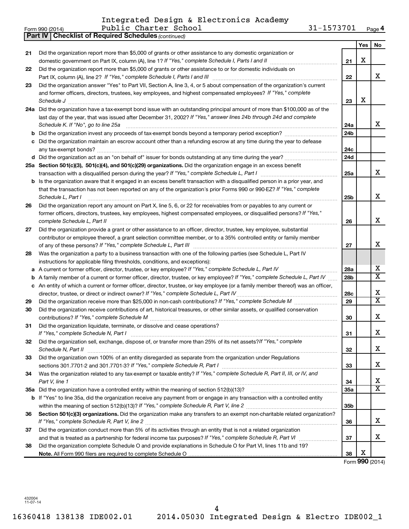Integrated Design & Electronics Academy

|    | 31-1573701<br>Public Charter School<br>Form 990 (2014)                                                                                                    |                 |        | Page 4                       |
|----|-----------------------------------------------------------------------------------------------------------------------------------------------------------|-----------------|--------|------------------------------|
|    | <b>Part IV   Checklist of Required Schedules (continued)</b>                                                                                              |                 |        |                              |
|    |                                                                                                                                                           |                 | Yes    | No                           |
| 21 | Did the organization report more than \$5,000 of grants or other assistance to any domestic organization or                                               |                 |        |                              |
|    | domestic government on Part IX, column (A), line 1? If "Yes," complete Schedule I, Parts I and II                                                         | 21              | X      |                              |
| 22 | Did the organization report more than \$5,000 of grants or other assistance to or for domestic individuals on                                             |                 |        |                              |
|    |                                                                                                                                                           | 22              |        | X                            |
| 23 | Did the organization answer "Yes" to Part VII, Section A, line 3, 4, or 5 about compensation of the organization's current                                |                 |        |                              |
|    | and former officers, directors, trustees, key employees, and highest compensated employees? If "Yes," complete                                            |                 |        |                              |
|    | Schedule J                                                                                                                                                | 23              | X      |                              |
|    | 24a Did the organization have a tax-exempt bond issue with an outstanding principal amount of more than \$100,000 as of the                               |                 |        |                              |
|    | last day of the year, that was issued after December 31, 2002? If "Yes," answer lines 24b through 24d and complete                                        |                 |        |                              |
|    | Schedule K. If "No", go to line 25a                                                                                                                       | 24a             |        | x                            |
| b  |                                                                                                                                                           | 24 <sub>b</sub> |        |                              |
| с  | Did the organization maintain an escrow account other than a refunding escrow at any time during the year to defease                                      |                 |        |                              |
|    |                                                                                                                                                           | 24c             |        |                              |
|    |                                                                                                                                                           | 24d             |        |                              |
|    | 25a Section 501(c)(3), 501(c)(4), and 501(c)(29) organizations. Did the organization engage in an excess benefit                                          |                 |        |                              |
|    |                                                                                                                                                           | 25a             |        | x                            |
|    | <b>b</b> Is the organization aware that it engaged in an excess benefit transaction with a disqualified person in a prior year, and                       |                 |        |                              |
|    | that the transaction has not been reported on any of the organization's prior Forms 990 or 990-EZ? If "Yes," complete                                     |                 |        |                              |
|    | Schedule L. Part I                                                                                                                                        | 25b             |        | x                            |
| 26 | Did the organization report any amount on Part X, line 5, 6, or 22 for receivables from or payables to any current or                                     |                 |        |                              |
|    | former officers, directors, trustees, key employees, highest compensated employees, or disqualified persons? If "Yes,"                                    |                 |        |                              |
|    | complete Schedule L, Part II                                                                                                                              | 26              |        | x                            |
| 27 | Did the organization provide a grant or other assistance to an officer, director, trustee, key employee, substantial                                      |                 |        |                              |
|    | contributor or employee thereof, a grant selection committee member, or to a 35% controlled entity or family member                                       |                 |        |                              |
|    |                                                                                                                                                           | 27              |        | X                            |
| 28 | Was the organization a party to a business transaction with one of the following parties (see Schedule L, Part IV                                         |                 |        |                              |
|    | instructions for applicable filing thresholds, conditions, and exceptions):                                                                               |                 |        |                              |
| а  | A current or former officer, director, trustee, or key employee? If "Yes," complete Schedule L, Part IV                                                   | 28a             |        | х<br>$\overline{\texttt{X}}$ |
| b  | A family member of a current or former officer, director, trustee, or key employee? If "Yes," complete Schedule L, Part IV                                | 28 <sub>b</sub> |        |                              |
|    | c An entity of which a current or former officer, director, trustee, or key employee (or a family member thereof) was an officer,                         |                 |        | х                            |
|    | director, trustee, or direct or indirect owner? If "Yes," complete Schedule L, Part IV                                                                    | 28c             |        | $\overline{\mathtt{x}}$      |
| 29 |                                                                                                                                                           | 29              |        |                              |
| 30 | Did the organization receive contributions of art, historical treasures, or other similar assets, or qualified conservation                               |                 |        | X                            |
|    |                                                                                                                                                           | 30              |        |                              |
| 31 | Did the organization liquidate, terminate, or dissolve and cease operations?                                                                              |                 |        | X                            |
|    | If "Yes," complete Schedule N, Part I<br>Did the organization sell, exchange, dispose of, or transfer more than 25% of its net assets? If "Yes," complete | 31              |        |                              |
| 32 | Schedule N, Part II                                                                                                                                       | 32              |        | х                            |
| 33 | Did the organization own 100% of an entity disregarded as separate from the organization under Regulations                                                |                 |        |                              |
|    |                                                                                                                                                           | 33              |        | х                            |
| 34 | Was the organization related to any tax-exempt or taxable entity? If "Yes," complete Schedule R, Part II, III, or IV, and                                 |                 |        |                              |
|    | Part V, line 1                                                                                                                                            | 34              |        | х                            |
|    |                                                                                                                                                           | 35a             |        | $\overline{\texttt{X}}$      |
|    | b If "Yes" to line 35a, did the organization receive any payment from or engage in any transaction with a controlled entity                               |                 |        |                              |
|    |                                                                                                                                                           | 35b             |        |                              |
| 36 | Section 501(c)(3) organizations. Did the organization make any transfers to an exempt non-charitable related organization?                                |                 |        |                              |
|    |                                                                                                                                                           | 36              |        | x                            |
| 37 | Did the organization conduct more than 5% of its activities through an entity that is not a related organization                                          |                 |        |                              |
|    |                                                                                                                                                           | 37              |        | х                            |
| 38 | Did the organization complete Schedule O and provide explanations in Schedule O for Part VI, lines 11b and 19?                                            |                 |        |                              |
|    |                                                                                                                                                           | 38              | х      |                              |
|    |                                                                                                                                                           |                 | റററ ഹം |                              |

Form (2014) **990**

432004 11-07-14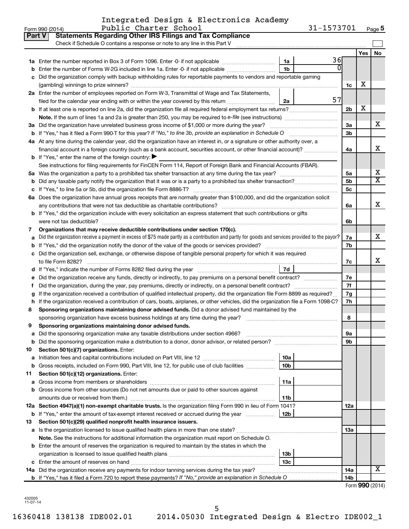|  |  | Integrated Design & Electronics Academy |  |
|--|--|-----------------------------------------|--|
|  |  |                                         |  |

| Part V | <b>Statements Regarding Other IRS Filings and Tax Compliance</b><br>Check if Schedule O contains a response or note to any line in this Part V                                             |                 |    |                 |     |                         |
|--------|--------------------------------------------------------------------------------------------------------------------------------------------------------------------------------------------|-----------------|----|-----------------|-----|-------------------------|
|        |                                                                                                                                                                                            |                 |    |                 | Yes | <b>No</b>               |
|        |                                                                                                                                                                                            | 1a              | 36 |                 |     |                         |
|        | Enter the number of Forms W-2G included in line 1a. Enter -0- if not applicable                                                                                                            | 1 <sub>b</sub>  |    |                 |     |                         |
|        | Did the organization comply with backup withholding rules for reportable payments to vendors and reportable gaming                                                                         |                 |    |                 |     |                         |
|        |                                                                                                                                                                                            |                 |    | 1c              | х   |                         |
|        | 2a Enter the number of employees reported on Form W-3, Transmittal of Wage and Tax Statements,                                                                                             |                 |    |                 |     |                         |
|        | filed for the calendar year ending with or within the year covered by this return                                                                                                          | 2a              | 57 |                 |     |                         |
|        |                                                                                                                                                                                            |                 |    | 2b              | х   |                         |
|        |                                                                                                                                                                                            |                 |    |                 |     |                         |
|        | 3a Did the organization have unrelated business gross income of \$1,000 or more during the year?                                                                                           |                 |    | За              |     | x                       |
|        |                                                                                                                                                                                            |                 |    | 3b              |     |                         |
|        | 4a At any time during the calendar year, did the organization have an interest in, or a signature or other authority over, a                                                               |                 |    |                 |     |                         |
|        | financial account in a foreign country (such as a bank account, securities account, or other financial account)?                                                                           |                 |    | 4a              |     | x                       |
|        | <b>b</b> If "Yes," enter the name of the foreign country: $\blacktriangleright$                                                                                                            |                 |    |                 |     |                         |
|        | See instructions for filing requirements for FinCEN Form 114, Report of Foreign Bank and Financial Accounts (FBAR).                                                                        |                 |    |                 |     |                         |
| 5а     |                                                                                                                                                                                            |                 |    | 5a              |     | x                       |
|        |                                                                                                                                                                                            |                 |    | 5b              |     | $\overline{\mathtt{x}}$ |
|        |                                                                                                                                                                                            |                 |    | 5c              |     |                         |
|        | 6a Does the organization have annual gross receipts that are normally greater than \$100,000, and did the organization solicit                                                             |                 |    |                 |     |                         |
|        | any contributions that were not tax deductible as charitable contributions?                                                                                                                |                 |    | 6a              |     | x                       |
|        | b If "Yes," did the organization include with every solicitation an express statement that such contributions or gifts                                                                     |                 |    |                 |     |                         |
|        |                                                                                                                                                                                            |                 |    | 6b              |     |                         |
| 7      | Organizations that may receive deductible contributions under section 170(c).                                                                                                              |                 |    |                 |     |                         |
|        | Did the organization receive a payment in excess of \$75 made partly as a contribution and partly for goods and services provided to the payor?                                            |                 |    | 7a              |     | x                       |
|        |                                                                                                                                                                                            |                 |    | 7b              |     |                         |
|        | Did the organization sell, exchange, or otherwise dispose of tangible personal property for which it was required                                                                          |                 |    |                 |     |                         |
|        |                                                                                                                                                                                            |                 |    | 7c              |     | x                       |
|        |                                                                                                                                                                                            | 7d              |    |                 |     |                         |
|        | Did the organization receive any funds, directly or indirectly, to pay premiums on a personal benefit contract?                                                                            |                 |    | 7е<br>7f        |     |                         |
|        | Did the organization, during the year, pay premiums, directly or indirectly, on a personal benefit contract?                                                                               |                 |    |                 |     |                         |
|        | If the organization received a contribution of qualified intellectual property, did the organization file Form 8899 as required?                                                           |                 |    | 7g<br>7h        |     |                         |
| h      | If the organization received a contribution of cars, boats, airplanes, or other vehicles, did the organization file a Form 1098-C?                                                         |                 |    |                 |     |                         |
| 8      | Sponsoring organizations maintaining donor advised funds. Did a donor advised fund maintained by the<br>sponsoring organization have excess business holdings at any time during the year? |                 |    | 8               |     |                         |
| 9      | Sponsoring organizations maintaining donor advised funds.                                                                                                                                  |                 |    |                 |     |                         |
|        | Did the sponsoring organization make any taxable distributions under section 4966?                                                                                                         |                 |    | υа              |     |                         |
|        | <b>b</b> Did the sponsoring organization make a distribution to a donor, donor advisor, or related person?                                                                                 |                 |    | 9b              |     |                         |
| 10     | Section 501(c)(7) organizations. Enter:                                                                                                                                                    |                 |    |                 |     |                         |
| a      |                                                                                                                                                                                            | 10a             |    |                 |     |                         |
|        | <b>b</b> Gross receipts, included on Form 990, Part VIII, line 12, for public use of club facilities                                                                                       | 10 <sub>b</sub> |    |                 |     |                         |
| 11     | Section 501(c)(12) organizations. Enter:                                                                                                                                                   |                 |    |                 |     |                         |
| а      | Gross income from members or shareholders                                                                                                                                                  | 11a             |    |                 |     |                         |
|        | b Gross income from other sources (Do not net amounts due or paid to other sources against                                                                                                 |                 |    |                 |     |                         |
|        | amounts due or received from them.)                                                                                                                                                        | 11b             |    |                 |     |                         |
|        | 12a Section 4947(a)(1) non-exempt charitable trusts. Is the organization filing Form 990 in lieu of Form 1041?                                                                             |                 |    | 12a             |     |                         |
|        | <b>b</b> If "Yes," enter the amount of tax-exempt interest received or accrued during the year                                                                                             | 12b             |    |                 |     |                         |
| 13     | Section 501(c)(29) qualified nonprofit health insurance issuers.                                                                                                                           |                 |    |                 |     |                         |
|        | a Is the organization licensed to issue qualified health plans in more than one state?                                                                                                     |                 |    | 13a             |     |                         |
|        | Note. See the instructions for additional information the organization must report on Schedule O.                                                                                          |                 |    |                 |     |                         |
|        | <b>b</b> Enter the amount of reserves the organization is required to maintain by the states in which the                                                                                  |                 |    |                 |     |                         |
|        |                                                                                                                                                                                            | 13b             |    |                 |     |                         |
|        |                                                                                                                                                                                            | 13 <sub>c</sub> |    |                 |     |                         |
|        | 14a Did the organization receive any payments for indoor tanning services during the tax year?                                                                                             |                 |    | 14a             |     | X                       |
|        |                                                                                                                                                                                            |                 |    | 14 <sub>b</sub> |     |                         |

432005 11-07-14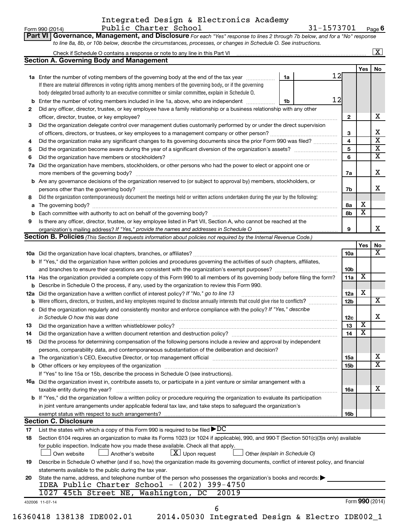#### Form 990 (2014) Page Integrated Design & Electronics Academy Public Charter School 31-1573701

31-1573701 Page 6

|     | Check if Schedule O contains a response or note to any line in this Part VI [11] [12] [12] [12] [12] [12] Check if Schedule O contains a response or note to any line in this Part VI                                               |    |                 |                         | $\sqrt{X}$              |
|-----|-------------------------------------------------------------------------------------------------------------------------------------------------------------------------------------------------------------------------------------|----|-----------------|-------------------------|-------------------------|
|     | <b>Section A. Governing Body and Management</b>                                                                                                                                                                                     |    |                 |                         |                         |
|     |                                                                                                                                                                                                                                     |    |                 | Yes                     | No                      |
|     | 1a Enter the number of voting members of the governing body at the end of the tax year                                                                                                                                              | 1a | 12              |                         |                         |
|     | If there are material differences in voting rights among members of the governing body, or if the governing                                                                                                                         |    |                 |                         |                         |
|     | body delegated broad authority to an executive committee or similar committee, explain in Schedule O.                                                                                                                               |    |                 |                         |                         |
|     | <b>b</b> Enter the number of voting members included in line 1a, above, who are independent <i>manumum</i>                                                                                                                          | 1b | 12              |                         |                         |
| 2   | Did any officer, director, trustee, or key employee have a family relationship or a business relationship with any other                                                                                                            |    |                 |                         |                         |
|     |                                                                                                                                                                                                                                     |    | $\mathbf{2}$    |                         | х                       |
| З   | Did the organization delegate control over management duties customarily performed by or under the direct supervision                                                                                                               |    |                 |                         | Х                       |
|     |                                                                                                                                                                                                                                     |    | 3               |                         | $\overline{\mathbf{x}}$ |
| 4   | Did the organization make any significant changes to its governing documents since the prior Form 990 was filed?                                                                                                                    |    | 4               |                         | $\overline{\mathbf{X}}$ |
| 5   |                                                                                                                                                                                                                                     |    | 5               |                         | $\overline{\mathbf{X}}$ |
| 6   |                                                                                                                                                                                                                                     |    | 6               |                         |                         |
| 7a  | Did the organization have members, stockholders, or other persons who had the power to elect or appoint one or                                                                                                                      |    |                 |                         | X                       |
|     |                                                                                                                                                                                                                                     |    | 7a              |                         |                         |
|     | <b>b</b> Are any governance decisions of the organization reserved to (or subject to approval by) members, stockholders, or                                                                                                         |    |                 |                         | x                       |
| 8   | Did the organization contemporaneously document the meetings held or written actions undertaken during the year by the following:                                                                                                   |    | 7b              |                         |                         |
|     |                                                                                                                                                                                                                                     |    | 8а              | х                       |                         |
| a   |                                                                                                                                                                                                                                     |    | 8b              | $\overline{\textbf{x}}$ |                         |
| 9   | Is there any officer, director, trustee, or key employee listed in Part VII, Section A, who cannot be reached at the                                                                                                                |    |                 |                         |                         |
|     |                                                                                                                                                                                                                                     |    | 9               |                         | x                       |
|     | <b>Section B. Policies</b> (This Section B requests information about policies not required by the Internal Revenue Code.)                                                                                                          |    |                 |                         |                         |
|     |                                                                                                                                                                                                                                     |    |                 | Yes                     | No                      |
|     |                                                                                                                                                                                                                                     |    | 10a             |                         | х                       |
|     | b If "Yes," did the organization have written policies and procedures governing the activities of such chapters, affiliates,                                                                                                        |    |                 |                         |                         |
|     |                                                                                                                                                                                                                                     |    | 10b             |                         |                         |
|     | 11a Has the organization provided a complete copy of this Form 990 to all members of its governing body before filing the form?                                                                                                     |    | 11a             | $\overline{\textbf{X}}$ |                         |
|     | <b>b</b> Describe in Schedule O the process, if any, used by the organization to review this Form 990.                                                                                                                              |    |                 |                         |                         |
| 12a | Did the organization have a written conflict of interest policy? If "No," go to line 13                                                                                                                                             |    | 12a             | X                       |                         |
|     | <b>b</b> Were officers, directors, or trustees, and key employees required to disclose annually interests that could give rise to conflicts?                                                                                        |    | 12 <sub>b</sub> |                         | X                       |
|     | c Did the organization regularly and consistently monitor and enforce compliance with the policy? If "Yes," describe                                                                                                                |    |                 |                         |                         |
|     | in Schedule O how this was done <b>construction and construction</b> of the state of the state of the state of the state of the state of the state of the state of the state of the state of the state of the state of the state of |    | 12c             |                         | X                       |
| 13  |                                                                                                                                                                                                                                     |    | 13              | $\overline{\mathbf{X}}$ |                         |
| 14  | Did the organization have a written document retention and destruction policy? [111] [12] manument contains an                                                                                                                      |    | 14              | $\overline{\mathtt{x}}$ |                         |
| 15  | Did the process for determining compensation of the following persons include a review and approval by independent                                                                                                                  |    |                 |                         |                         |
|     | persons, comparability data, and contemporaneous substantiation of the deliberation and decision?                                                                                                                                   |    |                 |                         |                         |
| a   |                                                                                                                                                                                                                                     |    | 15a             |                         | х                       |
|     |                                                                                                                                                                                                                                     |    | 15b             |                         | $\overline{\textbf{X}}$ |
|     | If "Yes" to line 15a or 15b, describe the process in Schedule O (see instructions).                                                                                                                                                 |    |                 |                         |                         |
|     | 16a Did the organization invest in, contribute assets to, or participate in a joint venture or similar arrangement with a                                                                                                           |    |                 |                         |                         |
|     | taxable entity during the year?                                                                                                                                                                                                     |    | 16a             |                         | х                       |
|     | <b>b</b> If "Yes," did the organization follow a written policy or procedure requiring the organization to evaluate its participation                                                                                               |    |                 |                         |                         |
|     | in joint venture arrangements under applicable federal tax law, and take steps to safeguard the organization's                                                                                                                      |    |                 |                         |                         |
|     | exempt status with respect to such arrangements?                                                                                                                                                                                    |    | 16b             |                         |                         |
|     | <b>Section C. Disclosure</b>                                                                                                                                                                                                        |    |                 |                         |                         |
| 17  | List the states with which a copy of this Form 990 is required to be filed $\blacktriangleright DC$                                                                                                                                 |    |                 |                         |                         |
| 18  | Section 6104 requires an organization to make its Forms 1023 (or 1024 if applicable), 990, and 990-T (Section 501(c)(3)s only) available                                                                                            |    |                 |                         |                         |
|     | for public inspection. Indicate how you made these available. Check all that apply.                                                                                                                                                 |    |                 |                         |                         |
|     | $\lfloor x \rfloor$ Upon request<br>Another's website<br>Other (explain in Schedule O)<br>Own website                                                                                                                               |    |                 |                         |                         |
| 19  | Describe in Schedule O whether (and if so, how) the organization made its governing documents, conflict of interest policy, and financial                                                                                           |    |                 |                         |                         |
|     | statements available to the public during the tax year.                                                                                                                                                                             |    |                 |                         |                         |
| 20  | State the name, address, and telephone number of the person who possesses the organization's books and records:                                                                                                                     |    |                 |                         |                         |
|     | IDEA Public Charter School - (202) 399-4750                                                                                                                                                                                         |    |                 |                         |                         |
|     | 1027 45th Street NE, Washington, DC<br>20019                                                                                                                                                                                        |    |                 |                         |                         |
|     |                                                                                                                                                                                                                                     |    |                 |                         |                         |
|     | 432006 11-07-14<br>6                                                                                                                                                                                                                |    |                 | Form 990 (2014)         |                         |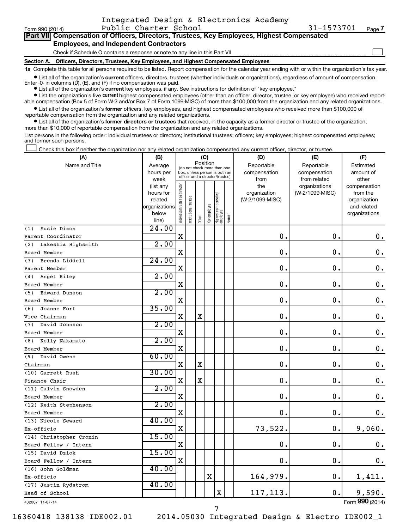| Form 990 (2014)                                                                            | Public Charter School                                                                      | 31-1573701 | Page 7 |  |  |  |  |  |
|--------------------------------------------------------------------------------------------|--------------------------------------------------------------------------------------------|------------|--------|--|--|--|--|--|
| Part VII Compensation of Officers, Directors, Trustees, Key Employees, Highest Compensated |                                                                                            |            |        |  |  |  |  |  |
| <b>Employees, and Independent Contractors</b>                                              |                                                                                            |            |        |  |  |  |  |  |
|                                                                                            | Check if Schedule O contains a response or note to any line in this Part VII               |            |        |  |  |  |  |  |
|                                                                                            | Section A. Officers, Directors, Trustees, Key Employees, and Highest Compensated Employees |            |        |  |  |  |  |  |

Integrated Design & Electronics Academy

**1a**  Complete this table for all persons required to be listed. Report compensation for the calendar year ending with or within the organization's tax year.

 $\bullet$  List all of the organization's current officers, directors, trustees (whether individuals or organizations), regardless of amount of compensation. Enter -0- in columns  $(D)$ ,  $(E)$ , and  $(F)$  if no compensation was paid.

**•** List all of the organization's **current** key employees, if any. See instructions for definition of "key employee."

**•** List the organization's five current highest compensated employees (other than an officer, director, trustee, or key employee) who received reportable compensation (Box 5 of Form W-2 and/or Box 7 of Form 1099-MISC) of more than \$100,000 from the organization and any related organizations.

**•** List all of the organization's former officers, key employees, and highest compensated employees who received more than \$100,000 of reportable compensation from the organization and any related organizations.

**•** List all of the organization's former directors or trustees that received, in the capacity as a former director or trustee of the organization, more than \$10,000 of reportable compensation from the organization and any related organizations.

List persons in the following order: individual trustees or directors; institutional trustees; officers; key employees; highest compensated employees; and former such persons.

Check this box if neither the organization nor any related organization compensated any current officer, director, or trustee.  $\Box$ 

| (A)                       | (B)                    |                                |                                                              | (C)         |              |                                 |        | (D)                        | (E)                        | (F)                          |
|---------------------------|------------------------|--------------------------------|--------------------------------------------------------------|-------------|--------------|---------------------------------|--------|----------------------------|----------------------------|------------------------------|
| Name and Title            | Average<br>hours per   |                                | (do not check more than one<br>box, unless person is both an |             | Position     |                                 |        | Reportable<br>compensation | Reportable<br>compensation | Estimated<br>amount of       |
|                           | week                   |                                | officer and a director/trustee)                              |             |              |                                 |        | from                       | from related               | other                        |
|                           | (list any              |                                |                                                              |             |              |                                 |        | the                        | organizations              | compensation                 |
|                           | hours for              |                                |                                                              |             |              |                                 |        | organization               | (W-2/1099-MISC)            | from the                     |
|                           | related                |                                |                                                              |             |              |                                 |        | (W-2/1099-MISC)            |                            | organization                 |
|                           | organizations<br>below |                                |                                                              |             |              |                                 |        |                            |                            | and related<br>organizations |
|                           | line)                  | Individual trustee or director | nstitutional trustee                                         | Officer     | Key employee | Highest compensated<br>employee | Former |                            |                            |                              |
| Susie Dixon<br>(1)        | 24.00                  |                                |                                                              |             |              |                                 |        |                            |                            |                              |
| Parent Coordinator        |                        | $\mathbf X$                    |                                                              |             |              |                                 |        | $\mathbf 0$ .              | $\mathbf 0$ .              | $\boldsymbol{0}$ .           |
| Lakeshia Highsmith<br>(2) | 2.00                   |                                |                                                              |             |              |                                 |        |                            |                            |                              |
| Board Member              |                        | X                              |                                                              |             |              |                                 |        | $\mathbf 0$                | $\mathbf 0$ .              | 0.                           |
| Brenda Liddell<br>(3)     | 24.00                  |                                |                                                              |             |              |                                 |        |                            |                            |                              |
| Parent Member             |                        | X                              |                                                              |             |              |                                 |        | $\mathbf 0$                | 0.                         | 0.                           |
| Angel Riley<br>(4)        | 2.00                   |                                |                                                              |             |              |                                 |        |                            |                            |                              |
| Board Member              |                        | $\mathbf X$                    |                                                              |             |              |                                 |        | 0.                         | $\mathbf 0$ .              | $\mathbf 0$ .                |
| Edward Dunson<br>(5)      | 2.00                   |                                |                                                              |             |              |                                 |        |                            |                            |                              |
| Board Member              |                        | X                              |                                                              |             |              |                                 |        | $\mathbf 0$                | $\mathbf 0$ .              | $\mathbf 0$ .                |
| Joanne Fort<br>(6)        | 35.00                  |                                |                                                              |             |              |                                 |        |                            |                            |                              |
| Vice Chairman             |                        | $\mathbf X$                    |                                                              | $\mathbf X$ |              |                                 |        | $\mathbf 0$                | $\mathbf 0$                | 0.                           |
| David Johnson<br>(7)      | 2.00                   |                                |                                                              |             |              |                                 |        |                            |                            |                              |
| Board Member              |                        | X                              |                                                              |             |              |                                 |        | 0.                         | $\mathbf 0$ .              | $\mathbf 0$ .                |
| Kelly Nakamato<br>(8)     | 2.00                   |                                |                                                              |             |              |                                 |        |                            |                            |                              |
| Board Member              |                        | X                              |                                                              |             |              |                                 |        | 0.                         | $\mathbf 0$                | $0$ .                        |
| David Owens<br>(9)        | 60.00                  |                                |                                                              |             |              |                                 |        |                            |                            |                              |
| Chairman                  |                        | X                              |                                                              | $\mathbf X$ |              |                                 |        | $\mathbf 0$ .              | $\mathbf 0$ .              | 0.                           |
| (10) Garrett Rush         | 30.00                  |                                |                                                              |             |              |                                 |        |                            |                            |                              |
| Finance Chair             |                        | $\mathbf X$                    |                                                              | $\mathbf X$ |              |                                 |        | $\mathbf 0$ .              | $\mathbf 0$ .              | 0.                           |
| (11) Calvin Snowden       | 2.00                   |                                |                                                              |             |              |                                 |        |                            |                            |                              |
| Board Member              |                        | X                              |                                                              |             |              |                                 |        | 0.                         | $\mathbf 0$ .              | 0.                           |
| (12) Keith Stephenson     | 2.00                   |                                |                                                              |             |              |                                 |        |                            |                            |                              |
| Board Member              |                        | $\mathbf X$                    |                                                              |             |              |                                 |        | 0.                         | $\mathbf 0$ .              | $\mathbf 0$ .                |
| (13) Nicole Seward        | 40.00                  |                                |                                                              |             |              |                                 |        |                            |                            |                              |
| Ex-officio                |                        | $\mathbf X$                    |                                                              |             |              |                                 |        | 73,522.                    | 0.                         | 9,060.                       |
| (14) Christopher Cronin   | 15.00                  |                                |                                                              |             |              |                                 |        |                            |                            |                              |
| Board Fellow / Intern     |                        | $\mathbf X$                    |                                                              |             |              |                                 |        | 0.                         | $\mathbf 0$ .              | 0.                           |
| (15) David Dziok          | 15.00                  |                                |                                                              |             |              |                                 |        |                            |                            |                              |
| Board Fellow / Intern     |                        | $\mathbf X$                    |                                                              |             |              |                                 |        | 0.                         | 0.                         | 0.                           |
| (16) John Goldman         | 40.00                  |                                |                                                              |             |              |                                 |        |                            |                            |                              |
| Ex-officio                |                        |                                |                                                              |             | $\mathbf X$  |                                 |        | 164,979.                   | 0.                         | 1,411.                       |
| (17) Justin Rydstrom      | 40.00                  |                                |                                                              |             |              |                                 |        |                            |                            |                              |
| Head of School            |                        |                                |                                                              |             |              | X                               |        | 117,113.                   | $\mathbf 0$ .              | 9,590.                       |

432007 11-07-14

16360418 138138 IDE002.01 2014.05030 Integrated Design & Electro IDE002\_1

7

Form (2014) **990**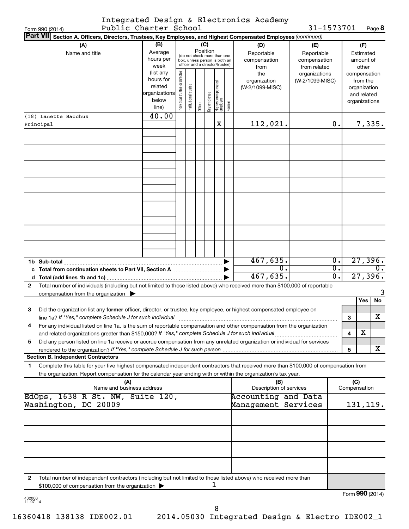|                 | Integrated Design & Electronics Academy |  |
|-----------------|-----------------------------------------|--|
| — 11' Al + Al 1 |                                         |  |

31-1573701 Page 8

|   | Form 990 (2014)                                                                                                                      | Public Charter School |                                |                       |          |              |                                                              |        |                         | 31-1573701      |                  |                 |              | Page 8           |
|---|--------------------------------------------------------------------------------------------------------------------------------------|-----------------------|--------------------------------|-----------------------|----------|--------------|--------------------------------------------------------------|--------|-------------------------|-----------------|------------------|-----------------|--------------|------------------|
|   | <b>Part VII</b><br>Section A. Officers, Directors, Trustees, Key Employees, and Highest Compensated Employees (continued)            |                       |                                |                       |          |              |                                                              |        |                         |                 |                  |                 |              |                  |
|   | (A)                                                                                                                                  | (B)                   |                                |                       |          | (C)          |                                                              |        | (D)                     | (E)             |                  |                 | (F)          |                  |
|   | Name and title                                                                                                                       | Average               |                                |                       | Position |              |                                                              |        | Reportable              | Reportable      |                  |                 | Estimated    |                  |
|   |                                                                                                                                      | hours per             |                                |                       |          |              | (do not check more than one<br>box, unless person is both an |        | compensation            | compensation    |                  |                 | amount of    |                  |
|   |                                                                                                                                      | week                  |                                |                       |          |              | officer and a director/trustee)                              |        | from                    | from related    |                  |                 | other        |                  |
|   |                                                                                                                                      | (list any             |                                |                       |          |              |                                                              |        | the                     | organizations   |                  | compensation    |              |                  |
|   |                                                                                                                                      | hours for             |                                |                       |          |              |                                                              |        | organization            | (W-2/1099-MISC) |                  |                 | from the     |                  |
|   |                                                                                                                                      | related               |                                |                       |          |              |                                                              |        | (W-2/1099-MISC)         |                 |                  |                 | organization |                  |
|   |                                                                                                                                      | organizations         |                                |                       |          |              |                                                              |        |                         |                 |                  |                 | and related  |                  |
|   |                                                                                                                                      | below                 | Individual trustee or director | Institutional trustee |          | Key employee | Highest compensated<br>employee                              |        |                         |                 |                  | organizations   |              |                  |
|   |                                                                                                                                      | line)                 |                                |                       | Officer  |              |                                                              | Former |                         |                 |                  |                 |              |                  |
|   | (18) Lanette Bacchus                                                                                                                 | 40.00                 |                                |                       |          |              |                                                              |        |                         |                 |                  |                 |              |                  |
|   | Principal                                                                                                                            |                       |                                |                       |          |              | Χ                                                            |        | 112,021.                |                 | 0.               |                 |              | 7,335.           |
|   |                                                                                                                                      |                       |                                |                       |          |              |                                                              |        |                         |                 |                  |                 |              |                  |
|   |                                                                                                                                      |                       |                                |                       |          |              |                                                              |        |                         |                 |                  |                 |              |                  |
|   |                                                                                                                                      |                       |                                |                       |          |              |                                                              |        |                         |                 |                  |                 |              |                  |
|   |                                                                                                                                      |                       |                                |                       |          |              |                                                              |        |                         |                 |                  |                 |              |                  |
|   |                                                                                                                                      |                       |                                |                       |          |              |                                                              |        |                         |                 |                  |                 |              |                  |
|   |                                                                                                                                      |                       |                                |                       |          |              |                                                              |        |                         |                 |                  |                 |              |                  |
|   |                                                                                                                                      |                       |                                |                       |          |              |                                                              |        |                         |                 |                  |                 |              |                  |
|   |                                                                                                                                      |                       |                                |                       |          |              |                                                              |        |                         |                 |                  |                 |              |                  |
|   |                                                                                                                                      |                       |                                |                       |          |              |                                                              |        |                         |                 |                  |                 |              |                  |
|   |                                                                                                                                      |                       |                                |                       |          |              |                                                              |        |                         |                 |                  |                 |              |                  |
|   |                                                                                                                                      |                       |                                |                       |          |              |                                                              |        |                         |                 |                  |                 |              |                  |
|   |                                                                                                                                      |                       |                                |                       |          |              |                                                              |        |                         |                 |                  |                 |              |                  |
|   |                                                                                                                                      |                       |                                |                       |          |              |                                                              |        |                         |                 |                  |                 |              |                  |
|   |                                                                                                                                      |                       |                                |                       |          |              |                                                              |        |                         |                 |                  |                 |              |                  |
|   |                                                                                                                                      |                       |                                |                       |          |              |                                                              |        |                         |                 |                  |                 |              |                  |
|   |                                                                                                                                      |                       |                                |                       |          |              |                                                              |        |                         |                 |                  |                 |              |                  |
|   |                                                                                                                                      |                       |                                |                       |          |              |                                                              |        |                         |                 |                  |                 |              |                  |
|   |                                                                                                                                      |                       |                                |                       |          |              |                                                              |        | 467,635.                |                 | $\overline{0}$ . |                 |              | 27,396.          |
|   | c Total from continuation sheets to Part VII, Section A manuscription of                                                             |                       |                                |                       |          |              |                                                              |        | σ.                      |                 | $\overline{0}$ . |                 |              | $\overline{0}$ . |
|   |                                                                                                                                      |                       |                                |                       |          |              |                                                              |        | 467,635.                |                 | $\overline{0}$ . |                 |              | 27,396.          |
| 2 | Total number of individuals (including but not limited to those listed above) who received more than \$100,000 of reportable         |                       |                                |                       |          |              |                                                              |        |                         |                 |                  |                 |              |                  |
|   |                                                                                                                                      |                       |                                |                       |          |              |                                                              |        |                         |                 |                  |                 |              | 3                |
|   | compensation from the organization $\blacktriangleright$                                                                             |                       |                                |                       |          |              |                                                              |        |                         |                 |                  |                 | Yes          | No               |
|   |                                                                                                                                      |                       |                                |                       |          |              |                                                              |        |                         |                 |                  |                 |              |                  |
| 3 | Did the organization list any former officer, director, or trustee, key employee, or highest compensated employee on                 |                       |                                |                       |          |              |                                                              |        |                         |                 |                  |                 |              |                  |
|   | line 1a? If "Yes," complete Schedule J for such individual [11] manufacture material manufacture material manu                       |                       |                                |                       |          |              |                                                              |        |                         |                 |                  | 3               |              | X                |
|   | For any individual listed on line 1a, is the sum of reportable compensation and other compensation from the organization             |                       |                                |                       |          |              |                                                              |        |                         |                 |                  |                 |              |                  |
|   | and related organizations greater than \$150,000? If "Yes," complete Schedule J for such individual                                  |                       |                                |                       |          |              |                                                              |        |                         |                 |                  | 4               | х            |                  |
| 5 | Did any person listed on line 1a receive or accrue compensation from any unrelated organization or individual for services           |                       |                                |                       |          |              |                                                              |        |                         |                 |                  |                 |              |                  |
|   | rendered to the organization? If "Yes," complete Schedule J for such person                                                          |                       |                                |                       |          |              |                                                              |        |                         |                 |                  | 5               |              | x                |
|   | <b>Section B. Independent Contractors</b>                                                                                            |                       |                                |                       |          |              |                                                              |        |                         |                 |                  |                 |              |                  |
| 1 | Complete this table for your five highest compensated independent contractors that received more than \$100,000 of compensation from |                       |                                |                       |          |              |                                                              |        |                         |                 |                  |                 |              |                  |
|   | the organization. Report compensation for the calendar year ending with or within the organization's tax year.                       |                       |                                |                       |          |              |                                                              |        |                         |                 |                  |                 |              |                  |
|   | (A)                                                                                                                                  |                       |                                |                       |          |              |                                                              |        | (B)                     |                 |                  | (C)             |              |                  |
|   | Name and business address                                                                                                            |                       |                                |                       |          |              |                                                              |        | Description of services |                 |                  | Compensation    |              |                  |
|   | EdOps, 1638 R St. NW, Suite 120,                                                                                                     |                       |                                |                       |          |              |                                                              |        | Accounting and Data     |                 |                  |                 |              |                  |
|   | Washington, DC 20009                                                                                                                 |                       |                                |                       |          |              |                                                              |        | Management Services     |                 |                  | 131,119.        |              |                  |
|   |                                                                                                                                      |                       |                                |                       |          |              |                                                              |        |                         |                 |                  |                 |              |                  |
|   |                                                                                                                                      |                       |                                |                       |          |              |                                                              |        |                         |                 |                  |                 |              |                  |
|   |                                                                                                                                      |                       |                                |                       |          |              |                                                              |        |                         |                 |                  |                 |              |                  |
|   |                                                                                                                                      |                       |                                |                       |          |              |                                                              |        |                         |                 |                  |                 |              |                  |
|   |                                                                                                                                      |                       |                                |                       |          |              |                                                              |        |                         |                 |                  |                 |              |                  |
|   |                                                                                                                                      |                       |                                |                       |          |              |                                                              |        |                         |                 |                  |                 |              |                  |
|   |                                                                                                                                      |                       |                                |                       |          |              |                                                              |        |                         |                 |                  |                 |              |                  |
|   |                                                                                                                                      |                       |                                |                       |          |              |                                                              |        |                         |                 |                  |                 |              |                  |
|   |                                                                                                                                      |                       |                                |                       |          |              |                                                              |        |                         |                 |                  |                 |              |                  |
| 2 | Total number of independent contractors (including but not limited to those listed above) who received more than                     |                       |                                |                       |          |              |                                                              |        |                         |                 |                  |                 |              |                  |
|   | \$100,000 of compensation from the organization >                                                                                    |                       |                                |                       |          |              | ı                                                            |        |                         |                 |                  |                 |              |                  |
|   |                                                                                                                                      |                       |                                |                       |          |              |                                                              |        |                         |                 |                  | Form 990 (2014) |              |                  |

432008 11-07-14

8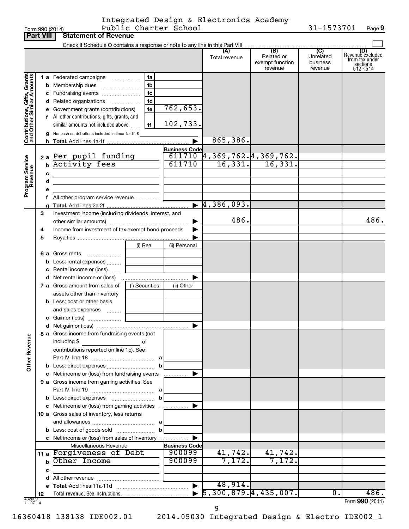### Form 990 (2014) Page Public Charter School 31-1573701 Integrated Design & Electronics Academy

**9**

|                              | <b>Part VIII</b> | <b>Statement of Revenue</b>                                                                                                                                                  |                |                       |                                                                           |                                                 |                                         |                                                                    |
|------------------------------|------------------|------------------------------------------------------------------------------------------------------------------------------------------------------------------------------|----------------|-----------------------|---------------------------------------------------------------------------|-------------------------------------------------|-----------------------------------------|--------------------------------------------------------------------|
|                              |                  | Check if Schedule O contains a response or note to any line in this Part VIII                                                                                                |                |                       |                                                                           |                                                 |                                         |                                                                    |
|                              |                  |                                                                                                                                                                              |                |                       | (A)<br>Total revenue                                                      | (B)<br>Related or<br>exempt function<br>revenue | (C)<br>Unrelated<br>business<br>revenue | (D)<br>Revenue excluded<br>from tax under<br>sections<br>512 - 514 |
|                              |                  | 1 a Federated campaigns                                                                                                                                                      | 1a             |                       |                                                                           |                                                 |                                         |                                                                    |
|                              |                  | <b>b</b> Membership dues                                                                                                                                                     | 1b             |                       |                                                                           |                                                 |                                         |                                                                    |
|                              |                  | c Fundraising events                                                                                                                                                         | 1c             |                       |                                                                           |                                                 |                                         |                                                                    |
|                              |                  | <b>d</b> Related organizations<br>$\overline{\phantom{a}}$                                                                                                                   | 1 <sub>d</sub> |                       |                                                                           |                                                 |                                         |                                                                    |
|                              |                  | e Government grants (contributions)                                                                                                                                          | 1e             | 762,653.              |                                                                           |                                                 |                                         |                                                                    |
|                              |                  | f All other contributions, gifts, grants, and                                                                                                                                |                |                       |                                                                           |                                                 |                                         |                                                                    |
|                              |                  | similar amounts not included above                                                                                                                                           | 1f             | 102,733.              |                                                                           |                                                 |                                         |                                                                    |
| Contributions, Gifts, Grants |                  | g Noncash contributions included in lines 1a-1f: \$                                                                                                                          |                |                       |                                                                           |                                                 |                                         |                                                                    |
|                              |                  |                                                                                                                                                                              |                |                       | 865,386.                                                                  |                                                 |                                         |                                                                    |
|                              |                  |                                                                                                                                                                              |                | <b>Business Code</b>  |                                                                           |                                                 |                                         |                                                                    |
|                              |                  | 2 a Per pupil funding                                                                                                                                                        |                |                       | $\overline{611710}$ 4, 369, 762. 4, 369, 762.<br>611710 16, 331. 16, 331. |                                                 |                                         |                                                                    |
|                              | b                | <b>Activity fees</b>                                                                                                                                                         |                |                       |                                                                           |                                                 |                                         |                                                                    |
|                              | c                | $\mathcal{L}^{\mathcal{L}}(\mathcal{L}^{\mathcal{L}})$ and $\mathcal{L}^{\mathcal{L}}(\mathcal{L}^{\mathcal{L}})$ and $\mathcal{L}^{\mathcal{L}}(\mathcal{L}^{\mathcal{L}})$ |                |                       |                                                                           |                                                 |                                         |                                                                    |
|                              | d                | <u> 1989 - Johann Barbara, martin amerikan basal dan berasal dan berasal dalam basal dalam basal dan berasal dala</u>                                                        |                |                       |                                                                           |                                                 |                                         |                                                                    |
| Program Service<br>Revenue   |                  |                                                                                                                                                                              |                |                       |                                                                           |                                                 |                                         |                                                                    |
|                              |                  | f All other program service revenue                                                                                                                                          |                |                       |                                                                           |                                                 |                                         |                                                                    |
|                              |                  |                                                                                                                                                                              |                |                       | $\blacktriangleright$ 4,386,093.                                          |                                                 |                                         |                                                                    |
|                              | 3                | Investment income (including dividends, interest, and                                                                                                                        |                |                       | 486.                                                                      |                                                 |                                         | 486.                                                               |
|                              |                  |                                                                                                                                                                              |                |                       |                                                                           |                                                 |                                         |                                                                    |
|                              | 4                | Income from investment of tax-exempt bond proceeds                                                                                                                           |                |                       |                                                                           |                                                 |                                         |                                                                    |
|                              | 5                |                                                                                                                                                                              | (i) Real       | (ii) Personal         |                                                                           |                                                 |                                         |                                                                    |
|                              |                  | Gross rents                                                                                                                                                                  |                |                       |                                                                           |                                                 |                                         |                                                                    |
|                              | 6а<br>b          | Less: rental expenses                                                                                                                                                        |                |                       |                                                                           |                                                 |                                         |                                                                    |
|                              |                  | c Rental income or (loss)                                                                                                                                                    |                |                       |                                                                           |                                                 |                                         |                                                                    |
|                              |                  |                                                                                                                                                                              |                |                       |                                                                           |                                                 |                                         |                                                                    |
|                              |                  | 7 a Gross amount from sales of                                                                                                                                               | (i) Securities | (ii) Other            |                                                                           |                                                 |                                         |                                                                    |
|                              |                  | assets other than inventory                                                                                                                                                  |                |                       |                                                                           |                                                 |                                         |                                                                    |
|                              |                  | <b>b</b> Less: cost or other basis                                                                                                                                           |                |                       |                                                                           |                                                 |                                         |                                                                    |
|                              |                  | and sales expenses                                                                                                                                                           |                |                       |                                                                           |                                                 |                                         |                                                                    |
|                              |                  |                                                                                                                                                                              |                |                       |                                                                           |                                                 |                                         |                                                                    |
|                              |                  |                                                                                                                                                                              |                |                       |                                                                           |                                                 |                                         |                                                                    |
|                              |                  | 8 a Gross income from fundraising events (not                                                                                                                                |                |                       |                                                                           |                                                 |                                         |                                                                    |
| <b>Other Revenue</b>         |                  | including \$                                                                                                                                                                 | оf             |                       |                                                                           |                                                 |                                         |                                                                    |
|                              |                  | contributions reported on line 1c). See                                                                                                                                      |                |                       |                                                                           |                                                 |                                         |                                                                    |
|                              |                  |                                                                                                                                                                              |                |                       |                                                                           |                                                 |                                         |                                                                    |
|                              |                  |                                                                                                                                                                              |                |                       |                                                                           |                                                 |                                         |                                                                    |
|                              |                  | c Net income or (loss) from fundraising events                                                                                                                               |                | .                     |                                                                           |                                                 |                                         |                                                                    |
|                              |                  | 9 a Gross income from gaming activities. See                                                                                                                                 |                |                       |                                                                           |                                                 |                                         |                                                                    |
|                              |                  |                                                                                                                                                                              |                |                       |                                                                           |                                                 |                                         |                                                                    |
|                              |                  |                                                                                                                                                                              | b              |                       |                                                                           |                                                 |                                         |                                                                    |
|                              |                  | c Net income or (loss) from gaming activities                                                                                                                                |                |                       |                                                                           |                                                 |                                         |                                                                    |
|                              |                  | 10 a Gross sales of inventory, less returns                                                                                                                                  |                |                       |                                                                           |                                                 |                                         |                                                                    |
|                              |                  |                                                                                                                                                                              | b              |                       |                                                                           |                                                 |                                         |                                                                    |
|                              |                  | c Net income or (loss) from sales of inventory                                                                                                                               |                |                       |                                                                           |                                                 |                                         |                                                                    |
|                              |                  | Miscellaneous Revenue                                                                                                                                                        |                | <b>Business Code</b>  |                                                                           |                                                 |                                         |                                                                    |
|                              |                  | 11 a Forgiveness of Debt                                                                                                                                                     |                | 900099                | 41,742.                                                                   | 41,742.                                         |                                         |                                                                    |
|                              |                  | <b>b</b> Other Income                                                                                                                                                        |                | 900099                | 7,172.                                                                    | 7,172.                                          |                                         |                                                                    |
|                              | с                |                                                                                                                                                                              |                |                       |                                                                           |                                                 |                                         |                                                                    |
|                              |                  |                                                                                                                                                                              |                |                       |                                                                           |                                                 |                                         |                                                                    |
|                              |                  |                                                                                                                                                                              |                | $\blacktriangleright$ | 48,914.                                                                   |                                                 |                                         |                                                                    |
|                              | 12               |                                                                                                                                                                              |                |                       | $\overline{5, 300, 879.4, 435, 007.}$                                     |                                                 | $\mathbf{0}$ .                          | 486.                                                               |
| 432009<br>$11-07-14$         |                  |                                                                                                                                                                              |                |                       |                                                                           |                                                 |                                         | Form 990 (2014)                                                    |

9

16360418 138138 IDE002.01 2014.05030 Integrated Design & Electro IDE002\_1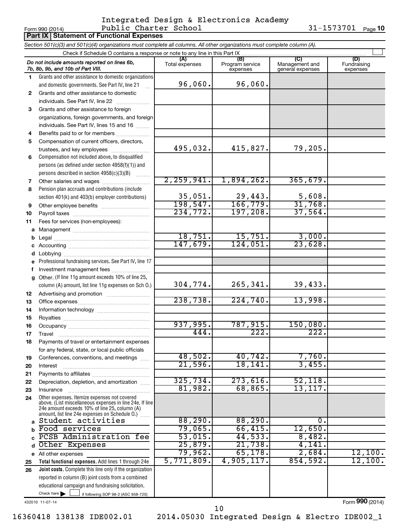### Form 990 (2014) Page Public Charter School 31-1573701 Integrated Design & Electronics Academy

|    | 31-1573701<br>Public Charter School<br>Page 10<br>Form 990 (2014)                                                                                                                                           |                       |                        |                        |                    |  |  |  |  |  |
|----|-------------------------------------------------------------------------------------------------------------------------------------------------------------------------------------------------------------|-----------------------|------------------------|------------------------|--------------------|--|--|--|--|--|
|    | <b>Part IX Statement of Functional Expenses</b>                                                                                                                                                             |                       |                        |                        |                    |  |  |  |  |  |
|    | Section 501(c)(3) and 501(c)(4) organizations must complete all columns. All other organizations must complete column (A).                                                                                  |                       |                        |                        |                    |  |  |  |  |  |
|    |                                                                                                                                                                                                             |                       |                        |                        |                    |  |  |  |  |  |
|    | Do not include amounts reported on lines 6b,                                                                                                                                                                | (A)<br>Total expenses | (B)<br>Program service | (C)<br>Management and  | (D)<br>Fundraising |  |  |  |  |  |
|    | 7b, 8b, 9b, and 10b of Part VIII.                                                                                                                                                                           |                       | expenses               | general expenses       | expenses           |  |  |  |  |  |
| 1. | Grants and other assistance to domestic organizations<br>and domestic governments. See Part IV, line 21                                                                                                     | 96,060.               | 96,060.                |                        |                    |  |  |  |  |  |
| 2  | Grants and other assistance to domestic                                                                                                                                                                     |                       |                        |                        |                    |  |  |  |  |  |
|    | individuals. See Part IV, line 22                                                                                                                                                                           |                       |                        |                        |                    |  |  |  |  |  |
| 3  | Grants and other assistance to foreign                                                                                                                                                                      |                       |                        |                        |                    |  |  |  |  |  |
|    | organizations, foreign governments, and foreign                                                                                                                                                             |                       |                        |                        |                    |  |  |  |  |  |
|    | individuals. See Part IV, lines 15 and 16                                                                                                                                                                   |                       |                        |                        |                    |  |  |  |  |  |
| 4  | Benefits paid to or for members                                                                                                                                                                             |                       |                        |                        |                    |  |  |  |  |  |
| 5  | Compensation of current officers, directors,                                                                                                                                                                | 495,032.              | 415,827.               | 79,205.                |                    |  |  |  |  |  |
|    | trustees, and key employees<br>Compensation not included above, to disqualified                                                                                                                             |                       |                        |                        |                    |  |  |  |  |  |
| 6  | persons (as defined under section 4958(f)(1)) and                                                                                                                                                           |                       |                        |                        |                    |  |  |  |  |  |
|    | persons described in section 4958(c)(3)(B)                                                                                                                                                                  |                       |                        |                        |                    |  |  |  |  |  |
| 7  |                                                                                                                                                                                                             | 2, 259, 941.          | 1,894,262.             | 365,679.               |                    |  |  |  |  |  |
| 8  | Pension plan accruals and contributions (include                                                                                                                                                            |                       |                        |                        |                    |  |  |  |  |  |
|    | section 401(k) and 403(b) employer contributions)                                                                                                                                                           | 35,051.               | 29,443.                |                        |                    |  |  |  |  |  |
| 9  |                                                                                                                                                                                                             | 198, 547.             | 166, 779.              | $\frac{5,608}{31,768}$ |                    |  |  |  |  |  |
| 10 |                                                                                                                                                                                                             | 234,772.              | 197,208.               | 37,564.                |                    |  |  |  |  |  |
| 11 | Fees for services (non-employees):                                                                                                                                                                          |                       |                        |                        |                    |  |  |  |  |  |
| a  |                                                                                                                                                                                                             |                       |                        |                        |                    |  |  |  |  |  |
| b  |                                                                                                                                                                                                             | 18,751.               | 15,751.                | 3,000.                 |                    |  |  |  |  |  |
|    |                                                                                                                                                                                                             | 147,679.              | 124,051.               | 23,628.                |                    |  |  |  |  |  |
| d  |                                                                                                                                                                                                             |                       |                        |                        |                    |  |  |  |  |  |
| e  | Professional fundraising services. See Part IV, line 17                                                                                                                                                     |                       |                        |                        |                    |  |  |  |  |  |
| f  | Investment management fees                                                                                                                                                                                  |                       |                        |                        |                    |  |  |  |  |  |
| g  | Other. (If line 11g amount exceeds 10% of line 25,                                                                                                                                                          |                       |                        |                        |                    |  |  |  |  |  |
|    | column (A) amount, list line 11g expenses on Sch O.)                                                                                                                                                        | 304,774.              | 265, 341.              | 39,433.                |                    |  |  |  |  |  |
| 12 |                                                                                                                                                                                                             |                       |                        |                        |                    |  |  |  |  |  |
| 13 |                                                                                                                                                                                                             | 238,738.              | 224,740.               | 13,998.                |                    |  |  |  |  |  |
| 14 |                                                                                                                                                                                                             |                       |                        |                        |                    |  |  |  |  |  |
| 15 |                                                                                                                                                                                                             |                       |                        |                        |                    |  |  |  |  |  |
| 16 |                                                                                                                                                                                                             | 937,995.              | 787,915 <b>.</b>       | 150,080.               |                    |  |  |  |  |  |
| 17 | Travel                                                                                                                                                                                                      | 444.                  | $\overline{222}$       | 222.                   |                    |  |  |  |  |  |
| 18 | Payments of travel or entertainment expenses                                                                                                                                                                |                       |                        |                        |                    |  |  |  |  |  |
|    | for any federal, state, or local public officials                                                                                                                                                           |                       |                        |                        |                    |  |  |  |  |  |
| 19 | Conferences, conventions, and meetings                                                                                                                                                                      | 48,502.               | 40,742.                | 7,760.                 |                    |  |  |  |  |  |
| 20 | Interest                                                                                                                                                                                                    | 21,596.               | 18, 141.               | 3,455.                 |                    |  |  |  |  |  |
| 21 |                                                                                                                                                                                                             |                       | 273,616.               | 52,118.                |                    |  |  |  |  |  |
| 22 | Depreciation, depletion, and amortization                                                                                                                                                                   | 325, 734.<br>81,982.  | 68,865.                | 13, 117.               |                    |  |  |  |  |  |
| 23 | Insurance                                                                                                                                                                                                   |                       |                        |                        |                    |  |  |  |  |  |
| 24 | Other expenses. Itemize expenses not covered<br>above. (List miscellaneous expenses in line 24e. If line<br>24e amount exceeds 10% of line 25, column (A)<br>amount, list line 24e expenses on Schedule O.) |                       |                        |                        |                    |  |  |  |  |  |
|    | a Student activities                                                                                                                                                                                        | 88,290.               | 88,290.                | $0 \cdot$              |                    |  |  |  |  |  |
| b  | Food services                                                                                                                                                                                               | 79,065.               | 66,415.                | 12,650.                |                    |  |  |  |  |  |
|    | PCSB Administration fee                                                                                                                                                                                     | 53,015.               | 44,533.                | 8,482.                 |                    |  |  |  |  |  |
| d  | Other Expenses                                                                                                                                                                                              | 25,879.               | 21,738.                | 4,141.                 |                    |  |  |  |  |  |
|    | e All other expenses                                                                                                                                                                                        | 79,962.               | 65, 178.               | 2,684.                 | 12,100.            |  |  |  |  |  |
| 25 | Total functional expenses. Add lines 1 through 24e                                                                                                                                                          | 5,771,809.            | 4,905,117.             | 854,592.               | 12,100.            |  |  |  |  |  |
| 26 | Joint costs. Complete this line only if the organization                                                                                                                                                    |                       |                        |                        |                    |  |  |  |  |  |
|    | reported in column (B) joint costs from a combined                                                                                                                                                          |                       |                        |                        |                    |  |  |  |  |  |
|    | educational campaign and fundraising solicitation.                                                                                                                                                          |                       |                        |                        |                    |  |  |  |  |  |
|    | Check here $\blacktriangleright$<br>if following SOP 98-2 (ASC 958-720)                                                                                                                                     |                       |                        |                        |                    |  |  |  |  |  |

432010 11-07-14

Form (2014) **990**

10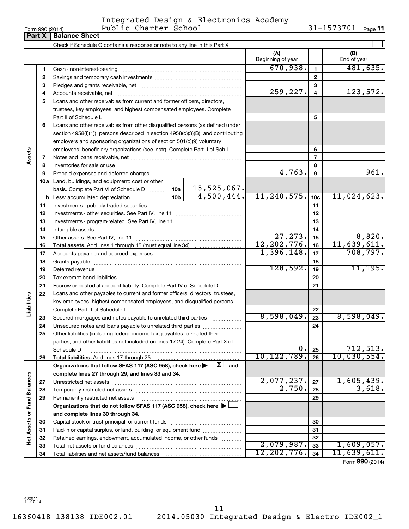| -orm 990 (Z |  |  |  |
|-------------|--|--|--|
|             |  |  |  |

### Form 990 (2014) Page Public Charter School 31-1573701 Integrated Design & Electronics Academy

31-1573701 Page 11

|                      | Form 990 (2014)<br>Part X | LANTIC CHALLET DOMOOT<br><b>Balance Sheet</b>                                                                                                            |            |                           |                 | 7 1 7 7 7 7 7 7 T<br>Page II |
|----------------------|---------------------------|----------------------------------------------------------------------------------------------------------------------------------------------------------|------------|---------------------------|-----------------|------------------------------|
|                      |                           |                                                                                                                                                          |            |                           |                 |                              |
|                      |                           |                                                                                                                                                          |            | (A)<br>Beginning of year  |                 | (B)<br>End of year           |
|                      | 1                         |                                                                                                                                                          |            | 670,938.                  | $\mathbf{1}$    | 481,635.                     |
|                      | 2                         |                                                                                                                                                          |            |                           | $\mathbf{2}$    |                              |
|                      | з                         |                                                                                                                                                          |            |                           | 3               |                              |
|                      | 4                         |                                                                                                                                                          |            | 259, 227.                 | $\overline{4}$  | 123,572.                     |
|                      | 5                         | Loans and other receivables from current and former officers, directors,                                                                                 |            |                           |                 |                              |
|                      |                           | trustees, key employees, and highest compensated employees. Complete                                                                                     |            |                           |                 |                              |
|                      |                           | Part II of Schedule L                                                                                                                                    |            |                           | 5               |                              |
|                      | 6                         | Loans and other receivables from other disqualified persons (as defined under                                                                            |            |                           |                 |                              |
|                      |                           | section 4958(f)(1)), persons described in section 4958(c)(3)(B), and contributing                                                                        |            |                           |                 |                              |
|                      |                           | employers and sponsoring organizations of section 501(c)(9) voluntary                                                                                    |            |                           |                 |                              |
|                      |                           | employees' beneficiary organizations (see instr). Complete Part II of Sch L                                                                              |            |                           | 6               |                              |
| Assets               | 7                         |                                                                                                                                                          |            |                           | $\overline{7}$  |                              |
|                      | 8                         |                                                                                                                                                          |            |                           | 8               |                              |
|                      | 9                         | Prepaid expenses and deferred charges [11] [11] prepaid expenses and deferred charges [11] [11] minimum and the P                                        |            | 4,763.                    | 9               | 961.                         |
|                      |                           | 10a Land, buildings, and equipment: cost or other                                                                                                        |            |                           |                 |                              |
|                      |                           | basis. Complete Part VI of Schedule D  10a 15, 525, 067.                                                                                                 |            |                           |                 |                              |
|                      |                           |                                                                                                                                                          | 4,500,444. | 11,240,575.               | 10 <sub>c</sub> | 11,024,623.                  |
|                      | 11                        |                                                                                                                                                          |            |                           | 11              |                              |
|                      | 12                        |                                                                                                                                                          |            |                           | 12              |                              |
|                      | 13                        |                                                                                                                                                          |            | 13                        |                 |                              |
|                      | 14                        |                                                                                                                                                          |            |                           | 14              |                              |
|                      | 15                        |                                                                                                                                                          |            | 27, 273.<br>12, 202, 776. | 15              | 8,820.                       |
|                      | 16                        |                                                                                                                                                          |            | 1,396,148.                | 16              | 11,639,611.<br>708, 797.     |
|                      | 17                        |                                                                                                                                                          |            | 17                        |                 |                              |
|                      | 18                        |                                                                                                                                                          |            | 128,592.                  | 18              | 11, 195.                     |
|                      | 19                        |                                                                                                                                                          |            |                           | 19<br>20        |                              |
|                      | 20<br>21                  |                                                                                                                                                          |            |                           | 21              |                              |
|                      |                           | Escrow or custodial account liability. Complete Part IV of Schedule D                                                                                    |            |                           |                 |                              |
| Liabilities          | 22                        | Loans and other payables to current and former officers, directors, trustees,<br>key employees, highest compensated employees, and disqualified persons. |            |                           |                 |                              |
|                      |                           |                                                                                                                                                          |            |                           | 22              |                              |
|                      | 23                        | Secured mortgages and notes payable to unrelated third parties                                                                                           |            | 8,598,049.                | 23              | 8,598,049.                   |
|                      | 24                        | Unsecured notes and loans payable to unrelated third parties                                                                                             |            |                           | 24              |                              |
|                      | 25                        | Other liabilities (including federal income tax, payables to related third                                                                               |            |                           |                 |                              |
|                      |                           | parties, and other liabilities not included on lines 17-24). Complete Part X of                                                                          |            |                           |                 |                              |
|                      |                           | Schedule D                                                                                                                                               |            | 0.                        | 25              |                              |
|                      | 26                        |                                                                                                                                                          |            | 10, 122, 789.             | 26              | $712,513.$<br>10,030,554.    |
|                      |                           | Organizations that follow SFAS 117 (ASC 958), check here $\blacktriangleright \lfloor X \rfloor$ and                                                     |            |                           |                 |                              |
|                      |                           | complete lines 27 through 29, and lines 33 and 34.                                                                                                       |            |                           |                 |                              |
|                      | 27                        |                                                                                                                                                          |            | 2,077,237.                | 27              | 1,605,439.                   |
| <b>Fund Balances</b> | 28                        |                                                                                                                                                          |            | 2,750.                    | 28              | 3,618.                       |
|                      | 29                        | Permanently restricted net assets                                                                                                                        |            |                           | 29              |                              |
|                      |                           | Organizations that do not follow SFAS 117 (ASC 958), check here ▶ □                                                                                      |            |                           |                 |                              |
|                      |                           | and complete lines 30 through 34.                                                                                                                        |            |                           |                 |                              |
| Net Assets or        | 30                        |                                                                                                                                                          |            |                           | 30              |                              |
|                      | 31                        | Paid-in or capital surplus, or land, building, or equipment fund                                                                                         |            |                           | 31              |                              |
|                      | 32                        | Retained earnings, endowment, accumulated income, or other funds                                                                                         |            |                           | 32              |                              |
|                      | 33                        |                                                                                                                                                          |            | 2,079,987.                | 33              | 1,609,057.                   |
|                      | 34                        |                                                                                                                                                          |            | 12,202,776.               | 34              | 11,639,611.                  |
|                      |                           |                                                                                                                                                          |            |                           |                 | Form 990 (2014)              |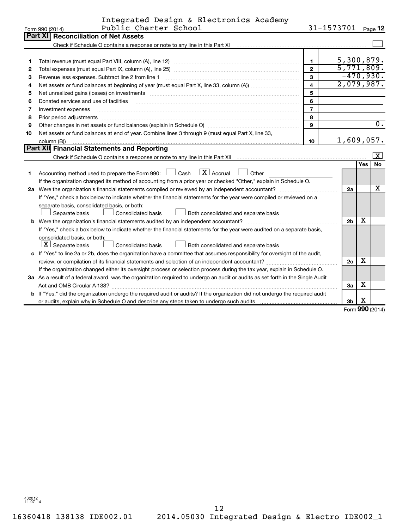|                 | Integrated Design & Electronics Academy |                        |  |
|-----------------|-----------------------------------------|------------------------|--|
| Form 990 (2014) | Public Charter School                   | $31 - 1573701$ Page 12 |  |

|    | וווט∠) טפּפּ ווווט<br>r avite chat cer                                                                                                                                                                                         |                         | --- <i>--</i> -- |          | raye 14          |
|----|--------------------------------------------------------------------------------------------------------------------------------------------------------------------------------------------------------------------------------|-------------------------|------------------|----------|------------------|
|    | <b>Part XI   Reconciliation of Net Assets</b>                                                                                                                                                                                  |                         |                  |          |                  |
|    | Check if Schedule O contains a response or note to any line in this Part XI                                                                                                                                                    |                         |                  |          |                  |
|    |                                                                                                                                                                                                                                |                         |                  |          |                  |
|    |                                                                                                                                                                                                                                | $\mathbf{1}$            | 5,300,879.       |          |                  |
| 2  |                                                                                                                                                                                                                                | $\overline{2}$          | 5,771,809.       |          |                  |
| З  | Revenue less expenses. Subtract line 2 from line 1                                                                                                                                                                             | $\mathbf{3}$            | $-470,930.$      |          |                  |
| 4  |                                                                                                                                                                                                                                | $\overline{\mathbf{4}}$ | 2,079,987.       |          |                  |
| 5  | Net unrealized gains (losses) on investments [11] matter in the contract of the contract of the contract of the contract of the contract of the contract of the contract of the contract of the contract of the contract of th | 5                       |                  |          |                  |
| 6  | Donated services and use of facilities                                                                                                                                                                                         | 6                       |                  |          |                  |
| 7  | Investment expenses                                                                                                                                                                                                            | $\overline{7}$          |                  |          |                  |
| 8  | Prior period adjustments                                                                                                                                                                                                       | 8                       |                  |          |                  |
| 9  |                                                                                                                                                                                                                                | 9                       |                  |          | $\overline{0}$ . |
| 10 | Net assets or fund balances at end of year. Combine lines 3 through 9 (must equal Part X, line 33,                                                                                                                             |                         |                  |          |                  |
|    | column (B))                                                                                                                                                                                                                    | 10                      | 1,609,057.       |          |                  |
|    | Part XII Financial Statements and Reporting                                                                                                                                                                                    |                         |                  |          |                  |
|    |                                                                                                                                                                                                                                |                         |                  |          | X                |
|    |                                                                                                                                                                                                                                |                         |                  | Yes      | No               |
| 1  | $\boxed{\text{X}}$ Accrual<br>Accounting method used to prepare the Form 990: [130] Cash<br>Other                                                                                                                              |                         |                  |          |                  |
|    | If the organization changed its method of accounting from a prior year or checked "Other," explain in Schedule O.                                                                                                              |                         |                  |          |                  |
|    |                                                                                                                                                                                                                                |                         | 2a               |          | x                |
|    | If "Yes," check a box below to indicate whether the financial statements for the year were compiled or reviewed on a                                                                                                           |                         |                  |          |                  |
|    | separate basis, consolidated basis, or both:                                                                                                                                                                                   |                         |                  |          |                  |
|    | Separate basis<br>Consolidated basis<br>Both consolidated and separate basis                                                                                                                                                   |                         |                  |          |                  |
|    |                                                                                                                                                                                                                                |                         | 2 <sub>b</sub>   | х        |                  |
|    | If "Yes," check a box below to indicate whether the financial statements for the year were audited on a separate basis,                                                                                                        |                         |                  |          |                  |
|    | consolidated basis, or both:                                                                                                                                                                                                   |                         |                  |          |                  |
|    | $ \mathbf{X} $ Separate basis<br>Consolidated basis<br>Both consolidated and separate basis                                                                                                                                    |                         |                  |          |                  |
|    | c If "Yes" to line 2a or 2b, does the organization have a committee that assumes responsibility for oversight of the audit,                                                                                                    |                         |                  |          |                  |
|    |                                                                                                                                                                                                                                |                         | 2c               | х        |                  |
|    | If the organization changed either its oversight process or selection process during the tax year, explain in Schedule O.                                                                                                      |                         |                  |          |                  |
|    | 3a As a result of a federal award, was the organization required to undergo an audit or audits as set forth in the Single Audit                                                                                                |                         |                  |          |                  |
|    | Act and OMB Circular A-133?                                                                                                                                                                                                    |                         | 3a               | х        |                  |
|    | <b>b</b> If "Yes," did the organization undergo the required audit or audits? If the organization did not undergo the required audit                                                                                           |                         |                  |          |                  |
|    |                                                                                                                                                                                                                                |                         | 3b               | x        |                  |
|    |                                                                                                                                                                                                                                |                         |                  | $\Omega$ |                  |

Form (2014) **990**

432012 11-07-14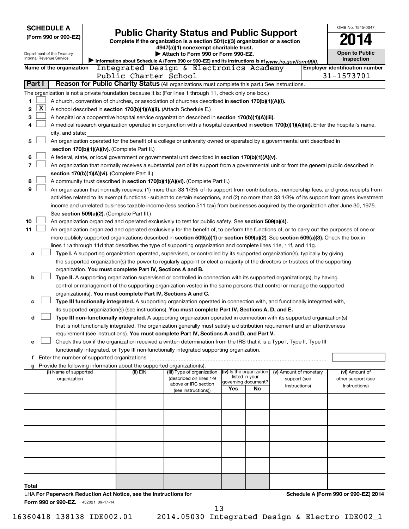| <b>SCHEDULE A</b>                                                |                                               |                                                                        |                                                                                                                                                                                                                                                    |     |                                       |                        |  | OMB No. 1545-0047                     |  |  |  |
|------------------------------------------------------------------|-----------------------------------------------|------------------------------------------------------------------------|----------------------------------------------------------------------------------------------------------------------------------------------------------------------------------------------------------------------------------------------------|-----|---------------------------------------|------------------------|--|---------------------------------------|--|--|--|
| (Form 990 or 990-EZ)                                             |                                               |                                                                        | <b>Public Charity Status and Public Support</b>                                                                                                                                                                                                    |     |                                       |                        |  |                                       |  |  |  |
|                                                                  |                                               |                                                                        | Complete if the organization is a section 501(c)(3) organization or a section<br>4947(a)(1) nonexempt charitable trust.                                                                                                                            |     |                                       |                        |  |                                       |  |  |  |
| Department of the Treasury                                       |                                               |                                                                        | Attach to Form 990 or Form 990-EZ.                                                                                                                                                                                                                 |     |                                       |                        |  | <b>Open to Public</b>                 |  |  |  |
| Internal Revenue Service                                         |                                               |                                                                        | Information about Schedule A (Form 990 or 990-EZ) and its instructions is at www.irs.gov/form990.                                                                                                                                                  |     |                                       |                        |  | Inspection                            |  |  |  |
| Name of the organization                                         |                                               |                                                                        | Integrated Design & Electronics Academy                                                                                                                                                                                                            |     |                                       |                        |  | <b>Employer identification number</b> |  |  |  |
| Part I                                                           |                                               | Public Charter School                                                  | Reason for Public Charity Status (All organizations must complete this part.) See instructions.                                                                                                                                                    |     |                                       |                        |  | 31-1573701                            |  |  |  |
|                                                                  |                                               |                                                                        |                                                                                                                                                                                                                                                    |     |                                       |                        |  |                                       |  |  |  |
|                                                                  |                                               |                                                                        | The organization is not a private foundation because it is: (For lines 1 through 11, check only one box.)                                                                                                                                          |     |                                       |                        |  |                                       |  |  |  |
| 1<br>$\overline{\mathbf{X}}$<br>2                                |                                               | A school described in section 170(b)(1)(A)(ii). (Attach Schedule E.)   | A church, convention of churches, or association of churches described in section 170(b)(1)(A)(i).                                                                                                                                                 |     |                                       |                        |  |                                       |  |  |  |
| 3                                                                |                                               |                                                                        | A hospital or a cooperative hospital service organization described in section 170(b)(1)(A)(iii).                                                                                                                                                  |     |                                       |                        |  |                                       |  |  |  |
| 4                                                                |                                               |                                                                        | A medical research organization operated in conjunction with a hospital described in section 170(b)(1)(A)(iii). Enter the hospital's name,                                                                                                         |     |                                       |                        |  |                                       |  |  |  |
| city, and state:                                                 |                                               |                                                                        |                                                                                                                                                                                                                                                    |     |                                       |                        |  |                                       |  |  |  |
| 5                                                                |                                               |                                                                        | An organization operated for the benefit of a college or university owned or operated by a governmental unit described in                                                                                                                          |     |                                       |                        |  |                                       |  |  |  |
|                                                                  | section 170(b)(1)(A)(iv). (Complete Part II.) |                                                                        |                                                                                                                                                                                                                                                    |     |                                       |                        |  |                                       |  |  |  |
| 6                                                                |                                               |                                                                        | A federal, state, or local government or governmental unit described in section 170(b)(1)(A)(v).                                                                                                                                                   |     |                                       |                        |  |                                       |  |  |  |
| 7                                                                |                                               |                                                                        | An organization that normally receives a substantial part of its support from a governmental unit or from the general public described in                                                                                                          |     |                                       |                        |  |                                       |  |  |  |
|                                                                  |                                               | section 170(b)(1)(A)(vi). (Complete Part II.)                          |                                                                                                                                                                                                                                                    |     |                                       |                        |  |                                       |  |  |  |
| 8                                                                |                                               |                                                                        | A community trust described in section 170(b)(1)(A)(vi). (Complete Part II.)                                                                                                                                                                       |     |                                       |                        |  |                                       |  |  |  |
| 9                                                                |                                               |                                                                        | An organization that normally receives: (1) more than 33 1/3% of its support from contributions, membership fees, and gross receipts from                                                                                                          |     |                                       |                        |  |                                       |  |  |  |
|                                                                  |                                               |                                                                        | activities related to its exempt functions - subject to certain exceptions, and (2) no more than 33 1/3% of its support from gross investment                                                                                                      |     |                                       |                        |  |                                       |  |  |  |
|                                                                  |                                               |                                                                        | income and unrelated business taxable income (less section 511 tax) from businesses acquired by the organization after June 30, 1975.                                                                                                              |     |                                       |                        |  |                                       |  |  |  |
|                                                                  |                                               | See section 509(a)(2). (Complete Part III.)                            |                                                                                                                                                                                                                                                    |     |                                       |                        |  |                                       |  |  |  |
| 10<br>11                                                         |                                               |                                                                        | An organization organized and operated exclusively to test for public safety. See section 509(a)(4).<br>An organization organized and operated exclusively for the benefit of, to perform the functions of, or to carry out the purposes of one or |     |                                       |                        |  |                                       |  |  |  |
|                                                                  |                                               |                                                                        | more publicly supported organizations described in section 509(a)(1) or section 509(a)(2). See section 509(a)(3). Check the box in                                                                                                                 |     |                                       |                        |  |                                       |  |  |  |
|                                                                  |                                               |                                                                        | lines 11a through 11d that describes the type of supporting organization and complete lines 11e, 11f, and 11g.                                                                                                                                     |     |                                       |                        |  |                                       |  |  |  |
| a                                                                |                                               |                                                                        | Type I. A supporting organization operated, supervised, or controlled by its supported organization(s), typically by giving                                                                                                                        |     |                                       |                        |  |                                       |  |  |  |
|                                                                  |                                               |                                                                        | the supported organization(s) the power to regularly appoint or elect a majority of the directors or trustees of the supporting                                                                                                                    |     |                                       |                        |  |                                       |  |  |  |
|                                                                  |                                               | organization. You must complete Part IV, Sections A and B.             |                                                                                                                                                                                                                                                    |     |                                       |                        |  |                                       |  |  |  |
| b                                                                |                                               |                                                                        | Type II. A supporting organization supervised or controlled in connection with its supported organization(s), by having                                                                                                                            |     |                                       |                        |  |                                       |  |  |  |
|                                                                  |                                               |                                                                        | control or management of the supporting organization vested in the same persons that control or manage the supported                                                                                                                               |     |                                       |                        |  |                                       |  |  |  |
|                                                                  |                                               | organization(s). You must complete Part IV, Sections A and C.          |                                                                                                                                                                                                                                                    |     |                                       |                        |  |                                       |  |  |  |
| с                                                                |                                               |                                                                        | Type III functionally integrated. A supporting organization operated in connection with, and functionally integrated with,                                                                                                                         |     |                                       |                        |  |                                       |  |  |  |
|                                                                  |                                               |                                                                        | its supported organization(s) (see instructions). You must complete Part IV, Sections A, D, and E.                                                                                                                                                 |     |                                       |                        |  |                                       |  |  |  |
| d                                                                |                                               |                                                                        | Type III non-functionally integrated. A supporting organization operated in connection with its supported organization(s)                                                                                                                          |     |                                       |                        |  |                                       |  |  |  |
|                                                                  |                                               |                                                                        | that is not functionally integrated. The organization generally must satisfy a distribution requirement and an attentiveness                                                                                                                       |     |                                       |                        |  |                                       |  |  |  |
|                                                                  |                                               |                                                                        | requirement (see instructions). You must complete Part IV, Sections A and D, and Part V.                                                                                                                                                           |     |                                       |                        |  |                                       |  |  |  |
| е                                                                |                                               |                                                                        | Check this box if the organization received a written determination from the IRS that it is a Type I, Type II, Type III                                                                                                                            |     |                                       |                        |  |                                       |  |  |  |
| f Enter the number of supported organizations                    |                                               |                                                                        | functionally integrated, or Type III non-functionally integrated supporting organization.                                                                                                                                                          |     |                                       |                        |  |                                       |  |  |  |
| g                                                                |                                               | Provide the following information about the supported organization(s). |                                                                                                                                                                                                                                                    |     |                                       |                        |  |                                       |  |  |  |
| (i) Name of supported                                            |                                               | (ii) EIN                                                               | (iii) Type of organization                                                                                                                                                                                                                         |     | (iv) Is the organization              | (v) Amount of monetary |  | (vi) Amount of                        |  |  |  |
| organization                                                     |                                               |                                                                        | (described on lines 1-9<br>above or IRC section                                                                                                                                                                                                    |     | listed in your<br>governing document? | support (see           |  | other support (see                    |  |  |  |
|                                                                  |                                               |                                                                        | (see instructions))                                                                                                                                                                                                                                | Yes | No                                    | Instructions)          |  | Instructions)                         |  |  |  |
|                                                                  |                                               |                                                                        |                                                                                                                                                                                                                                                    |     |                                       |                        |  |                                       |  |  |  |
|                                                                  |                                               |                                                                        |                                                                                                                                                                                                                                                    |     |                                       |                        |  |                                       |  |  |  |
|                                                                  |                                               |                                                                        |                                                                                                                                                                                                                                                    |     |                                       |                        |  |                                       |  |  |  |
|                                                                  |                                               |                                                                        |                                                                                                                                                                                                                                                    |     |                                       |                        |  |                                       |  |  |  |
|                                                                  |                                               |                                                                        |                                                                                                                                                                                                                                                    |     |                                       |                        |  |                                       |  |  |  |
|                                                                  |                                               |                                                                        |                                                                                                                                                                                                                                                    |     |                                       |                        |  |                                       |  |  |  |
|                                                                  |                                               |                                                                        |                                                                                                                                                                                                                                                    |     |                                       |                        |  |                                       |  |  |  |
|                                                                  |                                               |                                                                        |                                                                                                                                                                                                                                                    |     |                                       |                        |  |                                       |  |  |  |
|                                                                  |                                               |                                                                        |                                                                                                                                                                                                                                                    |     |                                       |                        |  |                                       |  |  |  |
|                                                                  |                                               |                                                                        |                                                                                                                                                                                                                                                    |     |                                       |                        |  |                                       |  |  |  |
| Total                                                            |                                               |                                                                        |                                                                                                                                                                                                                                                    |     |                                       |                        |  |                                       |  |  |  |
| LHA For Paperwork Reduction Act Notice, see the Instructions for |                                               |                                                                        |                                                                                                                                                                                                                                                    |     |                                       |                        |  | Schedule A (Form 990 or 990-EZ) 2014  |  |  |  |
| Form 990 or 990-EZ. 432021 09-17-14                              |                                               |                                                                        |                                                                                                                                                                                                                                                    |     |                                       |                        |  |                                       |  |  |  |

13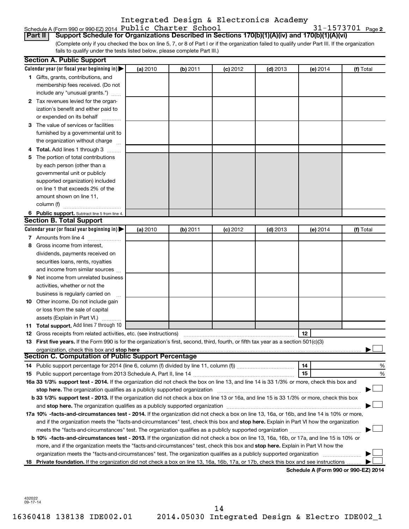#### Schedule A (Form 990 or 990-EZ) 2014  ${\tt Public$  **Charter School**  $31-1573701$  **Page**Integrated Design & Electronics Academy

31-1573701 Page 2

(Complete only if you checked the box on line 5, 7, or 8 of Part I or if the organization failed to qualify under Part III. If the organization **Part II Support Schedule for Organizations Described in Sections 170(b)(1)(A)(iv) and 170(b)(1)(A)(vi)**

fails to qualify under the tests listed below, please complete Part III.)

|     | <b>Section A. Public Support</b>                                                                                                                                                                                                                                                           |          |          |            |            |            |                                      |
|-----|--------------------------------------------------------------------------------------------------------------------------------------------------------------------------------------------------------------------------------------------------------------------------------------------|----------|----------|------------|------------|------------|--------------------------------------|
|     | Calendar year (or fiscal year beginning in)                                                                                                                                                                                                                                                | (a) 2010 | (b) 2011 | $(c)$ 2012 | $(d)$ 2013 | $(e)$ 2014 | (f) Total                            |
|     | 1 Gifts, grants, contributions, and                                                                                                                                                                                                                                                        |          |          |            |            |            |                                      |
|     | membership fees received. (Do not                                                                                                                                                                                                                                                          |          |          |            |            |            |                                      |
|     | include any "unusual grants.")                                                                                                                                                                                                                                                             |          |          |            |            |            |                                      |
|     | 2 Tax revenues levied for the organ-                                                                                                                                                                                                                                                       |          |          |            |            |            |                                      |
|     | ization's benefit and either paid to                                                                                                                                                                                                                                                       |          |          |            |            |            |                                      |
|     | or expended on its behalf                                                                                                                                                                                                                                                                  |          |          |            |            |            |                                      |
|     | 3 The value of services or facilities                                                                                                                                                                                                                                                      |          |          |            |            |            |                                      |
|     | furnished by a governmental unit to                                                                                                                                                                                                                                                        |          |          |            |            |            |                                      |
|     | the organization without charge                                                                                                                                                                                                                                                            |          |          |            |            |            |                                      |
| 4   | Total. Add lines 1 through 3                                                                                                                                                                                                                                                               |          |          |            |            |            |                                      |
| 5.  | The portion of total contributions                                                                                                                                                                                                                                                         |          |          |            |            |            |                                      |
|     | by each person (other than a                                                                                                                                                                                                                                                               |          |          |            |            |            |                                      |
|     | governmental unit or publicly                                                                                                                                                                                                                                                              |          |          |            |            |            |                                      |
|     | supported organization) included                                                                                                                                                                                                                                                           |          |          |            |            |            |                                      |
|     | on line 1 that exceeds 2% of the                                                                                                                                                                                                                                                           |          |          |            |            |            |                                      |
|     | amount shown on line 11,                                                                                                                                                                                                                                                                   |          |          |            |            |            |                                      |
|     | column (f)                                                                                                                                                                                                                                                                                 |          |          |            |            |            |                                      |
|     | 6 Public support. Subtract line 5 from line 4.                                                                                                                                                                                                                                             |          |          |            |            |            |                                      |
|     | <b>Section B. Total Support</b>                                                                                                                                                                                                                                                            |          |          |            |            |            |                                      |
|     | Calendar year (or fiscal year beginning in)                                                                                                                                                                                                                                                | (a) 2010 | (b) 2011 | $(c)$ 2012 | $(d)$ 2013 | (e) 2014   | (f) Total                            |
|     | 7 Amounts from line 4                                                                                                                                                                                                                                                                      |          |          |            |            |            |                                      |
| 8   | Gross income from interest,                                                                                                                                                                                                                                                                |          |          |            |            |            |                                      |
|     | dividends, payments received on                                                                                                                                                                                                                                                            |          |          |            |            |            |                                      |
|     | securities loans, rents, royalties                                                                                                                                                                                                                                                         |          |          |            |            |            |                                      |
|     | and income from similar sources                                                                                                                                                                                                                                                            |          |          |            |            |            |                                      |
| 9   | Net income from unrelated business                                                                                                                                                                                                                                                         |          |          |            |            |            |                                      |
|     | activities, whether or not the                                                                                                                                                                                                                                                             |          |          |            |            |            |                                      |
|     | business is regularly carried on                                                                                                                                                                                                                                                           |          |          |            |            |            |                                      |
|     | <b>10</b> Other income. Do not include gain                                                                                                                                                                                                                                                |          |          |            |            |            |                                      |
|     | or loss from the sale of capital                                                                                                                                                                                                                                                           |          |          |            |            |            |                                      |
|     | assets (Explain in Part VI.)                                                                                                                                                                                                                                                               |          |          |            |            |            |                                      |
| 11. | <b>Total support.</b> Add lines 7 through 10                                                                                                                                                                                                                                               |          |          |            |            |            |                                      |
| 12  | Gross receipts from related activities, etc. (see instructions)                                                                                                                                                                                                                            |          |          |            |            | 12         |                                      |
|     | 13 First five years. If the Form 990 is for the organization's first, second, third, fourth, or fifth tax year as a section 501(c)(3)                                                                                                                                                      |          |          |            |            |            |                                      |
|     | organization, check this box and stop here <b>construction and construction</b> construction of the state of the state of the state of the state of the state of the state of the state of the state of the state of the state of t<br>Section C. Computation of Public Support Percentage |          |          |            |            |            |                                      |
|     |                                                                                                                                                                                                                                                                                            |          |          |            |            | 14         | %                                    |
|     |                                                                                                                                                                                                                                                                                            |          |          |            |            | 15         | %                                    |
|     | 16a 33 1/3% support test - 2014. If the organization did not check the box on line 13, and line 14 is 33 1/3% or more, check this box and                                                                                                                                                  |          |          |            |            |            |                                      |
|     | stop here. The organization qualifies as a publicly supported organization                                                                                                                                                                                                                 |          |          |            |            |            |                                      |
|     | b 33 1/3% support test - 2013. If the organization did not check a box on line 13 or 16a, and line 15 is 33 1/3% or more, check this box                                                                                                                                                   |          |          |            |            |            |                                      |
|     |                                                                                                                                                                                                                                                                                            |          |          |            |            |            |                                      |
|     | 17a 10% -facts-and-circumstances test - 2014. If the organization did not check a box on line 13, 16a, or 16b, and line 14 is 10% or more,                                                                                                                                                 |          |          |            |            |            |                                      |
|     | and if the organization meets the "facts-and-circumstances" test, check this box and stop here. Explain in Part VI how the organization                                                                                                                                                    |          |          |            |            |            |                                      |
|     |                                                                                                                                                                                                                                                                                            |          |          |            |            |            |                                      |
|     | b 10% -facts-and-circumstances test - 2013. If the organization did not check a box on line 13, 16a, 16b, or 17a, and line 15 is 10% or                                                                                                                                                    |          |          |            |            |            |                                      |
|     | more, and if the organization meets the "facts-and-circumstances" test, check this box and stop here. Explain in Part VI how the                                                                                                                                                           |          |          |            |            |            |                                      |
|     | organization meets the "facts-and-circumstances" test. The organization qualifies as a publicly supported organization                                                                                                                                                                     |          |          |            |            |            |                                      |
| 18. | Private foundation. If the organization did not check a box on line 13, 16a, 16b, 17a, or 17b, check this box and see instructions                                                                                                                                                         |          |          |            |            |            |                                      |
|     |                                                                                                                                                                                                                                                                                            |          |          |            |            |            | Schedule A (Form 990 or 990-EZ) 2014 |

432022 09-17-14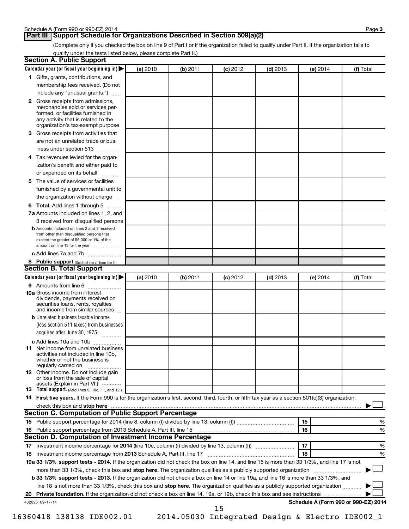### **Part III Support Schedule for Organizations Described in Section 509(a)(2)**

(Complete only if you checked the box on line 9 of Part I or if the organization failed to qualify under Part II. If the organization fails to qualify under the tests listed below, please complete Part II.)

| <b>Section A. Public Support</b>                                                                                                                                                                                                    |          |          |            |            |          |                                      |
|-------------------------------------------------------------------------------------------------------------------------------------------------------------------------------------------------------------------------------------|----------|----------|------------|------------|----------|--------------------------------------|
| Calendar year (or fiscal year beginning in)                                                                                                                                                                                         | (a) 2010 | (b) 2011 | $(c)$ 2012 | $(d)$ 2013 | (e) 2014 | (f) Total                            |
| 1 Gifts, grants, contributions, and                                                                                                                                                                                                 |          |          |            |            |          |                                      |
| membership fees received. (Do not                                                                                                                                                                                                   |          |          |            |            |          |                                      |
| include any "unusual grants.")                                                                                                                                                                                                      |          |          |            |            |          |                                      |
| 2 Gross receipts from admissions,<br>merchandise sold or services per-<br>formed, or facilities furnished in<br>any activity that is related to the<br>organization's tax-exempt purpose                                            |          |          |            |            |          |                                      |
| 3 Gross receipts from activities that                                                                                                                                                                                               |          |          |            |            |          |                                      |
| are not an unrelated trade or bus-                                                                                                                                                                                                  |          |          |            |            |          |                                      |
| iness under section 513                                                                                                                                                                                                             |          |          |            |            |          |                                      |
| 4 Tax revenues levied for the organ-                                                                                                                                                                                                |          |          |            |            |          |                                      |
| ization's benefit and either paid to                                                                                                                                                                                                |          |          |            |            |          |                                      |
| or expended on its behalf                                                                                                                                                                                                           |          |          |            |            |          |                                      |
| 5 The value of services or facilities                                                                                                                                                                                               |          |          |            |            |          |                                      |
| furnished by a governmental unit to                                                                                                                                                                                                 |          |          |            |            |          |                                      |
| the organization without charge                                                                                                                                                                                                     |          |          |            |            |          |                                      |
| 6 Total. Add lines 1 through 5                                                                                                                                                                                                      |          |          |            |            |          |                                      |
| 7a Amounts included on lines 1, 2, and                                                                                                                                                                                              |          |          |            |            |          |                                      |
| 3 received from disqualified persons                                                                                                                                                                                                |          |          |            |            |          |                                      |
| <b>b</b> Amounts included on lines 2 and 3 received<br>from other than disqualified persons that<br>exceed the greater of \$5,000 or 1% of the<br>amount on line 13 for the year                                                    |          |          |            |            |          |                                      |
| c Add lines 7a and 7b                                                                                                                                                                                                               |          |          |            |            |          |                                      |
| 8 Public support (Subtract line 7c from line 6.)<br><b>Section B. Total Support</b>                                                                                                                                                 |          |          |            |            |          |                                      |
| Calendar year (or fiscal year beginning in) $\blacktriangleright$                                                                                                                                                                   | (a) 2010 | (b) 2011 | $(c)$ 2012 | $(d)$ 2013 | (e) 2014 | (f) Total                            |
| 9 Amounts from line 6                                                                                                                                                                                                               |          |          |            |            |          |                                      |
| <b>10a</b> Gross income from interest,<br>dividends, payments received on<br>securities loans, rents, royalties<br>and income from similar sources                                                                                  |          |          |            |            |          |                                      |
| <b>b</b> Unrelated business taxable income                                                                                                                                                                                          |          |          |            |            |          |                                      |
| (less section 511 taxes) from businesses                                                                                                                                                                                            |          |          |            |            |          |                                      |
| acquired after June 30, 1975<br>1.1.1.1.1.1.1.1.1.1                                                                                                                                                                                 |          |          |            |            |          |                                      |
| c Add lines 10a and 10b                                                                                                                                                                                                             |          |          |            |            |          |                                      |
| <b>11</b> Net income from unrelated business<br>activities not included in line 10b.<br>whether or not the business is<br>regularly carried on                                                                                      |          |          |            |            |          |                                      |
| 12 Other income. Do not include gain<br>or loss from the sale of capital<br>assets (Explain in Part VI.)                                                                                                                            |          |          |            |            |          |                                      |
| <b>13</b> Total support. (Add lines 9, 10c, 11, and 12.)                                                                                                                                                                            |          |          |            |            |          |                                      |
| 14 First five years. If the Form 990 is for the organization's first, second, third, fourth, or fifth tax year as a section 501(c)(3) organization,                                                                                 |          |          |            |            |          |                                      |
| check this box and stop here <i>macuum content content and accordinate to the state and stop here</i> macuum content and stop here and stop the state of the state of the state of the state of the state of the state of the state |          |          |            |            |          |                                      |
| <b>Section C. Computation of Public Support Percentage</b>                                                                                                                                                                          |          |          |            |            |          |                                      |
|                                                                                                                                                                                                                                     |          |          |            |            | 15       | ℅                                    |
|                                                                                                                                                                                                                                     |          |          |            |            | 16       | %                                    |
| Section D. Computation of Investment Income Percentage                                                                                                                                                                              |          |          |            |            |          |                                      |
|                                                                                                                                                                                                                                     |          |          |            |            | 17       | %                                    |
| 18 Investment income percentage from 2013 Schedule A, Part III, line 17                                                                                                                                                             |          |          |            |            | 18       | %                                    |
| 19a 33 1/3% support tests - 2014. If the organization did not check the box on line 14, and line 15 is more than 33 1/3%, and line 17 is not                                                                                        |          |          |            |            |          |                                      |
| more than 33 1/3%, check this box and stop here. The organization qualifies as a publicly supported organization                                                                                                                    |          |          |            |            |          |                                      |
| b 33 1/3% support tests - 2013. If the organization did not check a box on line 14 or line 19a, and line 16 is more than 33 1/3%, and                                                                                               |          |          |            |            |          |                                      |
| line 18 is not more than 33 1/3%, check this box and stop here. The organization qualifies as a publicly supported organization                                                                                                     |          |          |            |            |          |                                      |
|                                                                                                                                                                                                                                     |          |          |            |            |          |                                      |
| 432023 09-17-14                                                                                                                                                                                                                     |          |          | 15         |            |          | Schedule A (Form 990 or 990-EZ) 2014 |

16360418 138138 IDE002.01 2014.05030 Integrated Design & Electro IDE002\_1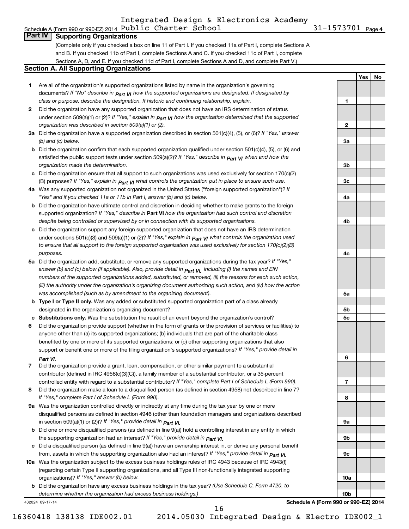## Integrated Design & Electronics Academy

31-1573701 Page 4 Schedule A (Form 990 or 990-EZ) 2014  ${\tt Public$  **Charter School**  $31-1573701$  **Page**

**1**

**2**

**3a**

**3b**

**3c**

**4a**

**4b**

**4c**

**5a**

**5b 5c**

**6**

**7**

**8**

**9a**

**9b**

**9c**

**10a**

**10b**

**Yes No**

### **Part IV Supporting Organizations**

(Complete only if you checked a box on line 11 of Part I. If you checked 11a of Part I, complete Sections A and B. If you checked 11b of Part I, complete Sections A and C. If you checked 11c of Part I, complete Sections A, D, and E. If you checked 11d of Part I, complete Sections A and D, and complete Part V.)

#### **Section A. All Supporting Organizations**

- **1** Are all of the organization's supported organizations listed by name in the organization's governing documents? If "No" describe in  $_{\mathsf{Part}}$   $_{\mathsf{V}}$  how the supported organizations are designated. If designated by *class or purpose, describe the designation. If historic and continuing relationship, explain.*
- **2** Did the organization have any supported organization that does not have an IRS determination of status under section 509(a)(1) or (2)? If "Yes," explain in  $_{\sf Part}$   $_{\sf VI}$  how the organization determined that the supported *organization was described in section 509(a)(1) or (2).*
- **3a** Did the organization have a supported organization described in section 501(c)(4), (5), or (6)? If "Yes," answer *(b) and (c) below.*
- **b** Did the organization confirm that each supported organization qualified under section 501(c)(4), (5), or (6) and satisfied the public support tests under section 509(a)(2)? If "Yes," describe in  $_{\rm Part}$   $_{\rm VI}$  when and how the *organization made the determination.*
- **c** Did the organization ensure that all support to such organizations was used exclusively for section 170(c)(2) (B) purposes? If "Yes," explain in  $_{\mathsf{Part}}$   $_{\mathsf{V}}$  what controls the organization put in place to ensure such use.
- **4 a** *If* Was any supported organization not organized in the United States ("foreign supported organization")? *"Yes" and if you checked 11a or 11b in Part I, answer (b) and (c) below.*
- **b** Did the organization have ultimate control and discretion in deciding whether to make grants to the foreign supported organization? If "Yes," describe in Part VI how the organization had such control and discretion *despite being controlled or supervised by or in connection with its supported organizations.*
- **c** Did the organization support any foreign supported organization that does not have an IRS determination under sections 501(c)(3) and 509(a)(1) or (2)? If "Yes," ex*plain in*  $_{\sf Part}$  *v*J what controls the organization used *to ensure that all support to the foreign supported organization was used exclusively for section 170(c)(2)(B) purposes.*
- **5a** Did the organization add, substitute, or remove any supported organizations during the tax year? If "Yes," answer (b) and (c) below (if applicable). Also, provide detail in  $_{\mathsf{Part}}$   $_{\mathsf{V{\mathsf{I}}}}$ , including (i) the names and EIN *numbers of the supported organizations added, substituted, or removed, (ii) the reasons for each such action, (iii) the authority under the organization's organizing document authorizing such action, and (iv) how the action was accomplished (such as by amendment to the organizing document).*
- **b** Type I or Type II only. Was any added or substituted supported organization part of a class already designated in the organization's organizing document?
- **c Substitutions only.**  Was the substitution the result of an event beyond the organization's control?
- **6** Did the organization provide support (whether in the form of grants or the provision of services or facilities) to support or benefit one or more of the filing organization's supported organizations? If "Yes," provide detail in anyone other than (a) its supported organizations; (b) individuals that are part of the charitable class benefited by one or more of its supported organizations; or (c) other supporting organizations that also *Part VI.*
- **7** Did the organization provide a grant, loan, compensation, or other similar payment to a substantial controlled entity with regard to a substantial contributor? If "Yes," complete Part I of Schedule L (Form 990). contributor (defined in IRC 4958(c)(3)(C)), a family member of a substantial contributor, or a 35-percent
- **8** Did the organization make a loan to a disqualified person (as defined in section 4958) not described in line 7? *If "Yes," complete Part I of Schedule L (Form 990).*
- **9 a** Was the organization controlled directly or indirectly at any time during the tax year by one or more *If "Yes," provide detail in*  in section 509(a)(1) or (2))? *Part VI.* disqualified persons as defined in section 4946 (other than foundation managers and organizations described
- **b** Did one or more disqualified persons (as defined in line 9(a)) hold a controlling interest in any entity in which  *If "Yes," provide detail in*  the supporting organization had an interest? *Part VI.*
- **c** Did a disqualified person (as defined in line 9(a)) have an ownership interest in, or derive any personal benefit from, assets in which the supporting organization also had an interest? If "Yes," *provide detail in Part VI.*
- **10 a** Was the organization subject to the excess business holdings rules of IRC 4943 because of IRC 4943(f)  *If "Yes," answer (b) below.* organizations)? (regarding certain Type II supporting organizations, and all Type III non-functionally integrated supporting
	- **b** Did the organization have any excess business holdings in the tax year? (Use Schedule C, Form 4720, to *determine whether the organization had excess business holdings.)*

432024 09-17-14

**Schedule A (Form 990 or 990-EZ) 2014**

16

16360418 138138 IDE002.01 2014.05030 Integrated Design & Electro IDE002\_1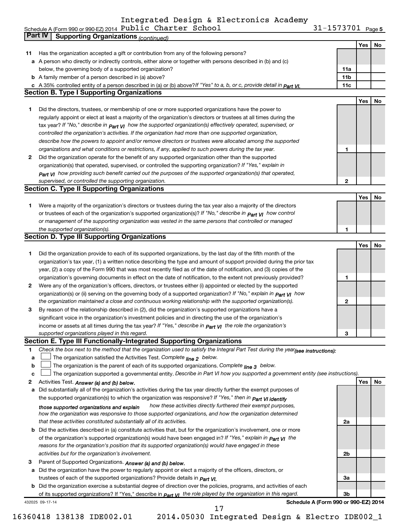Integrated Design & Electronics Academy

Schedule A (Form 990 or 990-EZ) 2014 PUDIIC CNATTET SCNOOI SALL Rage 31-1573701 Page Public Charter School 31-1573701

31-1573701 Page 5

|    | Part IV<br><b>Supporting Organizations (continued)</b>                                                                                                 |                 |     |    |
|----|--------------------------------------------------------------------------------------------------------------------------------------------------------|-----------------|-----|----|
|    |                                                                                                                                                        |                 | Yes | No |
| 11 | Has the organization accepted a gift or contribution from any of the following persons?                                                                |                 |     |    |
|    | a A person who directly or indirectly controls, either alone or together with persons described in (b) and (c)                                         |                 |     |    |
|    | below, the governing body of a supported organization?                                                                                                 | 11a             |     |    |
|    | <b>b</b> A family member of a person described in (a) above?                                                                                           | 11 <sub>b</sub> |     |    |
|    | c A 35% controlled entity of a person described in (a) or (b) above? If "Yes" to a, b, or c, provide detail in Part VI.                                | 11c             |     |    |
|    | <b>Section B. Type I Supporting Organizations</b>                                                                                                      |                 |     |    |
|    |                                                                                                                                                        |                 | Yes | No |
|    | Did the directors, trustees, or membership of one or more supported organizations have the power to                                                    |                 |     |    |
| 1  |                                                                                                                                                        |                 |     |    |
|    | regularly appoint or elect at least a majority of the organization's directors or trustees at all times during the                                     |                 |     |    |
|    | tax year? If "No," describe in $P_{art}$ VI how the supported organization(s) effectively operated, supervised, or                                     |                 |     |    |
|    | controlled the organization's activities. If the organization had more than one supported organization,                                                |                 |     |    |
|    | describe how the powers to appoint and/or remove directors or trustees were allocated among the supported                                              |                 |     |    |
|    | organizations and what conditions or restrictions, if any, applied to such powers during the tax year.                                                 | 1               |     |    |
| 2  | Did the organization operate for the benefit of any supported organization other than the supported                                                    |                 |     |    |
|    | organization(s) that operated, supervised, or controlled the supporting organization? If "Yes," explain in                                             |                 |     |    |
|    | $_{Part}$ v <sub>I</sub> how providing such benefit carried out the purposes of the supported organization(s) that operated,                           |                 |     |    |
|    | supervised, or controlled the supporting organization.                                                                                                 | 2               |     |    |
|    | <b>Section C. Type II Supporting Organizations</b>                                                                                                     |                 |     |    |
|    |                                                                                                                                                        |                 | Yes | No |
| 1  | Were a majority of the organization's directors or trustees during the tax year also a majority of the directors                                       |                 |     |    |
|    | or trustees of each of the organization's supported organization(s)? If "No," describe in <b>Part VI</b> how control                                   |                 |     |    |
|    | or management of the supporting organization was vested in the same persons that controlled or managed                                                 |                 |     |    |
|    | the supported organization(s).                                                                                                                         | 1               |     |    |
|    | <b>Section D. Type III Supporting Organizations</b>                                                                                                    |                 |     |    |
|    |                                                                                                                                                        |                 | Yes | No |
|    | Did the organization provide to each of its supported organizations, by the last day of the fifth month of the                                         |                 |     |    |
| 1  |                                                                                                                                                        |                 |     |    |
|    | organization's tax year, (1) a written notice describing the type and amount of support provided during the prior tax                                  |                 |     |    |
|    | year, (2) a copy of the Form 990 that was most recently filed as of the date of notification, and (3) copies of the                                    |                 |     |    |
|    | organization's governing documents in effect on the date of notification, to the extent not previously provided?                                       | 1               |     |    |
| 2  | Were any of the organization's officers, directors, or trustees either (i) appointed or elected by the supported                                       |                 |     |    |
|    | organization(s) or (ii) serving on the governing body of a supported organization? If "No," explain in part VI how                                     |                 |     |    |
|    | the organization maintained a close and continuous working relationship with the supported organization(s).                                            | 2               |     |    |
| 3  | By reason of the relationship described in (2), did the organization's supported organizations have a                                                  |                 |     |    |
|    | significant voice in the organization's investment policies and in directing the use of the organization's                                             |                 |     |    |
|    | income or assets at all times during the tax year? If "Yes," describe in $P_{\text{part}}$ $\gamma$ the role the organization's                        |                 |     |    |
|    | supported organizations played in this regard.                                                                                                         | з               |     |    |
|    | Section E. Type III Functionally-Integrated Supporting Organizations                                                                                   |                 |     |    |
| 1  | Check the box next to the method that the organization used to satisfy the Integral Part Test during the year(see instructions):                       |                 |     |    |
| a  | The organization satisfied the Activities Test. Complete line 2 below.                                                                                 |                 |     |    |
| b  | The organization is the parent of each of its supported organizations. Complete $_{\text{line 3}}$ below.                                              |                 |     |    |
| c  | The organization supported a governmental entity. Describe in Part VI how you supported a government entity (see instructions).                        |                 |     |    |
| 2  | Activities Test. Answer (a) and (b) below.                                                                                                             |                 | Yes | No |
| a  | Did substantially all of the organization's activities during the tax year directly further the exempt purposes of                                     |                 |     |    |
|    | the supported organization(s) to which the organization was responsive? If "Yes," then in Part VI identify                                             |                 |     |    |
|    | how these activities directly furthered their exempt purposes,                                                                                         |                 |     |    |
|    | those supported organizations and explain<br>how the organization was responsive to those supported organizations, and how the organization determined |                 |     |    |
|    | that these activities constituted substantially all of its activities.                                                                                 | 2a              |     |    |
|    |                                                                                                                                                        |                 |     |    |
|    | <b>b</b> Did the activities described in (a) constitute activities that, but for the organization's involvement, one or more                           |                 |     |    |
|    | of the organization's supported organization(s) would have been engaged in? If "Yes," explain in <b>Part VI</b> the                                    |                 |     |    |
|    | reasons for the organization's position that its supported organization(s) would have engaged in these                                                 |                 |     |    |
|    | activities but for the organization's involvement.                                                                                                     | 2b              |     |    |
| З  | Parent of Supported Organizations. Answer (a) and (b) below.                                                                                           |                 |     |    |
|    | a Did the organization have the power to regularly appoint or elect a majority of the officers, directors, or                                          |                 |     |    |
|    | trustees of each of the supported organizations? Provide details in <i>Part VI.</i>                                                                    | За              |     |    |
|    | <b>b</b> Did the organization exercise a substantial degree of direction over the policies, programs, and activities of each                           |                 |     |    |
|    | of its supported organizations? If "Yes," describe in $Part$ $VI$ the role played by the organization in this regard.                                  | Зb              |     |    |
|    | Schedule A (Form 990 or 990-EZ) 2014<br>432025 09-17-14                                                                                                |                 |     |    |
|    | 17                                                                                                                                                     |                 |     |    |

<sup>16360418 138138</sup> IDE002.01 2014.05030 Integrated Design & Electro IDE002\_1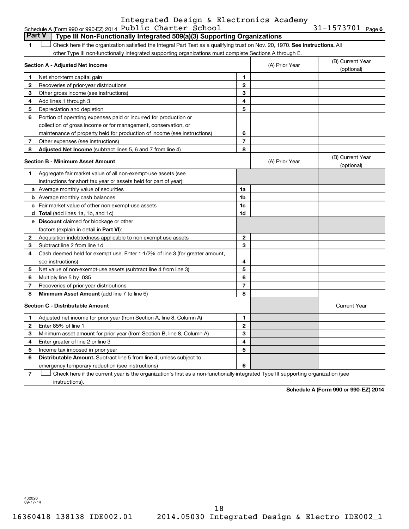#### Schedule A (Form 990 or 990-EZ) 2014  ${\tt Public$  **Charter School**  $31-1573701$  **Page**Integrated Design & Electronics Academy

31-1573701 Page 6

|              | Part V<br>Type III Non-Functionally Integrated 509(a)(3) Supporting Organizations                                             |                         |                |                                |
|--------------|-------------------------------------------------------------------------------------------------------------------------------|-------------------------|----------------|--------------------------------|
|              | Check here if the organization satisfied the Integral Part Test as a qualifying trust on Nov. 20, 1970. See instructions. All |                         |                |                                |
|              | other Type III non-functionally integrated supporting organizations must complete Sections A through E.                       |                         |                |                                |
|              | Section A - Adjusted Net Income                                                                                               |                         | (A) Prior Year | (B) Current Year<br>(optional) |
| 1            | Net short-term capital gain                                                                                                   | 1                       |                |                                |
| $\mathbf{2}$ | Recoveries of prior-year distributions                                                                                        | $\mathbf{2}$            |                |                                |
| З            | Other gross income (see instructions)                                                                                         | 3                       |                |                                |
| 4            | Add lines 1 through 3                                                                                                         | 4                       |                |                                |
| 5            | Depreciation and depletion                                                                                                    | 5                       |                |                                |
| 6            | Portion of operating expenses paid or incurred for production or                                                              |                         |                |                                |
|              | collection of gross income or for management, conservation, or                                                                |                         |                |                                |
|              | maintenance of property held for production of income (see instructions)                                                      | 6                       |                |                                |
| 7            | Other expenses (see instructions)                                                                                             | $\overline{7}$          |                |                                |
| 8            | Adjusted Net Income (subtract lines 5, 6 and 7 from line 4)                                                                   | 8                       |                |                                |
|              | Section B - Minimum Asset Amount                                                                                              |                         | (A) Prior Year | (B) Current Year<br>(optional) |
| 1.           | Aggregate fair market value of all non-exempt-use assets (see                                                                 |                         |                |                                |
|              | instructions for short tax year or assets held for part of year):                                                             |                         |                |                                |
|              | a Average monthly value of securities                                                                                         | 1a                      |                |                                |
|              | <b>b</b> Average monthly cash balances                                                                                        | 1 <sub>b</sub>          |                |                                |
|              | <b>c</b> Fair market value of other non-exempt-use assets                                                                     | 1 <sub>c</sub>          |                |                                |
|              | <b>d</b> Total (add lines 1a, 1b, and 1c)                                                                                     | 1d                      |                |                                |
|              | <b>e</b> Discount claimed for blockage or other                                                                               |                         |                |                                |
|              | factors (explain in detail in <b>Part VI</b> ):                                                                               |                         |                |                                |
| 2            | Acquisition indebtedness applicable to non-exempt-use assets                                                                  | $\mathbf{2}$            |                |                                |
| з            | Subtract line 2 from line 1d                                                                                                  | 3                       |                |                                |
| 4            | Cash deemed held for exempt use. Enter 1-1/2% of line 3 (for greater amount,                                                  |                         |                |                                |
|              | see instructions).                                                                                                            | 4                       |                |                                |
| 5            | Net value of non-exempt-use assets (subtract line 4 from line 3)                                                              | 5                       |                |                                |
| 6            | Multiply line 5 by .035                                                                                                       | 6                       |                |                                |
| 7            | Recoveries of prior-year distributions                                                                                        | $\overline{\mathbf{r}}$ |                |                                |
| 8            | Minimum Asset Amount (add line 7 to line 6)                                                                                   | 8                       |                |                                |
|              | <b>Section C - Distributable Amount</b>                                                                                       |                         |                | <b>Current Year</b>            |
| 1            | Adjusted net income for prior year (from Section A, line 8, Column A)                                                         | 1                       |                |                                |
| $\mathbf{2}$ | Enter 85% of line 1                                                                                                           | $\mathbf{2}$            |                |                                |
| 3            | Minimum asset amount for prior year (from Section B, line 8, Column A)                                                        | 3                       |                |                                |
| 4            | Enter greater of line 2 or line 3                                                                                             | 4                       |                |                                |
| 5            | Income tax imposed in prior year                                                                                              | 5                       |                |                                |
| 6            | <b>Distributable Amount.</b> Subtract line 5 from line 4, unless subject to                                                   |                         |                |                                |
|              | emergency temporary reduction (see instructions)                                                                              | 6                       |                |                                |
|              |                                                                                                                               |                         |                |                                |

**7** Check here if the current year is the organization's first as a non-functionally-integrated Type III supporting organization (see † instructions).

**Schedule A (Form 990 or 990-EZ) 2014**

432026 09-17-14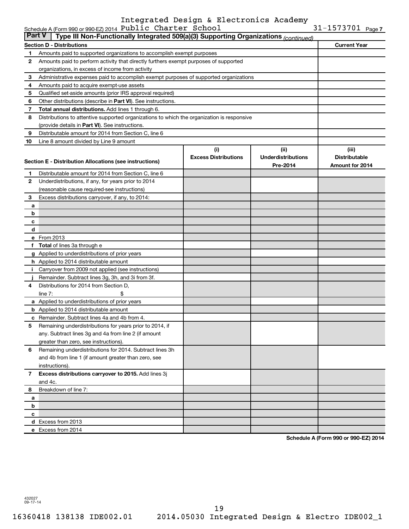### Schedule A (Form 990 or 990-EZ) 2014  ${\tt Public$  **Charter School**  $31-1573701$  **Page**Integrated Design & Electronics Academy

| <b>Part V</b><br>Type III Non-Functionally Integrated 509(a)(3) Supporting Organizations (continued) |                                                                                            |                             |                           |                      |  |  |  |  |
|------------------------------------------------------------------------------------------------------|--------------------------------------------------------------------------------------------|-----------------------------|---------------------------|----------------------|--|--|--|--|
|                                                                                                      | Section D - Distributions<br><b>Current Year</b>                                           |                             |                           |                      |  |  |  |  |
| 1                                                                                                    | Amounts paid to supported organizations to accomplish exempt purposes                      |                             |                           |                      |  |  |  |  |
| 2                                                                                                    | Amounts paid to perform activity that directly furthers exempt purposes of supported       |                             |                           |                      |  |  |  |  |
|                                                                                                      | organizations, in excess of income from activity                                           |                             |                           |                      |  |  |  |  |
| 3                                                                                                    | Administrative expenses paid to accomplish exempt purposes of supported organizations      |                             |                           |                      |  |  |  |  |
| 4                                                                                                    | Amounts paid to acquire exempt-use assets                                                  |                             |                           |                      |  |  |  |  |
| 5                                                                                                    | Qualified set-aside amounts (prior IRS approval required)                                  |                             |                           |                      |  |  |  |  |
| 6                                                                                                    | Other distributions (describe in Part VI). See instructions.                               |                             |                           |                      |  |  |  |  |
| 7                                                                                                    | Total annual distributions. Add lines 1 through 6.                                         |                             |                           |                      |  |  |  |  |
| 8                                                                                                    | Distributions to attentive supported organizations to which the organization is responsive |                             |                           |                      |  |  |  |  |
|                                                                                                      | (provide details in Part VI). See instructions.                                            |                             |                           |                      |  |  |  |  |
| 9                                                                                                    | Distributable amount for 2014 from Section C, line 6                                       |                             |                           |                      |  |  |  |  |
| 10                                                                                                   | Line 8 amount divided by Line 9 amount                                                     |                             |                           |                      |  |  |  |  |
|                                                                                                      |                                                                                            | (i)                         | (ii)                      | (iii)                |  |  |  |  |
|                                                                                                      | Section E - Distribution Allocations (see instructions)                                    | <b>Excess Distributions</b> | <b>Underdistributions</b> | <b>Distributable</b> |  |  |  |  |
|                                                                                                      |                                                                                            |                             | Pre-2014                  | Amount for 2014      |  |  |  |  |
| 1                                                                                                    | Distributable amount for 2014 from Section C, line 6                                       |                             |                           |                      |  |  |  |  |
| 2                                                                                                    | Underdistributions, if any, for years prior to 2014                                        |                             |                           |                      |  |  |  |  |
|                                                                                                      | (reasonable cause required-see instructions)                                               |                             |                           |                      |  |  |  |  |
| 3                                                                                                    | Excess distributions carryover, if any, to 2014:                                           |                             |                           |                      |  |  |  |  |
| a                                                                                                    |                                                                                            |                             |                           |                      |  |  |  |  |
| b                                                                                                    |                                                                                            |                             |                           |                      |  |  |  |  |
| c                                                                                                    |                                                                                            |                             |                           |                      |  |  |  |  |
| d                                                                                                    |                                                                                            |                             |                           |                      |  |  |  |  |
|                                                                                                      | e From 2013                                                                                |                             |                           |                      |  |  |  |  |
| f                                                                                                    | <b>Total</b> of lines 3a through e                                                         |                             |                           |                      |  |  |  |  |
| g                                                                                                    | Applied to underdistributions of prior years                                               |                             |                           |                      |  |  |  |  |
|                                                                                                      | <b>h</b> Applied to 2014 distributable amount                                              |                             |                           |                      |  |  |  |  |
| i.                                                                                                   | Carryover from 2009 not applied (see instructions)                                         |                             |                           |                      |  |  |  |  |
|                                                                                                      | Remainder. Subtract lines 3g, 3h, and 3i from 3f.                                          |                             |                           |                      |  |  |  |  |
| 4                                                                                                    | Distributions for 2014 from Section D,                                                     |                             |                           |                      |  |  |  |  |
|                                                                                                      | line $7:$<br>\$                                                                            |                             |                           |                      |  |  |  |  |
|                                                                                                      | a Applied to underdistributions of prior years                                             |                             |                           |                      |  |  |  |  |
|                                                                                                      | <b>b</b> Applied to 2014 distributable amount                                              |                             |                           |                      |  |  |  |  |
| C                                                                                                    | Remainder. Subtract lines 4a and 4b from 4.                                                |                             |                           |                      |  |  |  |  |
| 5                                                                                                    | Remaining underdistributions for years prior to 2014, if                                   |                             |                           |                      |  |  |  |  |
|                                                                                                      | any. Subtract lines 3g and 4a from line 2 (if amount                                       |                             |                           |                      |  |  |  |  |
|                                                                                                      | greater than zero, see instructions).                                                      |                             |                           |                      |  |  |  |  |
| 6                                                                                                    | Remaining underdistributions for 2014. Subtract lines 3h                                   |                             |                           |                      |  |  |  |  |
|                                                                                                      | and 4b from line 1 (if amount greater than zero, see                                       |                             |                           |                      |  |  |  |  |
|                                                                                                      | instructions).                                                                             |                             |                           |                      |  |  |  |  |
| 7                                                                                                    | Excess distributions carryover to 2015. Add lines 3j                                       |                             |                           |                      |  |  |  |  |
|                                                                                                      | and 4c.                                                                                    |                             |                           |                      |  |  |  |  |
| 8                                                                                                    | Breakdown of line 7:                                                                       |                             |                           |                      |  |  |  |  |
| a                                                                                                    |                                                                                            |                             |                           |                      |  |  |  |  |
| b                                                                                                    |                                                                                            |                             |                           |                      |  |  |  |  |
| c                                                                                                    | d Excess from 2013                                                                         |                             |                           |                      |  |  |  |  |
|                                                                                                      | e Excess from 2014                                                                         |                             |                           |                      |  |  |  |  |
|                                                                                                      |                                                                                            |                             |                           |                      |  |  |  |  |

**Schedule A (Form 990 or 990-EZ) 2014**

432027 09-17-14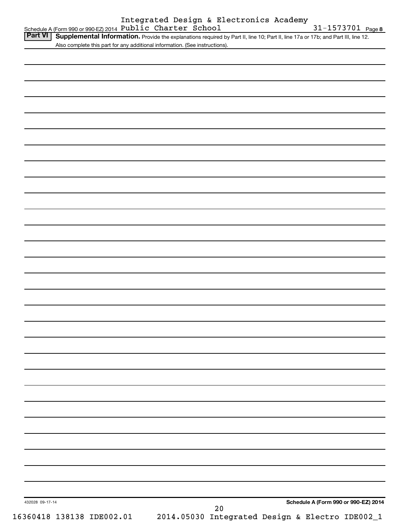| <b>Part VI</b><br>Also complete this part for any additional information. (See instructions). | Supplemental Information. Provide the explanations required by Part II, line 10; Part II, line 17a or 17b; and Part III, line 12. |
|-----------------------------------------------------------------------------------------------|-----------------------------------------------------------------------------------------------------------------------------------|
|                                                                                               |                                                                                                                                   |
|                                                                                               |                                                                                                                                   |
|                                                                                               |                                                                                                                                   |
|                                                                                               |                                                                                                                                   |
|                                                                                               |                                                                                                                                   |
|                                                                                               |                                                                                                                                   |
|                                                                                               |                                                                                                                                   |
|                                                                                               |                                                                                                                                   |
|                                                                                               |                                                                                                                                   |
|                                                                                               |                                                                                                                                   |
|                                                                                               |                                                                                                                                   |
|                                                                                               |                                                                                                                                   |
|                                                                                               |                                                                                                                                   |
|                                                                                               |                                                                                                                                   |
|                                                                                               |                                                                                                                                   |
|                                                                                               |                                                                                                                                   |
|                                                                                               |                                                                                                                                   |
|                                                                                               |                                                                                                                                   |
|                                                                                               |                                                                                                                                   |
|                                                                                               |                                                                                                                                   |
|                                                                                               |                                                                                                                                   |
|                                                                                               |                                                                                                                                   |
|                                                                                               |                                                                                                                                   |
|                                                                                               |                                                                                                                                   |
|                                                                                               |                                                                                                                                   |
|                                                                                               |                                                                                                                                   |
|                                                                                               |                                                                                                                                   |
|                                                                                               |                                                                                                                                   |
|                                                                                               |                                                                                                                                   |
|                                                                                               |                                                                                                                                   |
|                                                                                               |                                                                                                                                   |
|                                                                                               |                                                                                                                                   |
|                                                                                               |                                                                                                                                   |
|                                                                                               |                                                                                                                                   |
|                                                                                               |                                                                                                                                   |
|                                                                                               |                                                                                                                                   |
|                                                                                               |                                                                                                                                   |
|                                                                                               |                                                                                                                                   |
|                                                                                               |                                                                                                                                   |
|                                                                                               |                                                                                                                                   |
| 432028 09-17-14                                                                               | Schedule A (Form 990 or 990-EZ) 2014                                                                                              |
|                                                                                               | $20\,$<br>16360418 138138 IDE002.01<br>2014.05030 Integrated Design & Electro IDE002_1                                            |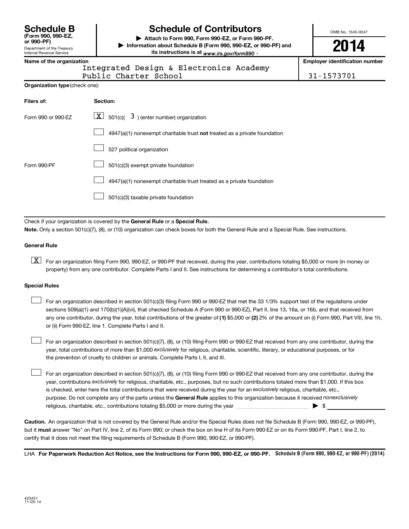Department of the Treasury Internal Revenue Service **(Form 990, 990-EZ,**

# **Schedule B Schedule of Contributors**

**or 990-PF) | Attach to Form 990, Form 990-EZ, or Form 990-PF. | Information about Schedule B (Form 990, 990-EZ, or 990-PF) and** its instructions is at <sub>www.irs.gov/form990  $\cdot$ </sub>

OMB No. 1545-0047

**2014**

**Name of the organization Employer identification number**

Integrated Design & Electronics Academy

Public Charter School 31-1573701

| Filers of:         | Section:                                                                  |
|--------------------|---------------------------------------------------------------------------|
| Form 990 or 990-EZ | $\underline{\mathbf{X}}$ 501(c)( $3$ ) (enter number) organization        |
|                    | 4947(a)(1) nonexempt charitable trust not treated as a private foundation |
|                    | 527 political organization                                                |
| Form 990-PF        | 501(c)(3) exempt private foundation                                       |
|                    | 4947(a)(1) nonexempt charitable trust treated as a private foundation     |
|                    | 501(c)(3) taxable private foundation                                      |

Check if your organization is covered by the General Rule or a Special Rule.

**Note.**  Only a section 501(c)(7), (8), or (10) organization can check boxes for both the General Rule and a Special Rule. See instructions.

#### **General Rule**

**K** For an organization filing Form 990, 990-EZ, or 990-PF that received, during the year, contributions totaling \$5,000 or more (in money or property) from any one contributor. Complete Parts I and II. See instructions for determining a contributor's total contributions.

#### **Special Rules**

 $\Box$ 

any one contributor, during the year, total contributions of the greater of **(1)** \$5,000 or **(2)** 2% of the amount on (i) Form 990, Part VIII, line 1h, For an organization described in section 501(c)(3) filing Form 990 or 990-EZ that met the 33 1/3% support test of the regulations under sections 509(a)(1) and 170(b)(1)(A)(vi), that checked Schedule A (Form 990 or 990-EZ), Part II, line 13, 16a, or 16b, and that received from or (ii) Form 990-EZ, line 1. Complete Parts I and II.  $\Box$ 

year, total contributions of more than \$1,000 *exclusively* for religious, charitable, scientific, literary, or educational purposes, or for For an organization described in section 501(c)(7), (8), or (10) filing Form 990 or 990-EZ that received from any one contributor, during the the prevention of cruelty to children or animals. Complete Parts I, II, and III.  $\Box$ 

purpose. Do not complete any of the parts unless the General Rule applies to this organization because it received nonexclusively year, contributions exclusively for religious, charitable, etc., purposes, but no such contributions totaled more than \$1,000. If this box is checked, enter here the total contributions that were received during the year for an exclusively religious, charitable, etc., For an organization described in section 501(c)(7), (8), or (10) filing Form 990 or 990-EZ that received from any one contributor, during the religious, charitable, etc., contributions totaling \$5,000 or more during the year  $\ldots$  $\ldots$  $\ldots$  $\ldots$  $\ldots$  $\ldots$ 

**Caution.** An organization that is not covered by the General Rule and/or the Special Rules does not file Schedule B (Form 990, 990-EZ, or 990-PF),  **must** but it answer "No" on Part IV, line 2, of its Form 990; or check the box on line H of its Form 990-EZ or on its Form 990-PF, Part I, line 2, to certify that it does not meet the filing requirements of Schedule B (Form 990, 990-EZ, or 990-PF).

LHA For Paperwork Reduction Act Notice, see the Instructions for Form 990, 990-EZ, or 990-PF. Schedule B (Form 990, 990-EZ, or 990-PF) (2014)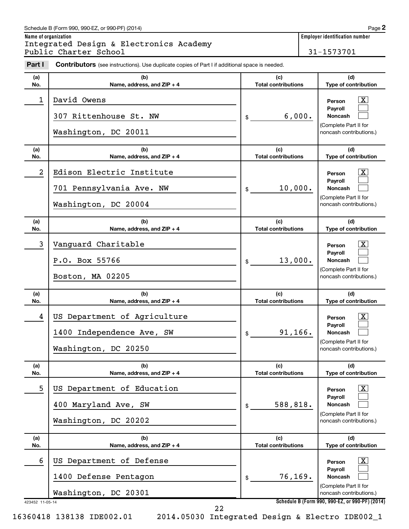#### Schedule B (Form 990, 990-EZ, or 990-PF) (2014)

**Name of organization Employer identification number** Integrated Design & Electronics Academy Public Charter School 31-1573701

| Part I          | <b>Contributors</b> (see instructions). Use duplicate copies of Part I if additional space is needed. |                                   |                                                                                                                           |
|-----------------|-------------------------------------------------------------------------------------------------------|-----------------------------------|---------------------------------------------------------------------------------------------------------------------------|
| (a)<br>No.      | (b)<br>Name, address, and ZIP + 4                                                                     | (c)<br><b>Total contributions</b> | (d)<br>Type of contribution                                                                                               |
| 1               | David Owens<br>307 Rittenhouse St. NW<br>Washington, DC 20011                                         | 6,000.<br>\$                      | $\overline{\mathbf{X}}$<br>Person<br>Payroll<br><b>Noncash</b><br>(Complete Part II for<br>noncash contributions.)        |
| (a)<br>No.      | (b)<br>Name, address, and ZIP + 4                                                                     | (c)<br><b>Total contributions</b> | (d)<br>Type of contribution                                                                                               |
| 2               | Edison Electric Institute<br>701 Pennsylvania Ave. NW<br>Washington, DC 20004                         | 10,000.<br>\$                     | $\overline{\mathbf{X}}$<br>Person<br><b>Payroll</b><br><b>Noncash</b><br>(Complete Part II for<br>noncash contributions.) |
| (a)<br>No.      | (b)<br>Name, address, and ZIP + 4                                                                     | (c)<br><b>Total contributions</b> | (d)<br>Type of contribution                                                                                               |
| 3               | Vanguard Charitable<br>P.O. Box 55766<br>Boston, MA 02205                                             | 13,000.<br>\$                     | $\overline{\mathbf{X}}$<br>Person<br>Payroll<br><b>Noncash</b><br>(Complete Part II for<br>noncash contributions.)        |
| (a)<br>No.      | (b)<br>Name, address, and ZIP + 4                                                                     | (c)<br><b>Total contributions</b> | (d)<br>Type of contribution                                                                                               |
| 4               | US Department of Agriculture<br>1400 Independence Ave, SW<br>Washington, DC 20250                     | 91, 166.<br>\$                    | $\overline{\mathbf{X}}$<br>Person<br>Payroll<br><b>Noncash</b><br>(Complete Part II for<br>noncash contributions.)        |
| (a)<br>No.      | (b)<br>Name, address, and ZIP + 4                                                                     | (c)<br><b>Total contributions</b> | (d)<br>Type of contribution                                                                                               |
| 5               | US Department of Education<br>400 Maryland Ave, SW<br>Washington, DC 20202                            | 588,818.<br>\$                    | $\mathbf{X}$<br>Person<br>Payroll<br><b>Noncash</b><br>(Complete Part II for<br>noncash contributions.)                   |
| (a)<br>No.      | (b)<br>Name, address, and ZIP + 4                                                                     | (c)<br><b>Total contributions</b> | (d)<br>Type of contribution                                                                                               |
| 6               | US Department of Defense<br>1400 Defense Pentagon<br>Washington, DC 20301                             | 76,169.<br>\$                     | $\mathbf{X}$<br>Person<br>Payroll<br><b>Noncash</b><br>(Complete Part II for<br>noncash contributions.)                   |
| 423452 11-05-14 |                                                                                                       |                                   | Schedule B (Form 990, 990-EZ, or 990-PF) (2014)                                                                           |

16360418 138138 IDE002.01 2014.05030 Integrated Design & Electro IDE002\_1

22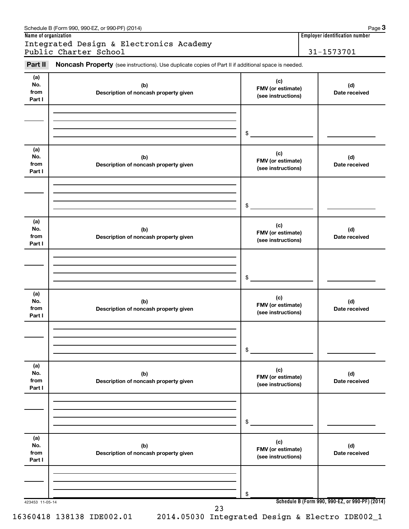| Part II                      | Noncash Property (see instructions). Use duplicate copies of Part II if additional space is needed. |                                                |                      |  |
|------------------------------|-----------------------------------------------------------------------------------------------------|------------------------------------------------|----------------------|--|
| (a)<br>No.<br>from<br>Part I | (c)<br>(b)<br>FMV (or estimate)<br>Description of noncash property given<br>(see instructions)      |                                                | (d)<br>Date received |  |
|                              |                                                                                                     | \$                                             |                      |  |
| (a)<br>No.<br>from<br>Part I | (b)<br>Description of noncash property given                                                        | (c)<br>FMV (or estimate)<br>(see instructions) | (d)<br>Date received |  |
|                              |                                                                                                     | \$                                             |                      |  |
| (a)<br>No.<br>from<br>Part I | (b)<br>Description of noncash property given                                                        | (c)<br>FMV (or estimate)<br>(see instructions) | (d)<br>Date received |  |
|                              |                                                                                                     | \$                                             |                      |  |
| (a)<br>No.<br>from<br>Part I | (b)<br>Description of noncash property given                                                        | (c)<br>FMV (or estimate)<br>(see instructions) | (d)<br>Date received |  |
|                              |                                                                                                     | \$                                             |                      |  |
| (a)<br>No.<br>from<br>Part I | (b)<br>Description of noncash property given                                                        | (c)<br>FMV (or estimate)<br>(see instructions) | (d)<br>Date received |  |
|                              |                                                                                                     | \$                                             |                      |  |
| (a)<br>No.<br>from<br>Part I | (b)<br>Description of noncash property given                                                        | (c)<br>FMV (or estimate)<br>(see instructions) | (d)<br>Date received |  |
|                              |                                                                                                     | \$                                             |                      |  |

#### Schedule B (Form 990, 990-EZ, or 990-PF) (2014) Schedule B (Form 1990, 990-PF) (2014)

**3**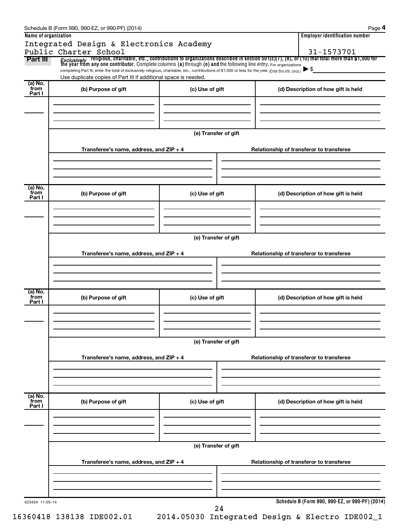| Name of organization      | Integrated Design & Electronics Academy<br>Public Charter School                                                                                                                                                                                                                                                                                                                                                                                                       |                      | <b>Employer identification number</b><br>31-1573701 |
|---------------------------|------------------------------------------------------------------------------------------------------------------------------------------------------------------------------------------------------------------------------------------------------------------------------------------------------------------------------------------------------------------------------------------------------------------------------------------------------------------------|----------------------|-----------------------------------------------------|
| Part III                  | <i>Exclusively</i> religious, charitable, etc., contributions to organizations described in section 501(c)(7), (8), or (10) that total more than \$1,000 for<br>the year from any one contributor. Complete columns (a) through (e) and<br>completing Part III, enter the total of exclusively religious, charitable, etc., contributions of \$1,000 or less for the year. (Enter this info. once.)<br>Use duplicate copies of Part III if additional space is needed. |                      | $\blacktriangleright$ \$                            |
| (a) No.<br>from<br>Part I | (b) Purpose of gift                                                                                                                                                                                                                                                                                                                                                                                                                                                    | (c) Use of gift      | (d) Description of how gift is held                 |
|                           |                                                                                                                                                                                                                                                                                                                                                                                                                                                                        | (e) Transfer of gift |                                                     |
|                           | Transferee's name, address, and ZIP + 4                                                                                                                                                                                                                                                                                                                                                                                                                                |                      | Relationship of transferor to transferee            |
| (a) No.<br>from<br>Part I | (b) Purpose of gift                                                                                                                                                                                                                                                                                                                                                                                                                                                    | (c) Use of gift      | (d) Description of how gift is held                 |
|                           |                                                                                                                                                                                                                                                                                                                                                                                                                                                                        | (e) Transfer of gift |                                                     |
|                           | Transferee's name, address, and ZIP + 4                                                                                                                                                                                                                                                                                                                                                                                                                                |                      | Relationship of transferor to transferee            |
| (a) No.<br>from<br>Part I | (b) Purpose of gift                                                                                                                                                                                                                                                                                                                                                                                                                                                    | (c) Use of gift      | (d) Description of how gift is held                 |
|                           |                                                                                                                                                                                                                                                                                                                                                                                                                                                                        | (e) Transfer of gift |                                                     |
|                           | Transferee's name, address, and $ZIP + 4$                                                                                                                                                                                                                                                                                                                                                                                                                              |                      | Relationship of transferor to transferee            |
| (a) No.<br>from<br>Part I | (b) Purpose of gift                                                                                                                                                                                                                                                                                                                                                                                                                                                    | (c) Use of gift      | (d) Description of how gift is held                 |
|                           |                                                                                                                                                                                                                                                                                                                                                                                                                                                                        | (e) Transfer of gift |                                                     |
|                           | Transferee's name, address, and $ZIP + 4$                                                                                                                                                                                                                                                                                                                                                                                                                              |                      | Relationship of transferor to transferee            |
| 423454 11-05-14           |                                                                                                                                                                                                                                                                                                                                                                                                                                                                        | 24                   | Schedule B (Form 990, 990-EZ, or 990-PF) (2014)     |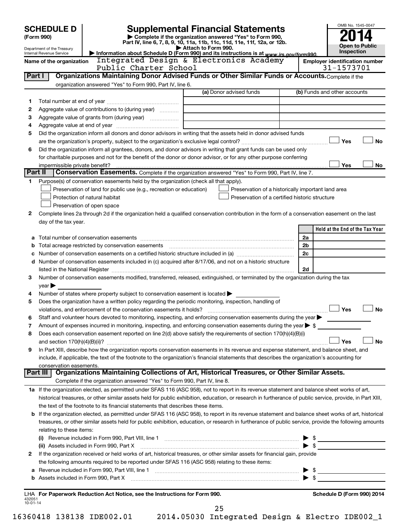|                | <b>SCHEDULE D</b>                                      |                                                                                                        | <b>Supplemental Financial Statements</b>                                                                                                                  |                         | OMB No. 1545-0047               |  |  |  |
|----------------|--------------------------------------------------------|--------------------------------------------------------------------------------------------------------|-----------------------------------------------------------------------------------------------------------------------------------------------------------|-------------------------|---------------------------------|--|--|--|
|                | (Form 990)                                             |                                                                                                        | Complete if the organization answered "Yes" to Form 990,                                                                                                  |                         |                                 |  |  |  |
|                |                                                        |                                                                                                        | Part IV, line 6, 7, 8, 9, 10, 11a, 11b, 11c, 11d, 11e, 11f, 12a, or 12b.                                                                                  |                         | <b>Open to Public</b>           |  |  |  |
|                | Department of the Treasury<br>Internal Revenue Service |                                                                                                        | Attach to Form 990.<br>Information about Schedule D (Form 990) and its instructions is at www.irs.gov/form990.                                            |                         | Inspection                      |  |  |  |
|                | Name of the organization                               |                                                                                                        | <b>Employer identification number</b>                                                                                                                     |                         |                                 |  |  |  |
|                |                                                        | Public Charter School                                                                                  |                                                                                                                                                           |                         | 31-1573701                      |  |  |  |
|                | Part I                                                 |                                                                                                        | Organizations Maintaining Donor Advised Funds or Other Similar Funds or Accounts. Complete if the                                                         |                         |                                 |  |  |  |
|                |                                                        | organization answered "Yes" to Form 990, Part IV, line 6.                                              |                                                                                                                                                           |                         |                                 |  |  |  |
|                |                                                        |                                                                                                        | (a) Donor advised funds                                                                                                                                   |                         | (b) Funds and other accounts    |  |  |  |
| 1              |                                                        |                                                                                                        |                                                                                                                                                           |                         |                                 |  |  |  |
| 2              |                                                        | Aggregate value of contributions to (during year)                                                      |                                                                                                                                                           |                         |                                 |  |  |  |
| 3              |                                                        |                                                                                                        | the control of the control of the control of the control of the control of                                                                                |                         |                                 |  |  |  |
| 4              |                                                        |                                                                                                        |                                                                                                                                                           |                         |                                 |  |  |  |
| 5              |                                                        |                                                                                                        | Did the organization inform all donors and donor advisors in writing that the assets held in donor advised funds                                          |                         |                                 |  |  |  |
|                |                                                        |                                                                                                        |                                                                                                                                                           |                         | Yes<br><b>No</b>                |  |  |  |
| 6              |                                                        |                                                                                                        | Did the organization inform all grantees, donors, and donor advisors in writing that grant funds can be used only                                         |                         |                                 |  |  |  |
|                |                                                        |                                                                                                        | for charitable purposes and not for the benefit of the donor or donor advisor, or for any other purpose conferring                                        |                         |                                 |  |  |  |
|                | impermissible private benefit?                         |                                                                                                        |                                                                                                                                                           |                         | Yes<br>No                       |  |  |  |
| Part II        |                                                        |                                                                                                        | Conservation Easements. Complete if the organization answered "Yes" to Form 990, Part IV, line 7.                                                         |                         |                                 |  |  |  |
| 1              |                                                        | Purpose(s) of conservation easements held by the organization (check all that apply).                  |                                                                                                                                                           |                         |                                 |  |  |  |
|                |                                                        | Preservation of land for public use (e.g., recreation or education)                                    | Preservation of a historically important land area                                                                                                        |                         |                                 |  |  |  |
|                |                                                        | Protection of natural habitat                                                                          | Preservation of a certified historic structure                                                                                                            |                         |                                 |  |  |  |
|                |                                                        | Preservation of open space                                                                             |                                                                                                                                                           |                         |                                 |  |  |  |
| 2              |                                                        |                                                                                                        | Complete lines 2a through 2d if the organization held a qualified conservation contribution in the form of a conservation easement on the last            |                         |                                 |  |  |  |
|                | day of the tax year.                                   |                                                                                                        |                                                                                                                                                           |                         | Held at the End of the Tax Year |  |  |  |
|                |                                                        |                                                                                                        |                                                                                                                                                           |                         |                                 |  |  |  |
|                |                                                        |                                                                                                        |                                                                                                                                                           | 2a<br>2b                |                                 |  |  |  |
| b              |                                                        |                                                                                                        |                                                                                                                                                           | 2c                      |                                 |  |  |  |
| с              |                                                        |                                                                                                        | d Number of conservation easements included in (c) acquired after 8/17/06, and not on a historic structure                                                |                         |                                 |  |  |  |
|                |                                                        |                                                                                                        |                                                                                                                                                           | 2d                      |                                 |  |  |  |
| з              |                                                        |                                                                                                        | Number of conservation easements modified, transferred, released, extinguished, or terminated by the organization during the tax                          |                         |                                 |  |  |  |
|                | year                                                   |                                                                                                        |                                                                                                                                                           |                         |                                 |  |  |  |
| 4              |                                                        | Number of states where property subject to conservation easement is located $\blacktriangleright$      |                                                                                                                                                           |                         |                                 |  |  |  |
| 5              |                                                        | Does the organization have a written policy regarding the periodic monitoring, inspection, handling of |                                                                                                                                                           |                         |                                 |  |  |  |
|                |                                                        |                                                                                                        |                                                                                                                                                           |                         | Yes<br><b>No</b>                |  |  |  |
|                |                                                        |                                                                                                        | Staff and volunteer hours devoted to monitoring, inspecting, and enforcing conservation easements during the year                                         |                         |                                 |  |  |  |
| 7              |                                                        |                                                                                                        | Amount of expenses incurred in monitoring, inspecting, and enforcing conservation easements during the year $\triangleright$ \$                           |                         |                                 |  |  |  |
| 8              |                                                        |                                                                                                        | Does each conservation easement reported on line 2(d) above satisfy the requirements of section 170(h)(4)(B)(i)                                           |                         |                                 |  |  |  |
|                |                                                        |                                                                                                        |                                                                                                                                                           |                         | Yes<br>No                       |  |  |  |
| 9              |                                                        |                                                                                                        | In Part XIII, describe how the organization reports conservation easements in its revenue and expense statement, and balance sheet, and                   |                         |                                 |  |  |  |
|                |                                                        |                                                                                                        | include, if applicable, the text of the footnote to the organization's financial statements that describes the organization's accounting for              |                         |                                 |  |  |  |
|                | conservation easements.                                |                                                                                                        |                                                                                                                                                           |                         |                                 |  |  |  |
|                | Part III                                               |                                                                                                        | Organizations Maintaining Collections of Art, Historical Treasures, or Other Similar Assets.                                                              |                         |                                 |  |  |  |
|                |                                                        | Complete if the organization answered "Yes" to Form 990, Part IV, line 8.                              |                                                                                                                                                           |                         |                                 |  |  |  |
|                |                                                        |                                                                                                        | 1a If the organization elected, as permitted under SFAS 116 (ASC 958), not to report in its revenue statement and balance sheet works of art,             |                         |                                 |  |  |  |
|                |                                                        |                                                                                                        | historical treasures, or other similar assets held for public exhibition, education, or research in furtherance of public service, provide, in Part XIII, |                         |                                 |  |  |  |
|                |                                                        | the text of the footnote to its financial statements that describes these items.                       |                                                                                                                                                           |                         |                                 |  |  |  |
|                |                                                        |                                                                                                        | b If the organization elected, as permitted under SFAS 116 (ASC 958), to report in its revenue statement and balance sheet works of art, historical       |                         |                                 |  |  |  |
|                |                                                        |                                                                                                        | treasures, or other similar assets held for public exhibition, education, or research in furtherance of public service, provide the following amounts     |                         |                                 |  |  |  |
|                | relating to these items:                               |                                                                                                        |                                                                                                                                                           |                         |                                 |  |  |  |
|                |                                                        |                                                                                                        | (i) Revenue included in Form 990, Part VIII, line 1 [1] [1] [1] [1] [1] [1] [1] [1] Revenue included in Form 990, Part VIII, line 1                       |                         | $\triangleright$ \$             |  |  |  |
|                |                                                        |                                                                                                        |                                                                                                                                                           | $\blacktriangleright$ s |                                 |  |  |  |
| 2              |                                                        |                                                                                                        | If the organization received or held works of art, historical treasures, or other similar assets for financial gain, provide                              |                         |                                 |  |  |  |
|                |                                                        | the following amounts required to be reported under SFAS 116 (ASC 958) relating to these items:        |                                                                                                                                                           |                         |                                 |  |  |  |
| а              |                                                        |                                                                                                        |                                                                                                                                                           |                         | $\triangleright$ \$             |  |  |  |
|                |                                                        |                                                                                                        |                                                                                                                                                           |                         |                                 |  |  |  |
|                |                                                        |                                                                                                        |                                                                                                                                                           |                         |                                 |  |  |  |
| 432051         |                                                        | LHA For Paperwork Reduction Act Notice, see the Instructions for Form 990.                             |                                                                                                                                                           |                         | Schedule D (Form 990) 2014      |  |  |  |
| $10 - 01 - 14$ |                                                        |                                                                                                        |                                                                                                                                                           |                         |                                 |  |  |  |
|                |                                                        |                                                                                                        | 25                                                                                                                                                        |                         |                                 |  |  |  |

16360418 138138 IDE002.01 2014.05030 Integrated Design & Electro IDE002\_1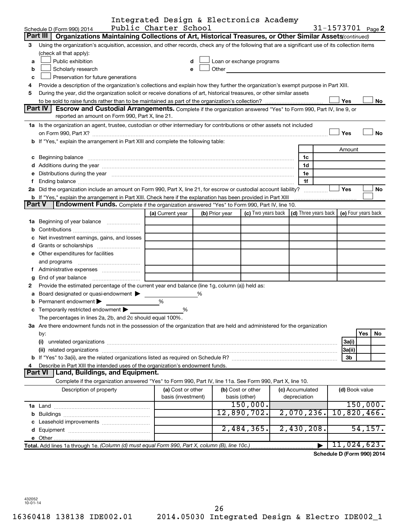|        |                                                                                                                                                                                                                                                           | Integrated Design & Electronics Academy |  |                |                           |  |                                                                             |                            |           |  |
|--------|-----------------------------------------------------------------------------------------------------------------------------------------------------------------------------------------------------------------------------------------------------------|-----------------------------------------|--|----------------|---------------------------|--|-----------------------------------------------------------------------------|----------------------------|-----------|--|
|        | Schedule D (Form 990) 2014                                                                                                                                                                                                                                | Public Charter School                   |  |                |                           |  |                                                                             | 31-1573701 Page 2          |           |  |
|        | Part III<br>Organizations Maintaining Collections of Art, Historical Treasures, or Other Similar Assets(continued)                                                                                                                                        |                                         |  |                |                           |  |                                                                             |                            |           |  |
| З      | Using the organization's acquisition, accession, and other records, check any of the following that are a significant use of its collection items                                                                                                         |                                         |  |                |                           |  |                                                                             |                            |           |  |
|        | (check all that apply):                                                                                                                                                                                                                                   |                                         |  |                |                           |  |                                                                             |                            |           |  |
| a      | Public exhibition                                                                                                                                                                                                                                         | d                                       |  |                | Loan or exchange programs |  |                                                                             |                            |           |  |
| b      | Other the contract of the contract of the contract of the contract of the contract of the contract of the contract of the contract of the contract of the contract of the contract of the contract of the contract of the cont<br>Scholarly research<br>e |                                         |  |                |                           |  |                                                                             |                            |           |  |
| C      | Preservation for future generations                                                                                                                                                                                                                       |                                         |  |                |                           |  |                                                                             |                            |           |  |
| 4      | Provide a description of the organization's collections and explain how they further the organization's exempt purpose in Part XIII.                                                                                                                      |                                         |  |                |                           |  |                                                                             |                            |           |  |
| 5      | During the year, did the organization solicit or receive donations of art, historical treasures, or other similar assets                                                                                                                                  |                                         |  |                |                           |  |                                                                             |                            |           |  |
|        |                                                                                                                                                                                                                                                           |                                         |  |                |                           |  |                                                                             | Yes                        | No        |  |
|        | Part IV<br>Escrow and Custodial Arrangements. Complete if the organization answered "Yes" to Form 990, Part IV, line 9, or                                                                                                                                |                                         |  |                |                           |  |                                                                             |                            |           |  |
|        | reported an amount on Form 990, Part X, line 21.                                                                                                                                                                                                          |                                         |  |                |                           |  |                                                                             |                            |           |  |
|        | 1a Is the organization an agent, trustee, custodian or other intermediary for contributions or other assets not included                                                                                                                                  |                                         |  |                |                           |  |                                                                             |                            |           |  |
|        |                                                                                                                                                                                                                                                           |                                         |  |                |                           |  |                                                                             | Yes                        | <b>No</b> |  |
|        | b If "Yes," explain the arrangement in Part XIII and complete the following table:                                                                                                                                                                        |                                         |  |                |                           |  |                                                                             |                            |           |  |
|        |                                                                                                                                                                                                                                                           |                                         |  |                |                           |  |                                                                             | Amount                     |           |  |
|        |                                                                                                                                                                                                                                                           |                                         |  |                |                           |  | 1c                                                                          |                            |           |  |
|        |                                                                                                                                                                                                                                                           |                                         |  |                |                           |  | 1d                                                                          |                            |           |  |
|        | e Distributions during the year manufactured and an account of the year manufactured and account of the year manufactured and account of the USA of the Distributions during the year                                                                     |                                         |  |                |                           |  | 1e                                                                          |                            |           |  |
| f      |                                                                                                                                                                                                                                                           |                                         |  |                |                           |  | 1f                                                                          |                            |           |  |
|        | 2a Did the organization include an amount on Form 990, Part X, line 21, for escrow or custodial account liability?                                                                                                                                        |                                         |  |                |                           |  |                                                                             | Yes                        | No        |  |
| Part V | <b>b</b> If "Yes," explain the arrangement in Part XIII. Check here if the explanation has been provided in Part XIII                                                                                                                                     |                                         |  |                |                           |  |                                                                             |                            |           |  |
|        | <b>Endowment Funds.</b> Complete if the organization answered "Yes" to Form 990, Part IV, line 10.                                                                                                                                                        |                                         |  |                |                           |  |                                                                             |                            |           |  |
|        |                                                                                                                                                                                                                                                           | (a) Current year                        |  | (b) Prior year |                           |  | (c) Two years back $\vert$ (d) Three years back $\vert$ (e) Four years back |                            |           |  |
|        |                                                                                                                                                                                                                                                           |                                         |  |                |                           |  |                                                                             |                            |           |  |
| b      |                                                                                                                                                                                                                                                           |                                         |  |                |                           |  |                                                                             |                            |           |  |
|        | Net investment earnings, gains, and losses                                                                                                                                                                                                                |                                         |  |                |                           |  |                                                                             |                            |           |  |
|        |                                                                                                                                                                                                                                                           |                                         |  |                |                           |  |                                                                             |                            |           |  |
|        | e Other expenditures for facilities                                                                                                                                                                                                                       |                                         |  |                |                           |  |                                                                             |                            |           |  |
|        | and programs                                                                                                                                                                                                                                              |                                         |  |                |                           |  |                                                                             |                            |           |  |
| Ť.     |                                                                                                                                                                                                                                                           |                                         |  |                |                           |  |                                                                             |                            |           |  |
| g      | End of year balance                                                                                                                                                                                                                                       |                                         |  |                |                           |  |                                                                             |                            |           |  |
| 2      | Provide the estimated percentage of the current year end balance (line 1g, column (a)) held as:                                                                                                                                                           |                                         |  |                |                           |  |                                                                             |                            |           |  |
| а      | Board designated or quasi-endowment                                                                                                                                                                                                                       |                                         |  |                |                           |  |                                                                             |                            |           |  |
| b      | Permanent endowment                                                                                                                                                                                                                                       | %                                       |  |                |                           |  |                                                                             |                            |           |  |
|        | c Temporarily restricted endowment $\blacktriangleright$                                                                                                                                                                                                  | %                                       |  |                |                           |  |                                                                             |                            |           |  |
|        | The percentages in lines 2a, 2b, and 2c should equal 100%.                                                                                                                                                                                                |                                         |  |                |                           |  |                                                                             |                            |           |  |
|        | 3a Are there endowment funds not in the possession of the organization that are held and administered for the organization                                                                                                                                |                                         |  |                |                           |  |                                                                             |                            |           |  |
|        | by:                                                                                                                                                                                                                                                       |                                         |  |                |                           |  |                                                                             |                            | Yes<br>No |  |
|        | (i)                                                                                                                                                                                                                                                       |                                         |  |                |                           |  |                                                                             | 3a(i)                      |           |  |
|        | (ii) related organizations                                                                                                                                                                                                                                |                                         |  |                |                           |  |                                                                             | 3a(ii)                     |           |  |
|        |                                                                                                                                                                                                                                                           |                                         |  |                |                           |  |                                                                             | 3 <sub>b</sub>             |           |  |
|        | Describe in Part XIII the intended uses of the organization's endowment funds.                                                                                                                                                                            |                                         |  |                |                           |  |                                                                             |                            |           |  |
|        | <b>Part VI</b><br>Land, Buildings, and Equipment.                                                                                                                                                                                                         |                                         |  |                |                           |  |                                                                             |                            |           |  |
|        | Complete if the organization answered "Yes" to Form 990, Part IV, line 11a. See Form 990, Part X, line 10.                                                                                                                                                |                                         |  |                |                           |  |                                                                             |                            |           |  |
|        | Description of property                                                                                                                                                                                                                                   | (a) Cost or other                       |  |                | (b) Cost or other         |  | (c) Accumulated                                                             | (d) Book value             |           |  |
|        |                                                                                                                                                                                                                                                           | basis (investment)                      |  |                | basis (other)             |  | depreciation                                                                |                            |           |  |
|        |                                                                                                                                                                                                                                                           |                                         |  |                | 150,000.                  |  |                                                                             |                            | 150,000.  |  |
|        |                                                                                                                                                                                                                                                           |                                         |  |                | 12,890,702.               |  | $2,070,236$ .                                                               | 10,820,466.                |           |  |
|        |                                                                                                                                                                                                                                                           |                                         |  |                |                           |  |                                                                             |                            |           |  |
|        |                                                                                                                                                                                                                                                           |                                         |  |                | 2,484,365.                |  | 2,430,208.                                                                  |                            | 54, 157.  |  |
|        |                                                                                                                                                                                                                                                           |                                         |  |                |                           |  |                                                                             |                            |           |  |
|        | Total. Add lines 1a through 1e. (Column (d) must equal Form 990, Part X, column (B), line 10c.)                                                                                                                                                           |                                         |  |                |                           |  |                                                                             | 11,024,623.                |           |  |
|        |                                                                                                                                                                                                                                                           |                                         |  |                |                           |  |                                                                             | Schedule D (Form 990) 2014 |           |  |

432052 10-01-14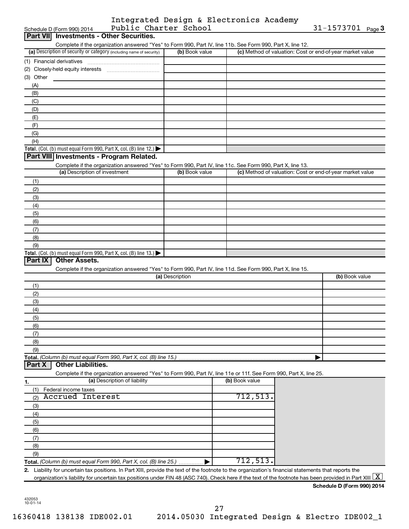|                       | Integrated Design & Electronics Academy |                        |  |
|-----------------------|-----------------------------------------|------------------------|--|
| Public Charter School |                                         | 31-1573701 $_{Page}$ 3 |  |

|            | Public Charter School<br>Schedule D (Form 990) 2014                                                                                                      |                 |                | $31 - 1573701$ Page 3                                     |
|------------|----------------------------------------------------------------------------------------------------------------------------------------------------------|-----------------|----------------|-----------------------------------------------------------|
|            | Part VII Investments - Other Securities.                                                                                                                 |                 |                |                                                           |
|            | Complete if the organization answered "Yes" to Form 990, Part IV, line 11b. See Form 990, Part X, line 12.                                               |                 |                |                                                           |
|            | (a) Description of security or category (including name of security)                                                                                     | (b) Book value  |                | (c) Method of valuation: Cost or end-of-year market value |
|            |                                                                                                                                                          |                 |                |                                                           |
|            |                                                                                                                                                          |                 |                |                                                           |
| (3) Other  |                                                                                                                                                          |                 |                |                                                           |
| (A)        |                                                                                                                                                          |                 |                |                                                           |
| (B)        |                                                                                                                                                          |                 |                |                                                           |
| (C)        |                                                                                                                                                          |                 |                |                                                           |
| (D)        |                                                                                                                                                          |                 |                |                                                           |
| (E)        |                                                                                                                                                          |                 |                |                                                           |
| (F)<br>(G) |                                                                                                                                                          |                 |                |                                                           |
| (H)        |                                                                                                                                                          |                 |                |                                                           |
|            | Total. (Col. (b) must equal Form 990, Part X, col. (B) line 12.)                                                                                         |                 |                |                                                           |
|            | Part VIII Investments - Program Related.                                                                                                                 |                 |                |                                                           |
|            | Complete if the organization answered "Yes" to Form 990, Part IV, line 11c. See Form 990, Part X, line 13.                                               |                 |                |                                                           |
|            | (a) Description of investment                                                                                                                            | (b) Book value  |                | (c) Method of valuation: Cost or end-of-year market value |
| (1)        |                                                                                                                                                          |                 |                |                                                           |
| (2)        |                                                                                                                                                          |                 |                |                                                           |
| (3)        |                                                                                                                                                          |                 |                |                                                           |
| (4)        |                                                                                                                                                          |                 |                |                                                           |
| (5)        |                                                                                                                                                          |                 |                |                                                           |
| (6)        |                                                                                                                                                          |                 |                |                                                           |
| (7)        |                                                                                                                                                          |                 |                |                                                           |
| (8)        |                                                                                                                                                          |                 |                |                                                           |
| (9)        |                                                                                                                                                          |                 |                |                                                           |
|            | Total. (Col. (b) must equal Form 990, Part X, col. (B) line $13.$ )                                                                                      |                 |                |                                                           |
| Part IX    | <b>Other Assets.</b>                                                                                                                                     |                 |                |                                                           |
|            | Complete if the organization answered "Yes" to Form 990, Part IV, line 11d. See Form 990, Part X, line 15.                                               |                 |                |                                                           |
|            |                                                                                                                                                          | (a) Description |                | (b) Book value                                            |
| (1)        |                                                                                                                                                          |                 |                |                                                           |
| (2)        |                                                                                                                                                          |                 |                |                                                           |
| (3)        |                                                                                                                                                          |                 |                |                                                           |
| (4)        |                                                                                                                                                          |                 |                |                                                           |
| (5)        |                                                                                                                                                          |                 |                |                                                           |
| (6)        |                                                                                                                                                          |                 |                |                                                           |
| (7)        |                                                                                                                                                          |                 |                |                                                           |
| (8)        |                                                                                                                                                          |                 |                |                                                           |
| (9)        |                                                                                                                                                          |                 |                |                                                           |
|            | Total. (Column (b) must equal Form 990, Part X, col. (B) line 15.)                                                                                       |                 |                |                                                           |
| Part X     | <b>Other Liabilities.</b>                                                                                                                                |                 |                |                                                           |
|            | Complete if the organization answered "Yes" to Form 990, Part IV, line 11e or 11f. See Form 990, Part X, line 25.<br>(a) Description of liability        |                 | (b) Book value |                                                           |
| 1.         |                                                                                                                                                          |                 |                |                                                           |
| (1)        | Federal income taxes<br><b>Accrued Interest</b>                                                                                                          |                 | 712,513.       |                                                           |
| (2)        |                                                                                                                                                          |                 |                |                                                           |
| (3)        |                                                                                                                                                          |                 |                |                                                           |
| (4)<br>(5) |                                                                                                                                                          |                 |                |                                                           |
| (6)        |                                                                                                                                                          |                 |                |                                                           |
| (7)        |                                                                                                                                                          |                 |                |                                                           |
| (8)        |                                                                                                                                                          |                 |                |                                                           |
| (9)        |                                                                                                                                                          |                 |                |                                                           |
|            | Total. (Column (b) must equal Form 990, Part X, col. (B) line 25.)                                                                                       |                 | 712,513.       |                                                           |
|            | 2. Liability for uncertain tax positions. In Part XIII, provide the text of the footnote to the organization's financial statements that reports the     |                 |                |                                                           |
|            | organization's liability for uncertain tax positions under FIN 48 (ASC 740). Check here if the text of the footnote has been provided in Part XIII $ X $ |                 |                |                                                           |

432053 10-01-14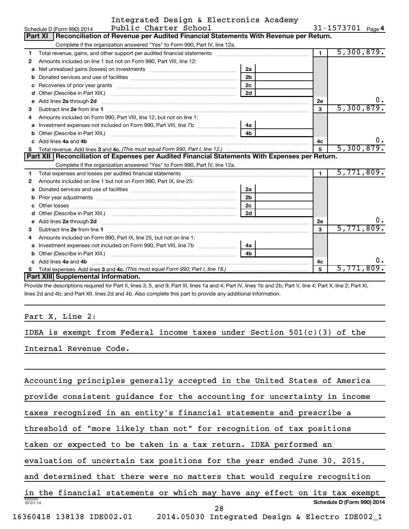|   | Integrated Design & Electronics Academy                                                                                                                                                                                             |                |                |                   |  |  |  |  |  |
|---|-------------------------------------------------------------------------------------------------------------------------------------------------------------------------------------------------------------------------------------|----------------|----------------|-------------------|--|--|--|--|--|
|   | Public Charter School<br>Schedule D (Form 990) 2014                                                                                                                                                                                 |                |                | 31-1573701 Page 4 |  |  |  |  |  |
|   | Part XI   Reconciliation of Revenue per Audited Financial Statements With Revenue per Return.                                                                                                                                       |                |                |                   |  |  |  |  |  |
|   | Complete if the organization answered "Yes" to Form 990, Part IV, line 12a.                                                                                                                                                         |                |                |                   |  |  |  |  |  |
| 1 | Total revenue, gains, and other support per audited financial statements                                                                                                                                                            |                | $\overline{1}$ | 5,300,879.        |  |  |  |  |  |
| 2 | Amounts included on line 1 but not on Form 990, Part VIII, line 12:                                                                                                                                                                 |                |                |                   |  |  |  |  |  |
| a |                                                                                                                                                                                                                                     | 2a             |                |                   |  |  |  |  |  |
| b |                                                                                                                                                                                                                                     | 2 <sub>b</sub> |                |                   |  |  |  |  |  |
|   |                                                                                                                                                                                                                                     | 2 <sub>c</sub> |                |                   |  |  |  |  |  |
| d |                                                                                                                                                                                                                                     | 2d             |                |                   |  |  |  |  |  |
|   | e Add lines 2a through 2d                                                                                                                                                                                                           |                | 2е             |                   |  |  |  |  |  |
| 3 |                                                                                                                                                                                                                                     |                | 3              | 5,300,879.        |  |  |  |  |  |
| 4 | Amounts included on Form 990, Part VIII, line 12, but not on line 1:                                                                                                                                                                |                |                |                   |  |  |  |  |  |
| a | Investment expenses not included on Form 990, Part VIII, line 7b [11, 111, 111, 120]                                                                                                                                                | 4a             |                |                   |  |  |  |  |  |
| b | Other (Describe in Part XIII.) [100] [100] [100] [100] [100] [100] [100] [100] [100] [100] [100] [100] [100] [                                                                                                                      | 4h             |                |                   |  |  |  |  |  |
|   | Add lines 4a and 4b                                                                                                                                                                                                                 |                | 4с             | $0 \cdot$         |  |  |  |  |  |
|   |                                                                                                                                                                                                                                     | $\overline{5}$ | 5,300,879.     |                   |  |  |  |  |  |
|   | Part XII   Reconciliation of Expenses per Audited Financial Statements With Expenses per Return.                                                                                                                                    |                |                |                   |  |  |  |  |  |
|   | Complete if the organization answered "Yes" to Form 990, Part IV, line 12a.                                                                                                                                                         |                |                |                   |  |  |  |  |  |
| 1 |                                                                                                                                                                                                                                     |                | $\blacksquare$ | 5,771,809.        |  |  |  |  |  |
| 2 | Amounts included on line 1 but not on Form 990, Part IX, line 25:                                                                                                                                                                   |                |                |                   |  |  |  |  |  |
| a |                                                                                                                                                                                                                                     | 2a             |                |                   |  |  |  |  |  |
| b |                                                                                                                                                                                                                                     | 2 <sub>b</sub> |                |                   |  |  |  |  |  |
|   |                                                                                                                                                                                                                                     | 2 <sub>c</sub> |                |                   |  |  |  |  |  |
|   |                                                                                                                                                                                                                                     | 2d             |                |                   |  |  |  |  |  |
| e | Add lines 2a through 2d <b>contained a contained a contained a contained a</b> contained a contact the set of the set of the set of the set of the set of the set of the set of the set of the set of the set of the set of the set |                | 2е             |                   |  |  |  |  |  |
| 3 |                                                                                                                                                                                                                                     |                | 3              | 5,771,809.        |  |  |  |  |  |
|   | Amounts included on Form 990, Part IX, line 25, but not on line 1:                                                                                                                                                                  |                |                |                   |  |  |  |  |  |
|   | a Investment expenses not included on Form 990, Part VIII, line 7b [11, 11, 11, 11, 11]                                                                                                                                             | 4a             |                |                   |  |  |  |  |  |
|   |                                                                                                                                                                                                                                     | 4h             |                |                   |  |  |  |  |  |
|   | c Add lines 4a and 4b                                                                                                                                                                                                               |                | 4c             | υ.                |  |  |  |  |  |
|   |                                                                                                                                                                                                                                     |                | 5              | 5,771,809.        |  |  |  |  |  |
|   | Part XIII Supplemental Information.                                                                                                                                                                                                 |                |                |                   |  |  |  |  |  |

Provide the descriptions required for Part II, lines 3, 5, and 9; Part III, lines 1a and 4; Part IV, lines 1b and 2b; Part V, line 4; Part X, line 2; Part XI, lines 2d and 4b; and Part XII, lines 2d and 4b. Also complete this part to provide any additional information.

#### Part X, Line 2:

IDEA is exempt from Federal income taxes under Section  $501(c)(3)$  of the Internal Revenue Code.

432054 10-01-14 **Schedule D (Form 990) 2014** Accounting principles generally accepted in the United States of America provide consistent guidance for the accounting for uncertainty in income taxes recognized in an entity's financial statements and prescribe a threshold of "more likely than not" for recognition of tax positions taken or expected to be taken in a tax return. IDEA performed an evaluation of uncertain tax positions for the year ended June 30, 2015, and determined that there were no matters that would require recognition in the financial statements or which may have any effect on its tax exempt 16360418 138138 IDE002.01 2014.05030 Integrated Design & Electro IDE002\_1 28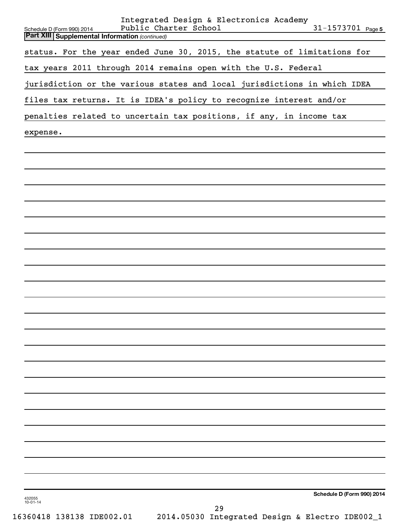| Integrated Design & Electronics Academy<br>Public Charter School<br>$31 - 1573701$ Page 5 |
|-------------------------------------------------------------------------------------------|
| Schedule D (Form 990) 2014<br><b>Part XIII Supplemental Information (continued)</b>       |
| status. For the year ended June 30, 2015, the statute of limitations for                  |
| tax years 2011 through 2014 remains open with the U.S. Federal                            |
| jurisdiction or the various states and local jurisdictions in which IDEA                  |
| files tax returns. It is IDEA's policy to recognize interest and/or                       |
| penalties related to uncertain tax positions, if any, in income tax                       |
| expense.                                                                                  |
|                                                                                           |
|                                                                                           |
|                                                                                           |
|                                                                                           |
|                                                                                           |
|                                                                                           |
|                                                                                           |
|                                                                                           |
|                                                                                           |
|                                                                                           |
|                                                                                           |
|                                                                                           |
|                                                                                           |
|                                                                                           |
|                                                                                           |
|                                                                                           |
|                                                                                           |
|                                                                                           |
|                                                                                           |
|                                                                                           |
|                                                                                           |
|                                                                                           |
| Schedule D (Form 990) 2014<br>432055<br>$10 - 01 - 14$                                    |
| 29                                                                                        |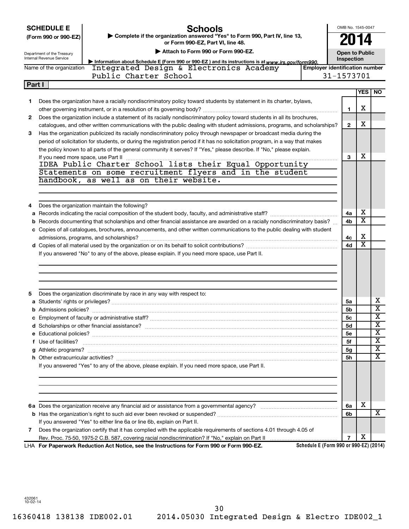**SCHEDULE E**

## **Schools**

OMB No. 1545-0047 **2014**

| (Form 990 or 990-EZ) | .<br>► Complete if the organization answered "Yes" to Form 990, Part IV, line 13, |
|----------------------|-----------------------------------------------------------------------------------|
|                      | or Form 990-EZ. Part VI. line 48.                                                 |

Department of the Treasury Internal Revenue Service

| Attach to Form 990 or Form 990-EZ. |  |  |  |
|------------------------------------|--|--|--|
|------------------------------------|--|--|--|

**Open to Public Inspection**

|                                                                                                                               | Information about Schedule E (Form 990 or 990-EZ) and its instructions is at www.irs.gov/form990.                         |  |  |                                       | ------------- |        |  |
|-------------------------------------------------------------------------------------------------------------------------------|---------------------------------------------------------------------------------------------------------------------------|--|--|---------------------------------------|---------------|--------|--|
|                                                                                                                               | Integrated Design & Electronics Academy<br>Name of the organization                                                       |  |  | <b>Employer identification number</b> |               |        |  |
|                                                                                                                               | Public Charter School<br>31-1573701                                                                                       |  |  |                                       |               |        |  |
|                                                                                                                               | Part I                                                                                                                    |  |  |                                       |               |        |  |
|                                                                                                                               |                                                                                                                           |  |  |                                       |               | YES NO |  |
|                                                                                                                               | Does the organization have a racially nondiscriminatory policy toward students by statement in its charter, bylaws,       |  |  |                                       |               |        |  |
|                                                                                                                               | other governing instrument, or in a resolution of its governing body?                                                     |  |  |                                       |               | х      |  |
| Does the organization include a statement of its racially nondiscriminatory policy toward students in all its brochures,<br>2 |                                                                                                                           |  |  |                                       |               |        |  |
|                                                                                                                               | catalogues, and other written communications with the public dealing with student admissions, programs, and scholarships? |  |  |                                       |               | х      |  |
|                                                                                                                               |                                                                                                                           |  |  |                                       |               |        |  |

| 3 | Has the organization publicized its racially nondiscriminatory policy through newspaper or broadcast media during the         |    |   |  |
|---|-------------------------------------------------------------------------------------------------------------------------------|----|---|--|
|   | period of solicitation for students, or during the registration period if it has no solicitation program, in a way that makes |    |   |  |
|   | the policy known to all parts of the general community it serves? If "Yes," please describe. If "No," please explain.         |    |   |  |
|   | If you need more space, use Part II                                                                                           | з  | х |  |
|   | IDEA Public Charter School lists their Equal Opportunity                                                                      |    |   |  |
|   | Statements on some recruitment flyers and in the student                                                                      |    |   |  |
|   | handbook, as well as on their website.                                                                                        |    |   |  |
|   |                                                                                                                               |    |   |  |
| 4 | Does the organization maintain the following?                                                                                 |    |   |  |
|   |                                                                                                                               | 4a | х |  |
|   | b Records documenting that scholarships and other financial assistance are awarded on a racially nondiscriminatory basis?     | 4b | х |  |
|   | c Copies of all catalogues, brochures, announcements, and other written communications to the public dealing with student     |    |   |  |
|   |                                                                                                                               | 4c | х |  |
|   |                                                                                                                               | 4d | х |  |

If you answered "No" to any of the above, please explain. If you need more space, use Part II.

| 5 | Does the organization discriminate by race in any way with respect to:                                                                                                                                                               |                |   |                         |
|---|--------------------------------------------------------------------------------------------------------------------------------------------------------------------------------------------------------------------------------------|----------------|---|-------------------------|
|   |                                                                                                                                                                                                                                      | 5a             |   | x                       |
|   |                                                                                                                                                                                                                                      | <b>5b</b>      |   | X                       |
|   |                                                                                                                                                                                                                                      | 5c             |   | X                       |
|   |                                                                                                                                                                                                                                      | 5d             |   | X                       |
|   |                                                                                                                                                                                                                                      | 5e             |   | X                       |
|   | f Use of facilities? <b>With the Contract of the Contract of the Contract of the Contract of the Contract of the Contract of the Contract of the Contract of the Contract of the Contract of the Contract of the Contract of the</b> | 5f             |   | X                       |
|   |                                                                                                                                                                                                                                      | 5g             |   | X                       |
|   |                                                                                                                                                                                                                                      | <b>5h</b>      |   | $\overline{\mathbf{X}}$ |
|   | If you answered "Yes" to any of the above, please explain. If you need more space, use Part II.                                                                                                                                      |                |   |                         |
|   |                                                                                                                                                                                                                                      |                |   |                         |
|   |                                                                                                                                                                                                                                      | 6a             | X |                         |
|   |                                                                                                                                                                                                                                      | 6 <sub>b</sub> |   | x                       |
|   | If you answered "Yes" to either line 6a or line 6b, explain on Part II.                                                                                                                                                              |                |   |                         |
|   | Does the organization certify that it has complied with the applicable requirements of sections 4.01 through 4.05 of                                                                                                                 |                |   |                         |
|   |                                                                                                                                                                                                                                      | $\overline{ }$ | X |                         |
|   | Schedule E (Form 990 or 990-EZ) (2014)<br>LHA For Paperwork Reduction Act Notice, see the Instructions for Form 990 or Form 990-EZ.                                                                                                  |                |   |                         |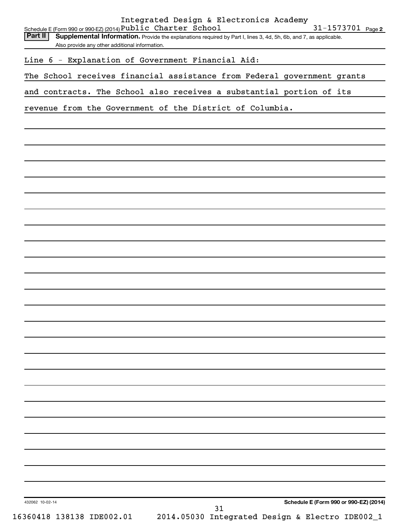| Line 6 - Explanation of Government Financial Aid:<br>The School receives financial assistance from Federal government grants<br>and contracts. The School also receives a substantial portion of its<br>revenue from the Government of the District of Columbia. | Part II<br>Supplemental Information. Provide the explanations required by Part I, lines 3, 4d, 5h, 6b, and 7, as applicable.<br>Also provide any other additional information.<br>Schedule E (Form 990 or 990-EZ) (2014) | 16360418 138138 IDE002.01 |    | 2014.05030 Integrated Design & Electro IDE002_1 |
|------------------------------------------------------------------------------------------------------------------------------------------------------------------------------------------------------------------------------------------------------------------|--------------------------------------------------------------------------------------------------------------------------------------------------------------------------------------------------------------------------|---------------------------|----|-------------------------------------------------|
|                                                                                                                                                                                                                                                                  |                                                                                                                                                                                                                          | 432062 10-02-14           | 31 |                                                 |
|                                                                                                                                                                                                                                                                  |                                                                                                                                                                                                                          |                           |    |                                                 |
|                                                                                                                                                                                                                                                                  |                                                                                                                                                                                                                          |                           |    |                                                 |
|                                                                                                                                                                                                                                                                  |                                                                                                                                                                                                                          |                           |    |                                                 |
|                                                                                                                                                                                                                                                                  |                                                                                                                                                                                                                          |                           |    |                                                 |
|                                                                                                                                                                                                                                                                  |                                                                                                                                                                                                                          |                           |    |                                                 |
|                                                                                                                                                                                                                                                                  |                                                                                                                                                                                                                          |                           |    |                                                 |
|                                                                                                                                                                                                                                                                  |                                                                                                                                                                                                                          |                           |    |                                                 |
|                                                                                                                                                                                                                                                                  |                                                                                                                                                                                                                          |                           |    |                                                 |
|                                                                                                                                                                                                                                                                  |                                                                                                                                                                                                                          |                           |    |                                                 |
|                                                                                                                                                                                                                                                                  |                                                                                                                                                                                                                          |                           |    |                                                 |
|                                                                                                                                                                                                                                                                  |                                                                                                                                                                                                                          |                           |    |                                                 |
|                                                                                                                                                                                                                                                                  |                                                                                                                                                                                                                          |                           |    |                                                 |
|                                                                                                                                                                                                                                                                  |                                                                                                                                                                                                                          |                           |    |                                                 |
|                                                                                                                                                                                                                                                                  |                                                                                                                                                                                                                          |                           |    |                                                 |
|                                                                                                                                                                                                                                                                  |                                                                                                                                                                                                                          |                           |    |                                                 |
|                                                                                                                                                                                                                                                                  |                                                                                                                                                                                                                          |                           |    |                                                 |
|                                                                                                                                                                                                                                                                  |                                                                                                                                                                                                                          |                           |    |                                                 |
|                                                                                                                                                                                                                                                                  |                                                                                                                                                                                                                          |                           |    |                                                 |
|                                                                                                                                                                                                                                                                  |                                                                                                                                                                                                                          |                           |    |                                                 |
|                                                                                                                                                                                                                                                                  |                                                                                                                                                                                                                          |                           |    |                                                 |
|                                                                                                                                                                                                                                                                  |                                                                                                                                                                                                                          |                           |    |                                                 |
|                                                                                                                                                                                                                                                                  |                                                                                                                                                                                                                          |                           |    |                                                 |
|                                                                                                                                                                                                                                                                  |                                                                                                                                                                                                                          |                           |    |                                                 |
|                                                                                                                                                                                                                                                                  |                                                                                                                                                                                                                          |                           |    |                                                 |
|                                                                                                                                                                                                                                                                  |                                                                                                                                                                                                                          |                           |    |                                                 |
|                                                                                                                                                                                                                                                                  |                                                                                                                                                                                                                          |                           |    |                                                 |
|                                                                                                                                                                                                                                                                  |                                                                                                                                                                                                                          |                           |    |                                                 |
|                                                                                                                                                                                                                                                                  |                                                                                                                                                                                                                          |                           |    |                                                 |
|                                                                                                                                                                                                                                                                  |                                                                                                                                                                                                                          |                           |    |                                                 |
|                                                                                                                                                                                                                                                                  |                                                                                                                                                                                                                          |                           |    |                                                 |
|                                                                                                                                                                                                                                                                  |                                                                                                                                                                                                                          |                           |    |                                                 |
|                                                                                                                                                                                                                                                                  |                                                                                                                                                                                                                          |                           |    |                                                 |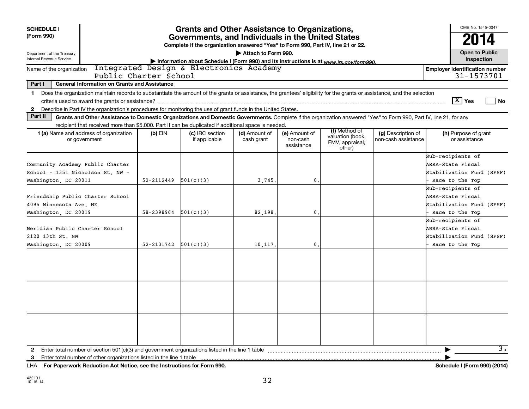| <b>SCHEDULE I</b><br>(Form 990)<br>Department of the Treasury<br><b>Internal Revenue Service</b>                                                                                                                                                                                                                         | OMB No. 1545-0047<br>2014<br><b>Open to Public</b><br>Inspection |                                         |                             |                                         |                                                                |                                           |                                                                                        |
|--------------------------------------------------------------------------------------------------------------------------------------------------------------------------------------------------------------------------------------------------------------------------------------------------------------------------|------------------------------------------------------------------|-----------------------------------------|-----------------------------|-----------------------------------------|----------------------------------------------------------------|-------------------------------------------|----------------------------------------------------------------------------------------|
| Name of the organization<br>Public Charter School                                                                                                                                                                                                                                                                        |                                                                  | Integrated Design & Electronics Academy |                             |                                         |                                                                |                                           | <b>Employer identification number</b><br>31-1573701                                    |
| Part I<br><b>General Information on Grants and Assistance</b>                                                                                                                                                                                                                                                            |                                                                  |                                         |                             |                                         |                                                                |                                           |                                                                                        |
| Does the organization maintain records to substantiate the amount of the grants or assistance, the grantees' eligibility for the grants or assistance, and the selection<br>$\mathbf 1$<br>Describe in Part IV the organization's procedures for monitoring the use of grant funds in the United States.<br>$\mathbf{2}$ |                                                                  |                                         |                             |                                         |                                                                |                                           | $\boxed{\text{X}}$ Yes<br>l No                                                         |
| Part II<br>Grants and Other Assistance to Domestic Organizations and Domestic Governments. Complete if the organization answered "Yes" to Form 990, Part IV, line 21, for any                                                                                                                                            |                                                                  |                                         |                             |                                         |                                                                |                                           |                                                                                        |
| recipient that received more than \$5,000. Part II can be duplicated if additional space is needed.<br>1 (a) Name and address of organization<br>or government                                                                                                                                                           | $(b)$ EIN                                                        | (c) IRC section<br>if applicable        | (d) Amount of<br>cash grant | (e) Amount of<br>non-cash<br>assistance | (f) Method of<br>valuation (book,<br>FMV, appraisal,<br>other) | (g) Description of<br>non-cash assistance | (h) Purpose of grant<br>or assistance                                                  |
| Community Academy Public Charter<br>School - 1351 Nicholson St. NW -<br>Washington, DC 20011                                                                                                                                                                                                                             | 52-2112449                                                       | 501(c)(3)                               | 3,745.                      | 0                                       |                                                                |                                           | Sub-recipients of<br>ARRA-State Fiscal<br>Stabilization Fund (SFSF)<br>Race to the Top |
| Friendship Public Charter School<br>4095 Minnesota Ave. NE<br>Washington, DC 20019                                                                                                                                                                                                                                       | 58-2398964                                                       | 501(c)(3)                               | 82.198.                     | 0                                       |                                                                |                                           | Sub-recipients of<br>ARRA-State Fiscal<br>Stabilization Fund (SFSF)<br>Race to the Top |
| Meridian Public Charter School<br>2120 13th St. NW<br>Washington, DC 20009                                                                                                                                                                                                                                               | 52-2131742                                                       | 501(c)(3)                               | 10,117.                     | 0                                       |                                                                |                                           | Sub-recipients of<br>ARRA-State Fiscal<br>Stabilization Fund (SFSF)<br>Race to the Top |
|                                                                                                                                                                                                                                                                                                                          |                                                                  |                                         |                             |                                         |                                                                |                                           | 3.                                                                                     |
| Enter total number of other organizations listed in the line 1 table<br>3                                                                                                                                                                                                                                                |                                                                  |                                         |                             |                                         |                                                                |                                           |                                                                                        |

**For Paperwork Reduction Act Notice, see the Instructions for Form 990. Schedule I (Form 990) (2014)** LHA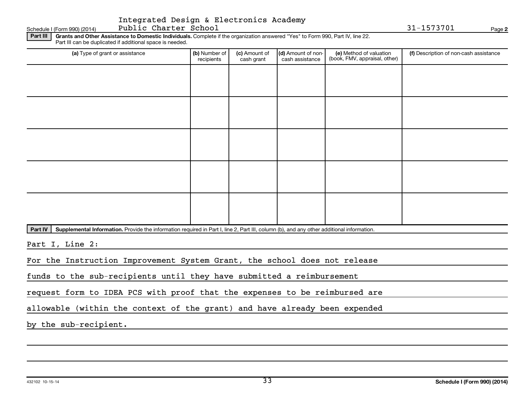## Integrated Design & Electronics Academy

Schedule I (Form 990) (2014) Page Public Charter School 31-1573701

**2**

Part III | Grants and Other Assistance to Domestic Individuals. Complete if the organization answered "Yes" to Form 990, Part IV, line 22. Part III can be duplicated if additional space is needed.

| (a) Type of grant or assistance | (b) Number of<br>recipients | (c) Amount of<br>cash grant | (d) Amount of non-<br>cash assistance | (e) Method of valuation<br>(book, FMV, appraisal, other) | (f) Description of non-cash assistance |
|---------------------------------|-----------------------------|-----------------------------|---------------------------------------|----------------------------------------------------------|----------------------------------------|
|                                 |                             |                             |                                       |                                                          |                                        |
|                                 |                             |                             |                                       |                                                          |                                        |
|                                 |                             |                             |                                       |                                                          |                                        |
|                                 |                             |                             |                                       |                                                          |                                        |
|                                 |                             |                             |                                       |                                                          |                                        |
|                                 |                             |                             |                                       |                                                          |                                        |
|                                 |                             |                             |                                       |                                                          |                                        |
|                                 |                             |                             |                                       |                                                          |                                        |
|                                 |                             |                             |                                       |                                                          |                                        |
|                                 |                             |                             |                                       |                                                          |                                        |

Part IV | Supplemental Information. Provide the information required in Part I, line 2, Part III, column (b), and any other additional information.

Part I, Line 2:

For the Instruction Improvement System Grant, the school does not release

funds to the sub-recipients until they have submitted a reimbursement

request form to IDEA PCS with proof that the expenses to be reimbursed are

allowable (within the context of the grant) and have already been expended

by the sub-recipient.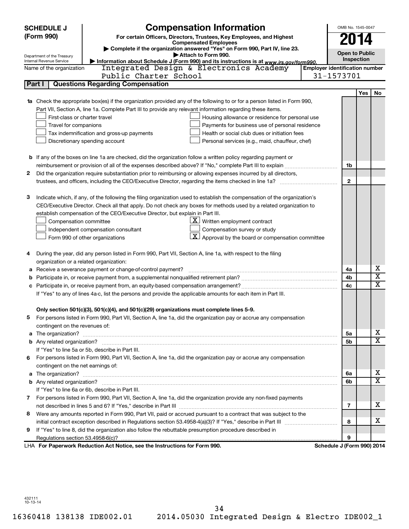|        | <b>SCHEDULE J</b>                                      | <b>Compensation Information</b>                                                                                           |                                       | OMB No. 1545-0047     |     |                         |
|--------|--------------------------------------------------------|---------------------------------------------------------------------------------------------------------------------------|---------------------------------------|-----------------------|-----|-------------------------|
|        | (Form 990)                                             | For certain Officers, Directors, Trustees, Key Employees, and Highest                                                     |                                       | 2014                  |     |                         |
|        | <b>Compensated Employees</b>                           |                                                                                                                           |                                       |                       |     |                         |
|        |                                                        | Complete if the organization answered "Yes" on Form 990, Part IV, line 23.<br>Attach to Form 990.                         |                                       | <b>Open to Public</b> |     |                         |
|        | Department of the Treasury<br>Internal Revenue Service | Information about Schedule J (Form 990) and its instructions is at www.irs.gov/form990.                                   |                                       | Inspection            |     |                         |
|        | Name of the organization                               | Integrated Design & Electronics Academy                                                                                   | <b>Employer identification number</b> |                       |     |                         |
|        |                                                        | Public Charter School                                                                                                     | 31-1573701                            |                       |     |                         |
| Part I |                                                        | <b>Questions Regarding Compensation</b>                                                                                   |                                       |                       |     |                         |
|        |                                                        |                                                                                                                           |                                       |                       | Yes | No                      |
|        |                                                        | Check the appropriate box(es) if the organization provided any of the following to or for a person listed in Form 990,    |                                       |                       |     |                         |
|        |                                                        | Part VII, Section A, line 1a. Complete Part III to provide any relevant information regarding these items.                |                                       |                       |     |                         |
|        | First-class or charter travel                          | Housing allowance or residence for personal use                                                                           |                                       |                       |     |                         |
|        | Travel for companions                                  | Payments for business use of personal residence                                                                           |                                       |                       |     |                         |
|        |                                                        | Health or social club dues or initiation fees<br>Tax indemnification and gross-up payments                                |                                       |                       |     |                         |
|        |                                                        | Discretionary spending account<br>Personal services (e.g., maid, chauffeur, chef)                                         |                                       |                       |     |                         |
|        |                                                        |                                                                                                                           |                                       |                       |     |                         |
|        |                                                        | <b>b</b> If any of the boxes on line 1a are checked, did the organization follow a written policy regarding payment or    |                                       |                       |     |                         |
|        |                                                        |                                                                                                                           |                                       | 1b                    |     |                         |
| 2      |                                                        | Did the organization require substantiation prior to reimbursing or allowing expenses incurred by all directors,          |                                       |                       |     |                         |
|        |                                                        |                                                                                                                           |                                       | $\mathbf{2}$          |     |                         |
|        |                                                        |                                                                                                                           |                                       |                       |     |                         |
| З      |                                                        | Indicate which, if any, of the following the filing organization used to establish the compensation of the organization's |                                       |                       |     |                         |
|        |                                                        | CEO/Executive Director. Check all that apply. Do not check any boxes for methods used by a related organization to        |                                       |                       |     |                         |
|        |                                                        | establish compensation of the CEO/Executive Director, but explain in Part III.                                            |                                       |                       |     |                         |
|        | Compensation committee                                 | $\underline{\mathbf{X}}$ Written employment contract                                                                      |                                       |                       |     |                         |
|        |                                                        | Compensation survey or study<br>Independent compensation consultant                                                       |                                       |                       |     |                         |
|        |                                                        | $\lfloor x \rfloor$ Approval by the board or compensation committee<br>Form 990 of other organizations                    |                                       |                       |     |                         |
|        |                                                        |                                                                                                                           |                                       |                       |     |                         |
| 4      |                                                        | During the year, did any person listed in Form 990, Part VII, Section A, line 1a, with respect to the filing              |                                       |                       |     |                         |
|        |                                                        | organization or a related organization:                                                                                   |                                       |                       |     |                         |
| а      |                                                        | Receive a severance payment or change-of-control payment?                                                                 |                                       | 4a                    |     | х                       |
| b      |                                                        |                                                                                                                           |                                       | 4b                    |     | $\overline{\mathbf{X}}$ |
|        |                                                        |                                                                                                                           |                                       | 4c                    |     | $\mathbf x$             |
|        |                                                        | If "Yes" to any of lines 4a-c, list the persons and provide the applicable amounts for each item in Part III.             |                                       |                       |     |                         |
|        |                                                        |                                                                                                                           |                                       |                       |     |                         |
|        |                                                        | Only section 501(c)(3), 501(c)(4), and 501(c)(29) organizations must complete lines 5-9.                                  |                                       |                       |     |                         |
|        |                                                        | For persons listed in Form 990, Part VII, Section A, line 1a, did the organization pay or accrue any compensation         |                                       |                       |     |                         |
|        | contingent on the revenues of:                         |                                                                                                                           |                                       |                       |     |                         |
| a      |                                                        |                                                                                                                           |                                       | 5a                    |     | x                       |
|        |                                                        |                                                                                                                           |                                       | 5b                    |     | X                       |
|        |                                                        | If "Yes" to line 5a or 5b, describe in Part III.                                                                          |                                       |                       |     |                         |
| 6.     |                                                        | For persons listed in Form 990, Part VII, Section A, line 1a, did the organization pay or accrue any compensation         |                                       |                       |     |                         |
|        | contingent on the net earnings of:                     |                                                                                                                           |                                       |                       |     |                         |
| a      |                                                        |                                                                                                                           |                                       | 6a                    |     | x                       |
|        |                                                        |                                                                                                                           |                                       | 6b                    |     | $\overline{\textbf{x}}$ |
|        |                                                        | If "Yes" to line 6a or 6b, describe in Part III.                                                                          |                                       |                       |     |                         |
|        |                                                        | 7 For persons listed in Form 990, Part VII, Section A, line 1a, did the organization provide any non-fixed payments       |                                       |                       |     |                         |
|        |                                                        |                                                                                                                           |                                       | 7                     |     | x                       |
| 8      |                                                        | Were any amounts reported in Form 990, Part VII, paid or accrued pursuant to a contract that was subject to the           |                                       |                       |     |                         |
|        |                                                        |                                                                                                                           |                                       | 8                     |     | x                       |
| 9      |                                                        | If "Yes" to line 8, did the organization also follow the rebuttable presumption procedure described in                    |                                       |                       |     |                         |
|        |                                                        |                                                                                                                           |                                       | 9                     |     |                         |
|        |                                                        | LHA For Paperwork Reduction Act Notice, see the Instructions for Form 990.                                                | Schedule J (Form 990) 2014            |                       |     |                         |

432111 10-13-14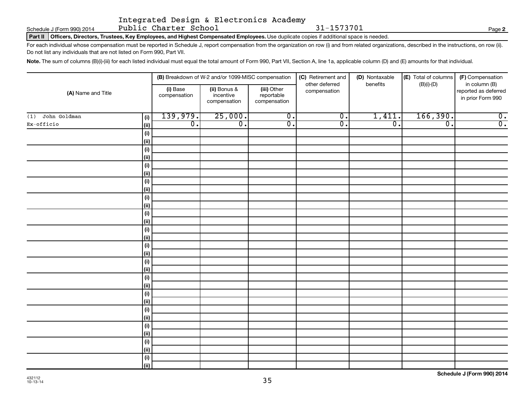Schedule J (Form 990) 2014 Page Public Charter School 31-1573701

|  | Integrated Design & Electronics Academy |  |
|--|-----------------------------------------|--|
|  |                                         |  |

**2**

Part II | Officers, Directors, Trustees, Key Employees, and Highest Compensated Employees. Use duplicate copies if additional space is needed.

For each individual whose compensation must be reported in Schedule J, report compensation from the organization on row (i) and from related organizations, described in the instructions, on row (ii). Do not list any individuals that are not listed on Form 990, Part VII.

Note. The sum of columns (B)(i)-(iii) for each listed individual must equal the total amount of Form 990, Part VII, Section A, line 1a, applicable column (D) and (E) amounts for that individual.

| (A) Name and Title  |              |                          | (B) Breakdown of W-2 and/or 1099-MISC compensation |                                           | (C) Retirement and             | (D) Nontaxable   | (E) Total of columns | (F) Compensation                                           |
|---------------------|--------------|--------------------------|----------------------------------------------------|-------------------------------------------|--------------------------------|------------------|----------------------|------------------------------------------------------------|
|                     |              | (i) Base<br>compensation | (ii) Bonus &<br>incentive<br>compensation          | (iii) Other<br>reportable<br>compensation | other deferred<br>compensation | benefits         | $(B)(i)-(D)$         | in column (B)<br>reported as deferred<br>in prior Form 990 |
| John Goldman<br>(1) | (i)          | 139,979.                 | 25,000.                                            | $\overline{0}$ .                          | $\overline{0}$ .               | 1,411.           | 166,390.             | $\overline{\mathfrak{o}}$ .                                |
| Ex-officio          | (ii)         | $\overline{0}$ .         | $\overline{0}$ .                                   | $\overline{0}$ .                          | $\overline{0}$ .               | $\overline{0}$ . | $\overline{0}$ .     | $\overline{0}$ .                                           |
|                     | (i)          |                          |                                                    |                                           |                                |                  |                      |                                                            |
|                     | (ii)         |                          |                                                    |                                           |                                |                  |                      |                                                            |
|                     | (i)          |                          |                                                    |                                           |                                |                  |                      |                                                            |
|                     | (ii)         |                          |                                                    |                                           |                                |                  |                      |                                                            |
|                     | (i)          |                          |                                                    |                                           |                                |                  |                      |                                                            |
|                     | (ii)         |                          |                                                    |                                           |                                |                  |                      |                                                            |
|                     | (i)          |                          |                                                    |                                           |                                |                  |                      |                                                            |
|                     | (i)          |                          |                                                    |                                           |                                |                  |                      |                                                            |
|                     | (i)          |                          |                                                    |                                           |                                |                  |                      |                                                            |
|                     | (i)          |                          |                                                    |                                           |                                |                  |                      |                                                            |
|                     | (i)<br>(ii)  |                          |                                                    |                                           |                                |                  |                      |                                                            |
|                     | (i)          |                          |                                                    |                                           |                                |                  |                      |                                                            |
|                     | (ii)         |                          |                                                    |                                           |                                |                  |                      |                                                            |
|                     | (i)          |                          |                                                    |                                           |                                |                  |                      |                                                            |
|                     | (ii)         |                          |                                                    |                                           |                                |                  |                      |                                                            |
|                     | (i)          |                          |                                                    |                                           |                                |                  |                      |                                                            |
|                     | (ii)         |                          |                                                    |                                           |                                |                  |                      |                                                            |
|                     | (i)          |                          |                                                    |                                           |                                |                  |                      |                                                            |
|                     | (ii)         |                          |                                                    |                                           |                                |                  |                      |                                                            |
|                     | (i)          |                          |                                                    |                                           |                                |                  |                      |                                                            |
|                     | (ii)         |                          |                                                    |                                           |                                |                  |                      |                                                            |
|                     | (i)          |                          |                                                    |                                           |                                |                  |                      |                                                            |
|                     | $\vert$ (ii) |                          |                                                    |                                           |                                |                  |                      |                                                            |
|                     | (i)          |                          |                                                    |                                           |                                |                  |                      |                                                            |
|                     | $\vert$ (ii) |                          |                                                    |                                           |                                |                  |                      |                                                            |
|                     | (i)          |                          |                                                    |                                           |                                |                  |                      |                                                            |
|                     | (ii)         |                          |                                                    |                                           |                                |                  |                      |                                                            |
|                     | (i)          |                          |                                                    |                                           |                                |                  |                      |                                                            |
|                     | (iii)        |                          |                                                    |                                           |                                |                  |                      |                                                            |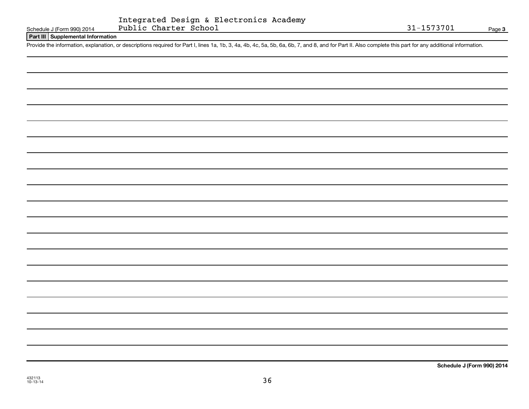#### **Part III Supplemental Information**

Provide the information, explanation, or descriptions required for Part I, lines 1a, 1b, 3, 4a, 4b, 4c, 5a, 5b, 6a, 6b, 7, and 8, and for Part II. Also complete this part for any additional information.

432113 10-13-14

**Schedule J (Form 990) 2014**